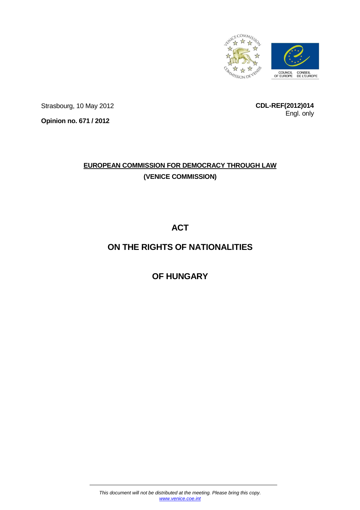

Strasbourg, 10 May 2012

**CDL-REF(2012)014** Engl. only

**Opinion no. 671 / 2012** 

# **EUROPEAN COMMISSION FOR DEMOCRACY THROUGH LAW (VENICE COMMISSION)**

**ACT** 

# **ON THE RIGHTS OF NATIONALITIES**

**OF HUNGARY**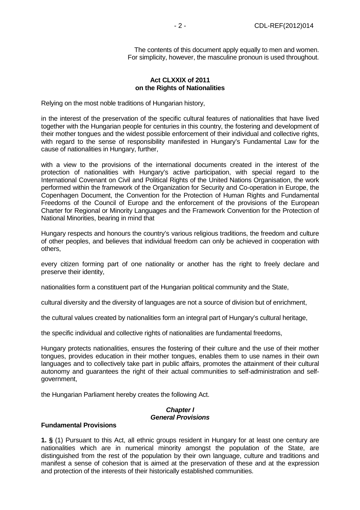The contents of this document apply equally to men and women. For simplicity, however, the masculine pronoun is used throughout.

#### **Act CLXXIX of 2011 on the Rights of Nationalities**

Relying on the most noble traditions of Hungarian history,

in the interest of the preservation of the specific cultural features of nationalities that have lived together with the Hungarian people for centuries in this country, the fostering and development of their mother tongues and the widest possible enforcement of their individual and collective rights, with regard to the sense of responsibility manifested in Hungary's Fundamental Law for the cause of nationalities in Hungary, further,

with a view to the provisions of the international documents created in the interest of the protection of nationalities with Hungary's active participation, with special regard to the International Covenant on Civil and Political Rights of the United Nations Organisation, the work performed within the framework of the Organization for Security and Co-operation in Europe, the Copenhagen Document, the Convention for the Protection of Human Rights and Fundamental Freedoms of the Council of Europe and the enforcement of the provisions of the European Charter for Regional or Minority Languages and the Framework Convention for the Protection of National Minorities, bearing in mind that

Hungary respects and honours the country's various religious traditions, the freedom and culture of other peoples, and believes that individual freedom can only be achieved in cooperation with others,

every citizen forming part of one nationality or another has the right to freely declare and preserve their identity,

nationalities form a constituent part of the Hungarian political community and the State,

cultural diversity and the diversity of languages are not a source of division but of enrichment,

the cultural values created by nationalities form an integral part of Hungary's cultural heritage,

the specific individual and collective rights of nationalities are fundamental freedoms,

Hungary protects nationalities, ensures the fostering of their culture and the use of their mother tongues, provides education in their mother tongues, enables them to use names in their own languages and to collectively take part in public affairs, promotes the attainment of their cultural autonomy and guarantees the right of their actual communities to self-administration and selfgovernment,

the Hungarian Parliament hereby creates the following Act.

## **Chapter I General Provisions**

#### **Fundamental Provisions**

**1. §** (1) Pursuant to this Act, all ethnic groups resident in Hungary for at least one century are nationalities which are in numerical minority amongst the population of the State, are distinguished from the rest of the population by their own language, culture and traditions and manifest a sense of cohesion that is aimed at the preservation of these and at the expression and protection of the interests of their historically established communities.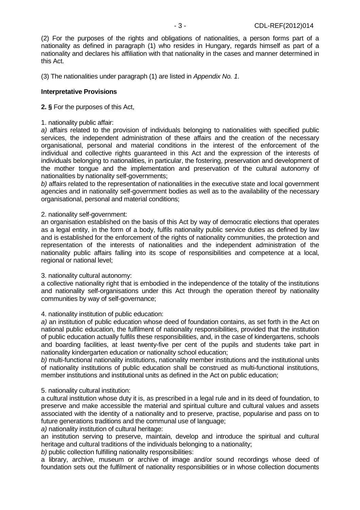(2) For the purposes of the rights and obligations of nationalities, a person forms part of a nationality as defined in paragraph (1) who resides in Hungary, regards himself as part of a nationality and declares his affiliation with that nationality in the cases and manner determined in this Act.

(3) The nationalities under paragraph (1) are listed in Appendix No. 1.

## **Interpretative Provisions**

## **2. §** For the purposes of this Act,

1. nationality public affair:

a) affairs related to the provision of individuals belonging to nationalities with specified public services, the independent administration of these affairs and the creation of the necessary organisational, personal and material conditions in the interest of the enforcement of the individual and collective rights guaranteed in this Act and the expression of the interests of individuals belonging to nationalities, in particular, the fostering, preservation and development of the mother tongue and the implementation and preservation of the cultural autonomy of nationalities by nationality self-governments;

b) affairs related to the representation of nationalities in the executive state and local government agencies and in nationality self-government bodies as well as to the availability of the necessary organisational, personal and material conditions;

## 2. nationality self-government:

an organisation established on the basis of this Act by way of democratic elections that operates as a legal entity, in the form of a body, fulfils nationality public service duties as defined by law and is established for the enforcement of the rights of nationality communities, the protection and representation of the interests of nationalities and the independent administration of the nationality public affairs falling into its scope of responsibilities and competence at a local, regional or national level;

#### 3. nationality cultural autonomy:

a collective nationality right that is embodied in the independence of the totality of the institutions and nationality self-organisations under this Act through the operation thereof by nationality communities by way of self-governance;

#### 4. nationality institution of public education:

a) an institution of public education whose deed of foundation contains, as set forth in the Act on national public education, the fulfilment of nationality responsibilities, provided that the institution of public education actually fulfils these responsibilities, and, in the case of kindergartens, schools and boarding facilities, at least twenty-five per cent of the pupils and students take part in nationality kindergarten education or nationality school education;

b) multi-functional nationality institutions, nationality member institutions and the institutional units of nationality institutions of public education shall be construed as multi-functional institutions, member institutions and institutional units as defined in the Act on public education;

# 5. nationality cultural institution:

a cultural institution whose duty it is, as prescribed in a legal rule and in its deed of foundation, to preserve and make accessible the material and spiritual culture and cultural values and assets associated with the identity of a nationality and to preserve, practise, popularise and pass on to future generations traditions and the communal use of language:

a) nationality institution of cultural heritage:

an institution serving to preserve, maintain, develop and introduce the spiritual and cultural heritage and cultural traditions of the individuals belonging to a nationality;

b) public collection fulfilling nationality responsibilities:

a library, archive, museum or archive of image and/or sound recordings whose deed of foundation sets out the fulfilment of nationality responsibilities or in whose collection documents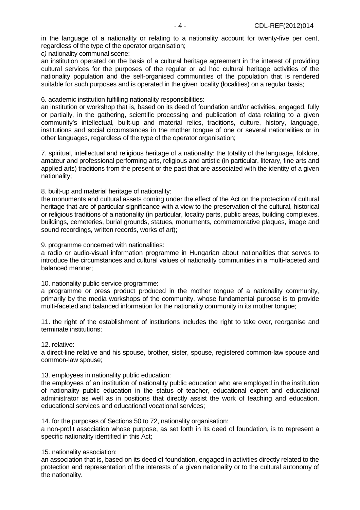in the language of a nationality or relating to a nationality account for twenty-five per cent, regardless of the type of the operator organisation;

c) nationality communal scene:

an institution operated on the basis of a cultural heritage agreement in the interest of providing cultural services for the purposes of the regular or ad hoc cultural heritage activities of the nationality population and the self-organised communities of the population that is rendered suitable for such purposes and is operated in the given locality (localities) on a regular basis;

6. academic institution fulfilling nationality responsibilities:

an institution or workshop that is, based on its deed of foundation and/or activities, engaged, fully or partially, in the gathering, scientific processing and publication of data relating to a given community's intellectual, built-up and material relics, traditions, culture, history, language, institutions and social circumstances in the mother tongue of one or several nationalities or in other languages, regardless of the type of the operator organisation;

7. spiritual, intellectual and religious heritage of a nationality: the totality of the language, folklore, amateur and professional performing arts, religious and artistic (in particular, literary, fine arts and applied arts) traditions from the present or the past that are associated with the identity of a given nationality;

8. built-up and material heritage of nationality:

the monuments and cultural assets coming under the effect of the Act on the protection of cultural heritage that are of particular significance with a view to the preservation of the cultural, historical or religious traditions of a nationality (in particular, locality parts, public areas, building complexes, buildings, cemeteries, burial grounds, statues, monuments, commemorative plaques, image and sound recordings, written records, works of art);

9. programme concerned with nationalities:

a radio or audio-visual information programme in Hungarian about nationalities that serves to introduce the circumstances and cultural values of nationality communities in a multi-faceted and balanced manner;

10. nationality public service programme:

a programme or press product produced in the mother tongue of a nationality community, primarily by the media workshops of the community, whose fundamental purpose is to provide multi-faceted and balanced information for the nationality community in its mother tongue;

11. the right of the establishment of institutions includes the right to take over, reorganise and terminate institutions;

12. relative:

a direct-line relative and his spouse, brother, sister, spouse, registered common-law spouse and common-law spouse;

13. employees in nationality public education:

the employees of an institution of nationality public education who are employed in the institution of nationality public education in the status of teacher, educational expert and educational administrator as well as in positions that directly assist the work of teaching and education, educational services and educational vocational services;

14. for the purposes of Sections 50 to 72, nationality organisation:

a non-profit association whose purpose, as set forth in its deed of foundation, is to represent a specific nationality identified in this Act;

15. nationality association:

an association that is, based on its deed of foundation, engaged in activities directly related to the protection and representation of the interests of a given nationality or to the cultural autonomy of the nationality.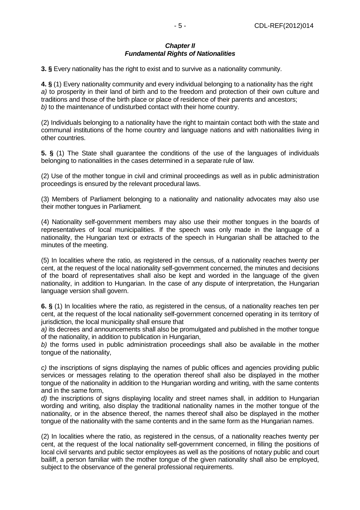#### **Chapter II Fundamental Rights of Nationalities**

**3. §** Every nationality has the right to exist and to survive as a nationality community.

**4. §** (1) Every nationality community and every individual belonging to a nationality has the right a) to prosperity in their land of birth and to the freedom and protection of their own culture and traditions and those of the birth place or place of residence of their parents and ancestors; b) to the maintenance of undisturbed contact with their home country.

(2) Individuals belonging to a nationality have the right to maintain contact both with the state and communal institutions of the home country and language nations and with nationalities living in other countries.

**5. §** (1) The State shall guarantee the conditions of the use of the languages of individuals belonging to nationalities in the cases determined in a separate rule of law.

(2) Use of the mother tongue in civil and criminal proceedings as well as in public administration proceedings is ensured by the relevant procedural laws.

(3) Members of Parliament belonging to a nationality and nationality advocates may also use their mother tongues in Parliament.

(4) Nationality self-government members may also use their mother tongues in the boards of representatives of local municipalities. If the speech was only made in the language of a nationality, the Hungarian text or extracts of the speech in Hungarian shall be attached to the minutes of the meeting.

(5) In localities where the ratio, as registered in the census, of a nationality reaches twenty per cent, at the request of the local nationality self-government concerned, the minutes and decisions of the board of representatives shall also be kept and worded in the language of the given nationality, in addition to Hungarian. In the case of any dispute of interpretation, the Hungarian language version shall govern.

**6. §** (1) In localities where the ratio, as registered in the census, of a nationality reaches ten per cent, at the request of the local nationality self-government concerned operating in its territory of jurisdiction, the local municipality shall ensure that

a) its decrees and announcements shall also be promulgated and published in the mother tongue of the nationality, in addition to publication in Hungarian,

b) the forms used in public administration proceedings shall also be available in the mother tongue of the nationality,

c) the inscriptions of signs displaying the names of public offices and agencies providing public services or messages relating to the operation thereof shall also be displayed in the mother tongue of the nationality in addition to the Hungarian wording and writing, with the same contents and in the same form,

d) the inscriptions of signs displaying locality and street names shall, in addition to Hungarian wording and writing, also display the traditional nationality names in the mother tongue of the nationality, or in the absence thereof, the names thereof shall also be displayed in the mother tongue of the nationality with the same contents and in the same form as the Hungarian names.

(2) In localities where the ratio, as registered in the census, of a nationality reaches twenty per cent, at the request of the local nationality self-government concerned, in filling the positions of local civil servants and public sector employees as well as the positions of notary public and court bailiff, a person familiar with the mother tongue of the given nationality shall also be employed, subject to the observance of the general professional requirements.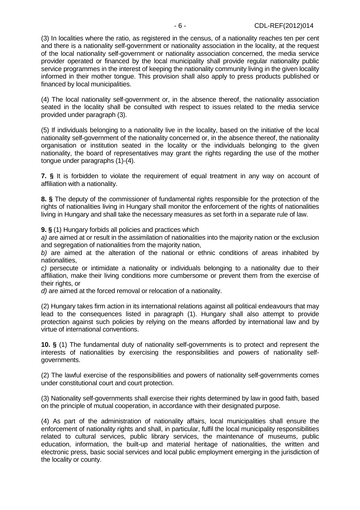(3) In localities where the ratio, as registered in the census, of a nationality reaches ten per cent and there is a nationality self-government or nationality association in the locality, at the request of the local nationality self-government or nationality association concerned, the media service provider operated or financed by the local municipality shall provide regular nationality public service programmes in the interest of keeping the nationality community living in the given locality informed in their mother tongue. This provision shall also apply to press products published or financed by local municipalities.

(4) The local nationality self-government or, in the absence thereof, the nationality association seated in the locality shall be consulted with respect to issues related to the media service provided under paragraph (3).

(5) If individuals belonging to a nationality live in the locality, based on the initiative of the local nationality self-government of the nationality concerned or, in the absence thereof, the nationality organisation or institution seated in the locality or the individuals belonging to the given nationality, the board of representatives may grant the rights regarding the use of the mother tongue under paragraphs (1)-(4).

**7. §** It is forbidden to violate the requirement of equal treatment in any way on account of affiliation with a nationality.

**8. §** The deputy of the commissioner of fundamental rights responsible for the protection of the rights of nationalities living in Hungary shall monitor the enforcement of the rights of nationalities living in Hungary and shall take the necessary measures as set forth in a separate rule of law.

**9. §** (1) Hungary forbids all policies and practices which

a) are aimed at or result in the assimilation of nationalities into the majority nation or the exclusion and segregation of nationalities from the majority nation,

b) are aimed at the alteration of the national or ethnic conditions of areas inhabited by nationalities,

c) persecute or intimidate a nationality or individuals belonging to a nationality due to their affiliation, make their living conditions more cumbersome or prevent them from the exercise of their rights, or

d) are aimed at the forced removal or relocation of a nationality.

(2) Hungary takes firm action in its international relations against all political endeavours that may lead to the consequences listed in paragraph (1). Hungary shall also attempt to provide protection against such policies by relying on the means afforded by international law and by virtue of international conventions.

**10. §** (1) The fundamental duty of nationality self-governments is to protect and represent the interests of nationalities by exercising the responsibilities and powers of nationality selfgovernments.

(2) The lawful exercise of the responsibilities and powers of nationality self-governments comes under constitutional court and court protection.

(3) Nationality self-governments shall exercise their rights determined by law in good faith, based on the principle of mutual cooperation, in accordance with their designated purpose.

(4) As part of the administration of nationality affairs, local municipalities shall ensure the enforcement of nationality rights and shall, in particular, fulfil the local municipality responsibilities related to cultural services, public library services, the maintenance of museums, public education, information, the built-up and material heritage of nationalities, the written and electronic press, basic social services and local public employment emerging in the jurisdiction of the locality or county.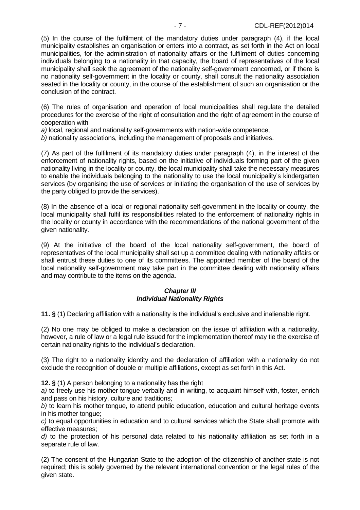(5) In the course of the fulfilment of the mandatory duties under paragraph (4), if the local municipality establishes an organisation or enters into a contract, as set forth in the Act on local municipalities, for the administration of nationality affairs or the fulfilment of duties concerning individuals belonging to a nationality in that capacity, the board of representatives of the local municipality shall seek the agreement of the nationality self-government concerned, or if there is no nationality self-government in the locality or county, shall consult the nationality association seated in the locality or county, in the course of the establishment of such an organisation or the conclusion of the contract.

(6) The rules of organisation and operation of local municipalities shall regulate the detailed procedures for the exercise of the right of consultation and the right of agreement in the course of cooperation with

a) local, regional and nationality self-governments with nation-wide competence,

b) nationality associations, including the management of proposals and initiatives.

(7) As part of the fulfilment of its mandatory duties under paragraph (4), in the interest of the enforcement of nationality rights, based on the initiative of individuals forming part of the given nationality living in the locality or county, the local municipality shall take the necessary measures to enable the individuals belonging to the nationality to use the local municipality's kindergarten services (by organising the use of services or initiating the organisation of the use of services by the party obliged to provide the services).

(8) In the absence of a local or regional nationality self-government in the locality or county, the local municipality shall fulfil its responsibilities related to the enforcement of nationality rights in the locality or county in accordance with the recommendations of the national government of the given nationality.

(9) At the initiative of the board of the local nationality self-government, the board of representatives of the local municipality shall set up a committee dealing with nationality affairs or shall entrust these duties to one of its committees. The appointed member of the board of the local nationality self-government may take part in the committee dealing with nationality affairs and may contribute to the items on the agenda.

#### **Chapter III Individual Nationality Rights**

**11. §** (1) Declaring affiliation with a nationality is the individual's exclusive and inalienable right.

(2) No one may be obliged to make a declaration on the issue of affiliation with a nationality, however, a rule of law or a legal rule issued for the implementation thereof may tie the exercise of certain nationality rights to the individual's declaration.

(3) The right to a nationality identity and the declaration of affiliation with a nationality do not exclude the recognition of double or multiple affiliations, except as set forth in this Act.

**12. §** (1) A person belonging to a nationality has the right

a) to freely use his mother tongue verbally and in writing, to acquaint himself with, foster, enrich and pass on his history, culture and traditions;

 $b$ ) to learn his mother tongue, to attend public education, education and cultural heritage events in his mother tongue;

c) to equal opportunities in education and to cultural services which the State shall promote with effective measures;

d) to the protection of his personal data related to his nationality affiliation as set forth in a separate rule of law.

(2) The consent of the Hungarian State to the adoption of the citizenship of another state is not required; this is solely governed by the relevant international convention or the legal rules of the given state.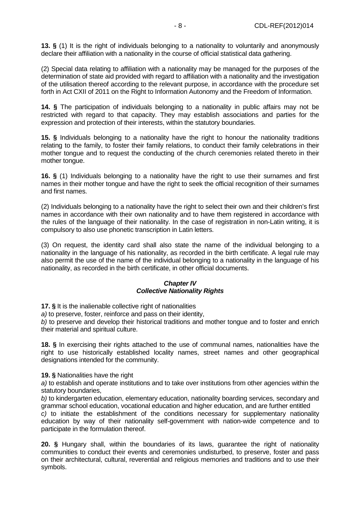**13. §** (1) It is the right of individuals belonging to a nationality to voluntarily and anonymously declare their affiliation with a nationality in the course of official statistical data gathering.

(2) Special data relating to affiliation with a nationality may be managed for the purposes of the determination of state aid provided with regard to affiliation with a nationality and the investigation of the utilisation thereof according to the relevant purpose, in accordance with the procedure set forth in Act CXII of 2011 on the Right to Information Autonomy and the Freedom of Information.

**14. §** The participation of individuals belonging to a nationality in public affairs may not be restricted with regard to that capacity. They may establish associations and parties for the expression and protection of their interests, within the statutory boundaries.

**15. §** Individuals belonging to a nationality have the right to honour the nationality traditions relating to the family, to foster their family relations, to conduct their family celebrations in their mother tongue and to request the conducting of the church ceremonies related thereto in their mother tongue.

**16. §** (1) Individuals belonging to a nationality have the right to use their surnames and first names in their mother tongue and have the right to seek the official recognition of their surnames and first names.

(2) Individuals belonging to a nationality have the right to select their own and their children's first names in accordance with their own nationality and to have them registered in accordance with the rules of the language of their nationality. In the case of registration in non-Latin writing, it is compulsory to also use phonetic transcription in Latin letters.

(3) On request, the identity card shall also state the name of the individual belonging to a nationality in the language of his nationality, as recorded in the birth certificate. A legal rule may also permit the use of the name of the individual belonging to a nationality in the language of his nationality, as recorded in the birth certificate, in other official documents.

# **Chapter IV Collective Nationality Rights**

**17. §** It is the inalienable collective right of nationalities

a) to preserve, foster, reinforce and pass on their identity,

b) to preserve and develop their historical traditions and mother tongue and to foster and enrich their material and spiritual culture.

**18. §** In exercising their rights attached to the use of communal names, nationalities have the right to use historically established locality names, street names and other geographical designations intended for the community.

**19. §** Nationalities have the right

a) to establish and operate institutions and to take over institutions from other agencies within the statutory boundaries,

b) to kindergarten education, elementary education, nationality boarding services, secondary and grammar school education, vocational education and higher education, and are further entitled

c) to initiate the establishment of the conditions necessary for supplementary nationality education by way of their nationality self-government with nation-wide competence and to participate in the formulation thereof.

**20. §** Hungary shall, within the boundaries of its laws, guarantee the right of nationality communities to conduct their events and ceremonies undisturbed, to preserve, foster and pass on their architectural, cultural, reverential and religious memories and traditions and to use their symbols.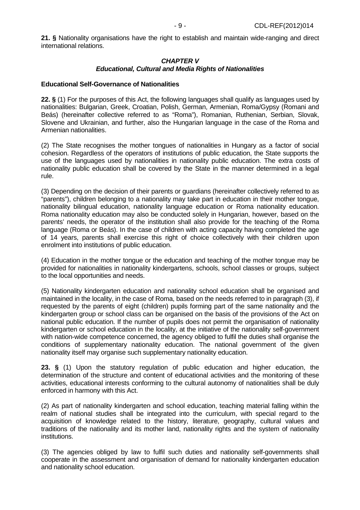**21. §** Nationality organisations have the right to establish and maintain wide-ranging and direct international relations.

#### **CHAPTER V Educational, Cultural and Media Rights of Nationalities**

#### **Educational Self-Governance of Nationalities**

**22. §** (1) For the purposes of this Act, the following languages shall qualify as languages used by nationalities: Bulgarian, Greek, Croatian, Polish, German, Armenian, Roma/Gypsy (Romani and Beás) (hereinafter collective referred to as "Roma"), Romanian, Ruthenian, Serbian, Slovak, Slovene and Ukrainian, and further, also the Hungarian language in the case of the Roma and Armenian nationalities.

(2) The State recognises the mother tongues of nationalities in Hungary as a factor of social cohesion. Regardless of the operators of institutions of public education, the State supports the use of the languages used by nationalities in nationality public education. The extra costs of nationality public education shall be covered by the State in the manner determined in a legal rule.

(3) Depending on the decision of their parents or guardians (hereinafter collectively referred to as "parents"), children belonging to a nationality may take part in education in their mother tongue, nationality bilingual education, nationality language education or Roma nationality education. Roma nationality education may also be conducted solely in Hungarian, however, based on the parents' needs, the operator of the institution shall also provide for the teaching of the Roma language (Roma or Beás). In the case of children with acting capacity having completed the age of 14 years, parents shall exercise this right of choice collectively with their children upon enrolment into institutions of public education.

(4) Education in the mother tongue or the education and teaching of the mother tongue may be provided for nationalities in nationality kindergartens, schools, school classes or groups, subject to the local opportunities and needs.

(5) Nationality kindergarten education and nationality school education shall be organised and maintained in the locality, in the case of Roma, based on the needs referred to in paragraph (3), if requested by the parents of eight (children) pupils forming part of the same nationality and the kindergarten group or school class can be organised on the basis of the provisions of the Act on national public education. If the number of pupils does not permit the organisation of nationality kindergarten or school education in the locality, at the initiative of the nationality self-government with nation-wide competence concerned, the agency obliged to fulfil the duties shall organise the conditions of supplementary nationality education. The national government of the given nationality itself may organise such supplementary nationality education.

**23. §** (1) Upon the statutory regulation of public education and higher education, the determination of the structure and content of educational activities and the monitoring of these activities, educational interests conforming to the cultural autonomy of nationalities shall be duly enforced in harmony with this Act.

(2) As part of nationality kindergarten and school education, teaching material falling within the realm of national studies shall be integrated into the curriculum, with special regard to the acquisition of knowledge related to the history, literature, geography, cultural values and traditions of the nationality and its mother land, nationality rights and the system of nationality institutions.

(3) The agencies obliged by law to fulfil such duties and nationality self-governments shall cooperate in the assessment and organisation of demand for nationality kindergarten education and nationality school education.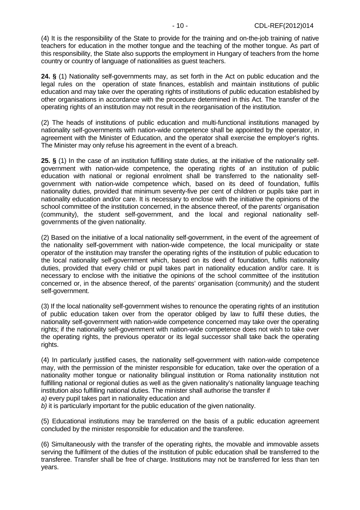(4) It is the responsibility of the State to provide for the training and on-the-job training of native teachers for education in the mother tongue and the teaching of the mother tongue. As part of this responsibility, the State also supports the employment in Hungary of teachers from the home country or country of language of nationalities as guest teachers.

**24. §** (1) Nationality self-governments may, as set forth in the Act on public education and the legal rules on the operation of state finances, establish and maintain institutions of public education and may take over the operating rights of institutions of public education established by other organisations in accordance with the procedure determined in this Act. The transfer of the operating rights of an institution may not result in the reorganisation of the institution.

(2) The heads of institutions of public education and multi-functional institutions managed by nationality self-governments with nation-wide competence shall be appointed by the operator, in agreement with the Minister of Education, and the operator shall exercise the employer's rights. The Minister may only refuse his agreement in the event of a breach.

**25. §** (1) In the case of an institution fulfilling state duties, at the initiative of the nationality selfgovernment with nation-wide competence, the operating rights of an institution of public education with national or regional enrolment shall be transferred to the nationality selfgovernment with nation-wide competence which, based on its deed of foundation, fulfils nationality duties, provided that minimum seventy-five per cent of children or pupils take part in nationality education and/or care. It is necessary to enclose with the initiative the opinions of the school committee of the institution concerned, in the absence thereof, of the parents' organisation (community), the student self-government, and the local and regional nationality selfgovernments of the given nationality.

(2) Based on the initiative of a local nationality self-government, in the event of the agreement of the nationality self-government with nation-wide competence, the local municipality or state operator of the institution may transfer the operating rights of the institution of public education to the local nationality self-government which, based on its deed of foundation, fulfils nationality duties, provided that every child or pupil takes part in nationality education and/or care. It is necessary to enclose with the initiative the opinions of the school committee of the institution concerned or, in the absence thereof, of the parents' organisation (community) and the student self-government.

(3) If the local nationality self-government wishes to renounce the operating rights of an institution of public education taken over from the operator obliged by law to fulfil these duties, the nationality self-government with nation-wide competence concerned may take over the operating rights; if the nationality self-government with nation-wide competence does not wish to take over the operating rights, the previous operator or its legal successor shall take back the operating rights.

(4) In particularly justified cases, the nationality self-government with nation-wide competence may, with the permission of the minister responsible for education, take over the operation of a nationality mother tongue or nationality bilingual institution or Roma nationality institution not fulfilling national or regional duties as well as the given nationality's nationality language teaching institution also fulfilling national duties. The minister shall authorise the transfer if

a) every pupil takes part in nationality education and

b) it is particularly important for the public education of the given nationality.

(5) Educational institutions may be transferred on the basis of a public education agreement concluded by the minister responsible for education and the transferee.

(6) Simultaneously with the transfer of the operating rights, the movable and immovable assets serving the fulfilment of the duties of the institution of public education shall be transferred to the transferee. Transfer shall be free of charge. Institutions may not be transferred for less than ten years.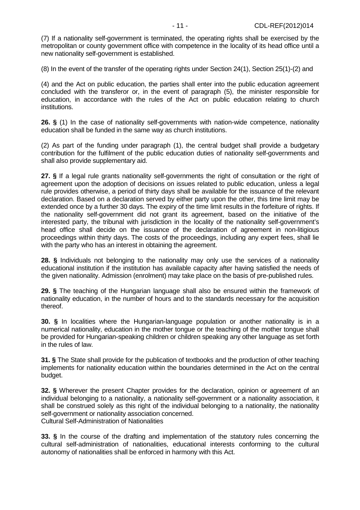(7) If a nationality self-government is terminated, the operating rights shall be exercised by the metropolitan or county government office with competence in the locality of its head office until a new nationality self-government is established.

(8) In the event of the transfer of the operating rights under Section 24(1), Section 25(1)-(2) and

(4) and the Act on public education, the parties shall enter into the public education agreement concluded with the transferor or, in the event of paragraph (5), the minister responsible for education, in accordance with the rules of the Act on public education relating to church institutions.

**26. §** (1) In the case of nationality self-governments with nation-wide competence, nationality education shall be funded in the same way as church institutions.

(2) As part of the funding under paragraph (1), the central budget shall provide a budgetary contribution for the fulfilment of the public education duties of nationality self-governments and shall also provide supplementary aid.

**27. §** If a legal rule grants nationality self-governments the right of consultation or the right of agreement upon the adoption of decisions on issues related to public education, unless a legal rule provides otherwise, a period of thirty days shall be available for the issuance of the relevant declaration. Based on a declaration served by either party upon the other, this time limit may be extended once by a further 30 days. The expiry of the time limit results in the forfeiture of rights. If the nationality self-government did not grant its agreement, based on the initiative of the interested party, the tribunal with jurisdiction in the locality of the nationality self-government's head office shall decide on the issuance of the declaration of agreement in non-litigious proceedings within thirty days. The costs of the proceedings, including any expert fees, shall lie with the party who has an interest in obtaining the agreement.

**28. §** Individuals not belonging to the nationality may only use the services of a nationality educational institution if the institution has available capacity after having satisfied the needs of the given nationality. Admission (enrolment) may take place on the basis of pre-published rules.

**29. §** The teaching of the Hungarian language shall also be ensured within the framework of nationality education, in the number of hours and to the standards necessary for the acquisition thereof.

**30. §** In localities where the Hungarian-language population or another nationality is in a numerical nationality, education in the mother tongue or the teaching of the mother tongue shall be provided for Hungarian-speaking children or children speaking any other language as set forth in the rules of law.

**31. §** The State shall provide for the publication of textbooks and the production of other teaching implements for nationality education within the boundaries determined in the Act on the central budget.

**32. §** Wherever the present Chapter provides for the declaration, opinion or agreement of an individual belonging to a nationality, a nationality self-government or a nationality association, it shall be construed solely as this right of the individual belonging to a nationality, the nationality self-government or nationality association concerned. Cultural Self-Administration of Nationalities

**33. §** In the course of the drafting and implementation of the statutory rules concerning the cultural self-administration of nationalities, educational interests conforming to the cultural autonomy of nationalities shall be enforced in harmony with this Act.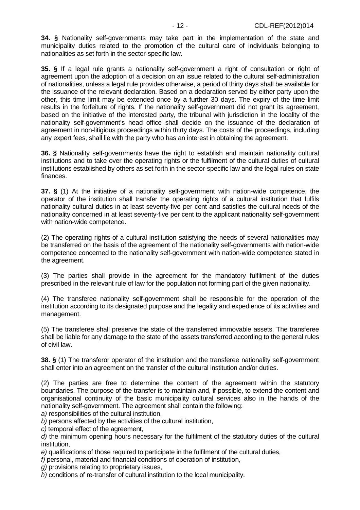**34. §** Nationality self-governments may take part in the implementation of the state and municipality duties related to the promotion of the cultural care of individuals belonging to nationalities as set forth in the sector-specific law.

**35. §** If a legal rule grants a nationality self-government a right of consultation or right of agreement upon the adoption of a decision on an issue related to the cultural self-administration of nationalities, unless a legal rule provides otherwise, a period of thirty days shall be available for the issuance of the relevant declaration. Based on a declaration served by either party upon the other, this time limit may be extended once by a further 30 days. The expiry of the time limit results in the forfeiture of rights. If the nationality self-government did not grant its agreement, based on the initiative of the interested party, the tribunal with jurisdiction in the locality of the nationality self-government's head office shall decide on the issuance of the declaration of agreement in non-litigious proceedings within thirty days. The costs of the proceedings, including any expert fees, shall lie with the party who has an interest in obtaining the agreement.

**36. §** Nationality self-governments have the right to establish and maintain nationality cultural institutions and to take over the operating rights or the fulfilment of the cultural duties of cultural institutions established by others as set forth in the sector-specific law and the legal rules on state finances.

**37. §** (1) At the initiative of a nationality self-government with nation-wide competence, the operator of the institution shall transfer the operating rights of a cultural institution that fulfils nationality cultural duties in at least seventy-five per cent and satisfies the cultural needs of the nationality concerned in at least seventy-five per cent to the applicant nationality self-government with nation-wide competence.

(2) The operating rights of a cultural institution satisfying the needs of several nationalities may be transferred on the basis of the agreement of the nationality self-governments with nation-wide competence concerned to the nationality self-government with nation-wide competence stated in the agreement.

(3) The parties shall provide in the agreement for the mandatory fulfilment of the duties prescribed in the relevant rule of law for the population not forming part of the given nationality.

(4) The transferee nationality self-government shall be responsible for the operation of the institution according to its designated purpose and the legality and expedience of its activities and management.

(5) The transferee shall preserve the state of the transferred immovable assets. The transferee shall be liable for any damage to the state of the assets transferred according to the general rules of civil law.

**38. §** (1) The transferor operator of the institution and the transferee nationality self-government shall enter into an agreement on the transfer of the cultural institution and/or duties.

(2) The parties are free to determine the content of the agreement within the statutory boundaries. The purpose of the transfer is to maintain and, if possible, to extend the content and organisational continuity of the basic municipality cultural services also in the hands of the nationality self-government. The agreement shall contain the following:

a) responsibilities of the cultural institution,

b) persons affected by the activities of the cultural institution,

c) temporal effect of the agreement,

d) the minimum opening hours necessary for the fulfilment of the statutory duties of the cultural institution,

e) qualifications of those required to participate in the fulfilment of the cultural duties,

f) personal, material and financial conditions of operation of institution,

g) provisions relating to proprietary issues,

h) conditions of re-transfer of cultural institution to the local municipality.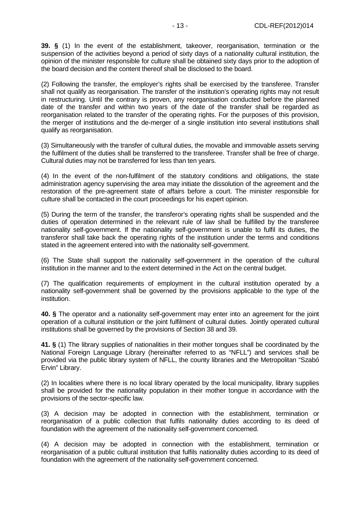**39. §** (1) In the event of the establishment, takeover, reorganisation, termination or the suspension of the activities beyond a period of sixty days of a nationality cultural institution, the opinion of the minister responsible for culture shall be obtained sixty days prior to the adoption of the board decision and the content thereof shall be disclosed to the board.

(2) Following the transfer, the employer's rights shall be exercised by the transferee. Transfer shall not qualify as reorganisation. The transfer of the institution's operating rights may not result in restructuring. Until the contrary is proven, any reorganisation conducted before the planned date of the transfer and within two years of the date of the transfer shall be regarded as reorganisation related to the transfer of the operating rights. For the purposes of this provision, the merger of institutions and the de-merger of a single institution into several institutions shall qualify as reorganisation.

(3) Simultaneously with the transfer of cultural duties, the movable and immovable assets serving the fulfilment of the duties shall be transferred to the transferee. Transfer shall be free of charge. Cultural duties may not be transferred for less than ten years.

(4) In the event of the non-fulfilment of the statutory conditions and obligations, the state administration agency supervising the area may initiate the dissolution of the agreement and the restoration of the pre-agreement state of affairs before a court. The minister responsible for culture shall be contacted in the court proceedings for his expert opinion.

(5) During the term of the transfer, the transferor's operating rights shall be suspended and the duties of operation determined in the relevant rule of law shall be fulfilled by the transferee nationality self-government. If the nationality self-government is unable to fulfil its duties, the transferor shall take back the operating rights of the institution under the terms and conditions stated in the agreement entered into with the nationality self-government.

(6) The State shall support the nationality self-government in the operation of the cultural institution in the manner and to the extent determined in the Act on the central budget.

(7) The qualification requirements of employment in the cultural institution operated by a nationality self-government shall be governed by the provisions applicable to the type of the institution.

**40. §** The operator and a nationality self-government may enter into an agreement for the joint operation of a cultural institution or the joint fulfilment of cultural duties. Jointly operated cultural institutions shall be governed by the provisions of Section 38 and 39.

**41. §** (1) The library supplies of nationalities in their mother tongues shall be coordinated by the National Foreign Language Library (hereinafter referred to as "NFLL") and services shall be provided via the public library system of NFLL, the county libraries and the Metropolitan "Szabó Ervin" Library.

(2) In localities where there is no local library operated by the local municipality, library supplies shall be provided for the nationality population in their mother tongue in accordance with the provisions of the sector-specific law.

(3) A decision may be adopted in connection with the establishment, termination or reorganisation of a public collection that fulfils nationality duties according to its deed of foundation with the agreement of the nationality self-government concerned.

(4) A decision may be adopted in connection with the establishment, termination or reorganisation of a public cultural institution that fulfils nationality duties according to its deed of foundation with the agreement of the nationality self-government concerned.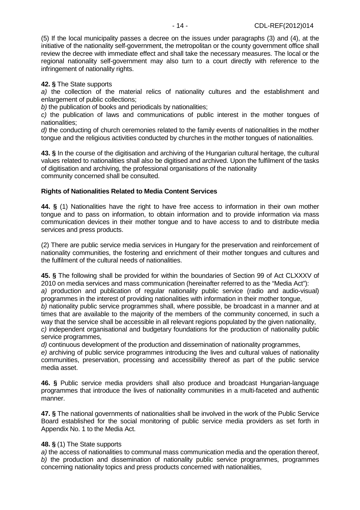(5) If the local municipality passes a decree on the issues under paragraphs (3) and (4), at the initiative of the nationality self-government, the metropolitan or the county government office shall review the decree with immediate effect and shall take the necessary measures. The local or the regional nationality self-government may also turn to a court directly with reference to the infringement of nationality rights.

## **42. §** The State supports

a) the collection of the material relics of nationality cultures and the establishment and enlargement of public collections;

b) the publication of books and periodicals by nationalities;

c) the publication of laws and communications of public interest in the mother tongues of nationalities;

d) the conducting of church ceremonies related to the family events of nationalities in the mother tongue and the religious activities conducted by churches in the mother tongues of nationalities.

**43. §** In the course of the digitisation and archiving of the Hungarian cultural heritage, the cultural values related to nationalities shall also be digitised and archived. Upon the fulfilment of the tasks of digitisation and archiving, the professional organisations of the nationality community concerned shall be consulted.

# **Rights of Nationalities Related to Media Content Services**

**44. §** (1) Nationalities have the right to have free access to information in their own mother tongue and to pass on information, to obtain information and to provide information via mass communication devices in their mother tongue and to have access to and to distribute media services and press products.

(2) There are public service media services in Hungary for the preservation and reinforcement of nationality communities, the fostering and enrichment of their mother tongues and cultures and the fulfilment of the cultural needs of nationalities.

**45. §** The following shall be provided for within the boundaries of Section 99 of Act CLXXXV of 2010 on media services and mass communication (hereinafter referred to as the "Media Act"): a) production and publication of regular nationality public service (radio and audio-visual) programmes in the interest of providing nationalities with information in their mother tongue, b) nationality public service programmes shall, where possible, be broadcast in a manner and at times that are available to the majority of the members of the community concerned, in such a way that the service shall be accessible in all relevant regions populated by the given nationality,

c) independent organisational and budgetary foundations for the production of nationality public service programmes,

d) continuous development of the production and dissemination of nationality programmes,

e) archiving of public service programmes introducing the lives and cultural values of nationality communities, preservation, processing and accessibility thereof as part of the public service media asset.

**46. §** Public service media providers shall also produce and broadcast Hungarian-language programmes that introduce the lives of nationality communities in a multi-faceted and authentic manner.

**47. §** The national governments of nationalities shall be involved in the work of the Public Service Board established for the social monitoring of public service media providers as set forth in Appendix No. 1 to the Media Act.

# **48. §** (1) The State supports

a) the access of nationalities to communal mass communication media and the operation thereof. b) the production and dissemination of nationality public service programmes, programmes concerning nationality topics and press products concerned with nationalities,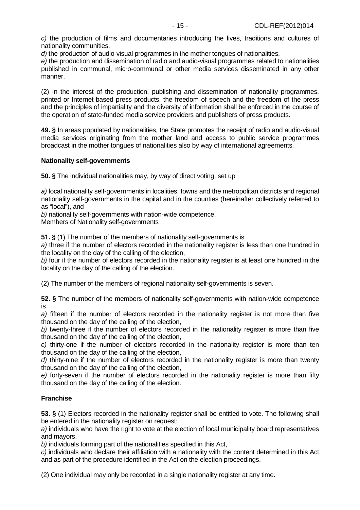c) the production of films and documentaries introducing the lives, traditions and cultures of nationality communities,

d) the production of audio-visual programmes in the mother tongues of nationalities,

e) the production and dissemination of radio and audio-visual programmes related to nationalities published in communal, micro-communal or other media services disseminated in any other manner.

(2) In the interest of the production, publishing and dissemination of nationality programmes, printed or Internet-based press products, the freedom of speech and the freedom of the press and the principles of impartiality and the diversity of information shall be enforced in the course of the operation of state-funded media service providers and publishers of press products.

**49. §** In areas populated by nationalities, the State promotes the receipt of radio and audio-visual media services originating from the mother land and access to public service programmes broadcast in the mother tongues of nationalities also by way of international agreements.

# **Nationality self-governments**

**50. §** The individual nationalities may, by way of direct voting, set up

a) local nationality self-governments in localities, towns and the metropolitan districts and regional nationality self-governments in the capital and in the counties (hereinafter collectively referred to as "local"), and

b) nationality self-governments with nation-wide competence.

Members of Nationality self-governments

**51. §** (1) The number of the members of nationality self-governments is

a) three if the number of electors recorded in the nationality register is less than one hundred in the locality on the day of the calling of the election,

b) four if the number of electors recorded in the nationality register is at least one hundred in the locality on the day of the calling of the election.

(2) The number of the members of regional nationality self-governments is seven.

**52. §** The number of the members of nationality self-governments with nation-wide competence is

a) fifteen if the number of electors recorded in the nationality register is not more than five thousand on the day of the calling of the election,

b) twenty-three if the number of electors recorded in the nationality register is more than five thousand on the day of the calling of the election,

c) thirty-one if the number of electors recorded in the nationality register is more than ten thousand on the day of the calling of the election,

d) thirty-nine if the number of electors recorded in the nationality register is more than twenty thousand on the day of the calling of the election,

e) forty-seven if the number of electors recorded in the nationality register is more than fifty thousand on the day of the calling of the election.

# **Franchise**

**53. §** (1) Electors recorded in the nationality register shall be entitled to vote. The following shall be entered in the nationality register on request:

a) individuals who have the right to vote at the election of local municipality board representatives and mayors,

b) individuals forming part of the nationalities specified in this Act,

c) individuals who declare their affiliation with a nationality with the content determined in this Act and as part of the procedure identified in the Act on the election proceedings.

(2) One individual may only be recorded in a single nationality register at any time.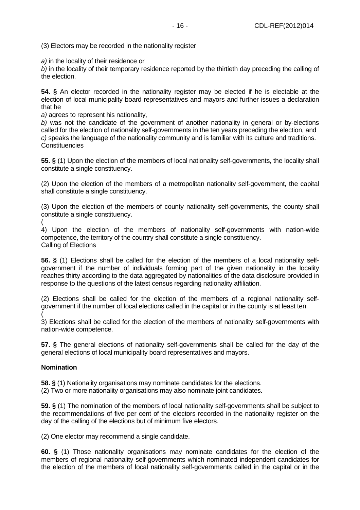(3) Electors may be recorded in the nationality register

a) in the locality of their residence or

b) in the locality of their temporary residence reported by the thirtieth day preceding the calling of the election.

**54. §** An elector recorded in the nationality register may be elected if he is electable at the election of local municipality board representatives and mayors and further issues a declaration that he

a) agrees to represent his nationality,

b) was not the candidate of the government of another nationality in general or by-elections called for the election of nationality self-governments in the ten years preceding the election, and c) speaks the language of the nationality community and is familiar with its culture and traditions. **Constituencies** 

**55. §** (1) Upon the election of the members of local nationality self-governments, the locality shall constitute a single constituency.

(2) Upon the election of the members of a metropolitan nationality self-government, the capital shall constitute a single constituency.

(3) Upon the election of the members of county nationality self-governments, the county shall constitute a single constituency.

(

4) Upon the election of the members of nationality self-governments with nation-wide competence, the territory of the country shall constitute a single constituency. Calling of Elections

**56. §** (1) Elections shall be called for the election of the members of a local nationality selfgovernment if the number of individuals forming part of the given nationality in the locality reaches thirty according to the data aggregated by nationalities of the data disclosure provided in response to the questions of the latest census regarding nationality affiliation.

(2) Elections shall be called for the election of the members of a regional nationality selfgovernment if the number of local elections called in the capital or in the county is at least ten. (

3) Elections shall be called for the election of the members of nationality self-governments with nation-wide competence.

**57. §** The general elections of nationality self-governments shall be called for the day of the general elections of local municipality board representatives and mayors.

# **Nomination**

**58. §** (1) Nationality organisations may nominate candidates for the elections.

(2) Two or more nationality organisations may also nominate joint candidates.

**59. §** (1) The nomination of the members of local nationality self-governments shall be subject to the recommendations of five per cent of the electors recorded in the nationality register on the day of the calling of the elections but of minimum five electors.

(2) One elector may recommend a single candidate.

**60. §** (1) Those nationality organisations may nominate candidates for the election of the members of regional nationality self-governments which nominated independent candidates for the election of the members of local nationality self-governments called in the capital or in the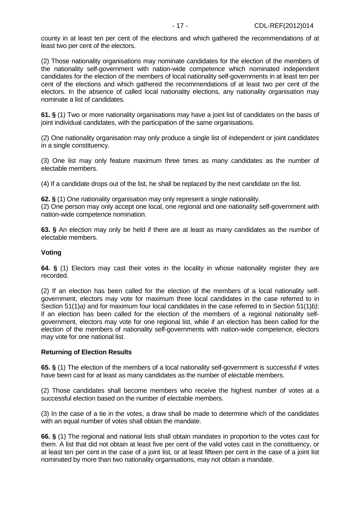county in at least ten per cent of the elections and which gathered the recommendations of at least two per cent of the electors.

(2) Those nationality organisations may nominate candidates for the election of the members of the nationality self-government with nation-wide competence which nominated independent candidates for the election of the members of local nationality self-governments in at least ten per cent of the elections and which gathered the recommendations of at least two per cent of the electors. In the absence of called local nationality elections, any nationality organisation may nominate a list of candidates.

**61. §** (1) Two or more nationality organisations may have a joint list of candidates on the basis of joint individual candidates, with the participation of the same organisations.

(2) One nationality organisation may only produce a single list of independent or joint candidates in a single constituency.

(3) One list may only feature maximum three times as many candidates as the number of electable members.

(4) If a candidate drops out of the list, he shall be replaced by the next candidate on the list.

**62. §** (1) One nationality organisation may only represent a single nationality. (2) One person may only accept one local, one regional and one nationality self-government with nation-wide competence nomination.

**63. §** An election may only be held if there are at least as many candidates as the number of electable members.

## **Voting**

**64. §** (1) Electors may cast their votes in the locality in whose nationality register they are recorded.

(2) If an election has been called for the election of the members of a local nationality selfgovernment, electors may vote for maximum three local candidates in the case referred to in Section  $51(1)a$ ) and for maximum four local candidates in the case referred to in Section  $51(1)b$ ; if an election has been called for the election of the members of a regional nationality selfgovernment, electors may vote for one regional list, while if an election has been called for the election of the members of nationality self-governments with nation-wide competence, electors may vote for one national list.

#### **Returning of Election Results**

**65. §** (1) The election of the members of a local nationality self-government is successful if votes have been cast for at least as many candidates as the number of electable members.

(2) Those candidates shall become members who receive the highest number of votes at a successful election based on the number of electable members.

(3) In the case of a tie in the votes, a draw shall be made to determine which of the candidates with an equal number of votes shall obtain the mandate.

**66. §** (1) The regional and national lists shall obtain mandates in proportion to the votes cast for them. A list that did not obtain at least five per cent of the valid votes cast in the constituency, or at least ten per cent in the case of a joint list, or at least fifteen per cent in the case of a joint list nominated by more than two nationality organisations, may not obtain a mandate.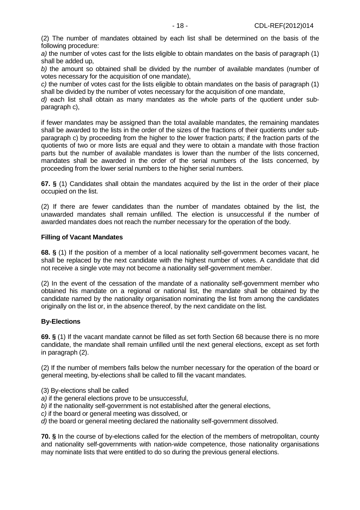(2) The number of mandates obtained by each list shall be determined on the basis of the following procedure:

a) the number of votes cast for the lists eligible to obtain mandates on the basis of paragraph (1) shall be added up,

b) the amount so obtained shall be divided by the number of available mandates (number of votes necessary for the acquisition of one mandate),

c) the number of votes cast for the lists eligible to obtain mandates on the basis of paragraph (1) shall be divided by the number of votes necessary for the acquisition of one mandate,

d) each list shall obtain as many mandates as the whole parts of the quotient under subparagraph c),

if fewer mandates may be assigned than the total available mandates, the remaining mandates shall be awarded to the lists in the order of the sizes of the fractions of their quotients under subparagraph c) by proceeding from the higher to the lower fraction parts; if the fraction parts of the quotients of two or more lists are equal and they were to obtain a mandate with those fraction parts but the number of available mandates is lower than the number of the lists concerned, mandates shall be awarded in the order of the serial numbers of the lists concerned, by proceeding from the lower serial numbers to the higher serial numbers.

**67. §** (1) Candidates shall obtain the mandates acquired by the list in the order of their place occupied on the list.

(2) If there are fewer candidates than the number of mandates obtained by the list, the unawarded mandates shall remain unfilled. The election is unsuccessful if the number of awarded mandates does not reach the number necessary for the operation of the body.

#### **Filling of Vacant Mandates**

**68. §** (1) If the position of a member of a local nationality self-government becomes vacant, he shall be replaced by the next candidate with the highest number of votes. A candidate that did not receive a single vote may not become a nationality self-government member.

(2) In the event of the cessation of the mandate of a nationality self-government member who obtained his mandate on a regional or national list, the mandate shall be obtained by the candidate named by the nationality organisation nominating the list from among the candidates originally on the list or, in the absence thereof, by the next candidate on the list.

# **By-Elections**

**69. §** (1) If the vacant mandate cannot be filled as set forth Section 68 because there is no more candidate, the mandate shall remain unfilled until the next general elections, except as set forth in paragraph (2).

(2) If the number of members falls below the number necessary for the operation of the board or general meeting, by-elections shall be called to fill the vacant mandates.

(3) By-elections shall be called

- a) if the general elections prove to be unsuccessful,
- b) if the nationality self-government is not established after the general elections,
- c) if the board or general meeting was dissolved, or
- d) the board or general meeting declared the nationality self-government dissolved.

**70. §** In the course of by-elections called for the election of the members of metropolitan, county and nationality self-governments with nation-wide competence, those nationality organisations may nominate lists that were entitled to do so during the previous general elections.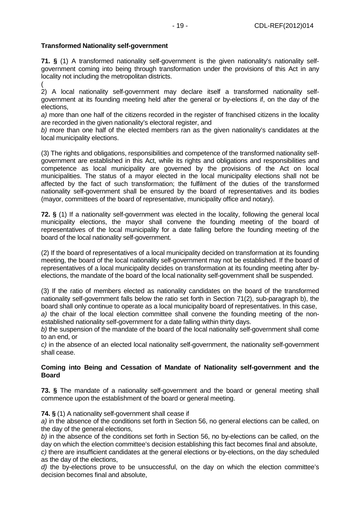# **Transformed Nationality self-government**

**71. §** (1) A transformed nationality self-government is the given nationality's nationality selfgovernment coming into being through transformation under the provisions of this Act in any locality not including the metropolitan districts.

( 2) A local nationality self-government may declare itself a transformed nationality selfgovernment at its founding meeting held after the general or by-elections if, on the day of the elections,

a) more than one half of the citizens recorded in the register of franchised citizens in the locality are recorded in the given nationality's electoral register, and

b) more than one half of the elected members ran as the given nationality's candidates at the local municipality elections.

(3) The rights and obligations, responsibilities and competence of the transformed nationality selfgovernment are established in this Act, while its rights and obligations and responsibilities and competence as local municipality are governed by the provisions of the Act on local municipalities. The status of a mayor elected in the local municipality elections shall not be affected by the fact of such transformation; the fulfilment of the duties of the transformed nationality self-government shall be ensured by the board of representatives and its bodies (mayor, committees of the board of representative, municipality office and notary).

**72. §** (1) If a nationality self-government was elected in the locality, following the general local municipality elections, the mayor shall convene the founding meeting of the board of representatives of the local municipality for a date falling before the founding meeting of the board of the local nationality self-government.

(2) If the board of representatives of a local municipality decided on transformation at its founding meeting, the board of the local nationality self-government may not be established. If the board of representatives of a local municipality decides on transformation at its founding meeting after byelections, the mandate of the board of the local nationality self-government shall be suspended.

(3) If the ratio of members elected as nationality candidates on the board of the transformed nationality self-government falls below the ratio set forth in Section 71(2), sub-paragraph b), the board shall only continue to operate as a local municipality board of representatives. In this case, a) the chair of the local election committee shall convene the founding meeting of the nonestablished nationality self-government for a date falling within thirty days.

b) the suspension of the mandate of the board of the local nationality self-government shall come to an end, or

c) in the absence of an elected local nationality self-government, the nationality self-government shall cease.

# **Coming into Being and Cessation of Mandate of Nationality self-government and the Board**

**73. §** The mandate of a nationality self-government and the board or general meeting shall commence upon the establishment of the board or general meeting.

**74. §** (1) A nationality self-government shall cease if

a) in the absence of the conditions set forth in Section 56, no general elections can be called, on the day of the general elections,

b) in the absence of the conditions set forth in Section 56, no by-elections can be called, on the day on which the election committee's decision establishing this fact becomes final and absolute, c) there are insufficient candidates at the general elections or by-elections, on the day scheduled as the day of the elections,

d) the by-elections prove to be unsuccessful, on the day on which the election committee's decision becomes final and absolute,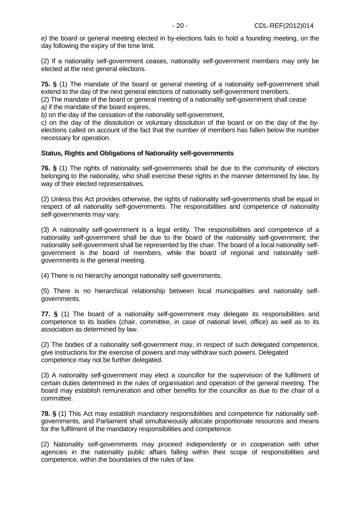e) the board or general meeting elected in by-elections fails to hold a founding meeting, on the day following the expiry of the time limit.

(2) If a nationality self-government ceases, nationality self-government members may only be elected at the next general elections.

**75. §** (1) The mandate of the board or general meeting of a nationality self-government shall extend to the day of the next general elections of nationality self-government members.

(2) The mandate of the board or general meeting of a nationality self-government shall cease a) if the mandate of the board expires,

b) on the day of the cessation of the nationality self-government,

c) on the day of the dissolution or voluntary dissolution of the board or on the day of the byelections called on account of the fact that the number of members has fallen below the number necessary for operation.

## **Status, Rights and Obligations of Nationality self-governments**

**76. §** (1) The rights of nationality self-governments shall be due to the community of electors belonging to the nationality, who shall exercise these rights in the manner determined by law, by way of their elected representatives.

(2) Unless this Act provides otherwise, the rights of nationality self-governments shall be equal in respect of all nationality self-governments. The responsibilities and competence of nationality self-governments may vary.

(3) A nationality self-government is a legal entity. The responsibilities and competence of a nationality self-government shall be due to the board of the nationality self-government; the nationality self-government shall be represented by the chair. The board of a local nationality selfgovernment is the board of members, while the board of regional and nationality selfgovernments is the general meeting.

(4) There is no hierarchy amongst nationality self-governments.

(5) There is no hierarchical relationship between local municipalities and nationality selfgovernments.

**77. §** (1) The board of a nationality self-government may delegate its responsibilities and competence to its bodies (chair, committee, in case of national level, office) as well as to its association as determined by law.

(2) The bodies of a nationality self-government may, in respect of such delegated competence, give instructions for the exercise of powers and may withdraw such powers. Delegated competence may not be further delegated.

(3) A nationality self-government may elect a councillor for the supervision of the fulfilment of certain duties determined in the rules of organisation and operation of the general meeting. The board may establish remuneration and other benefits for the councillor as due to the chair of a committee.

**78. §** (1) This Act may establish mandatory responsibilities and competence for nationality selfgovernments, and Parliament shall simultaneously allocate proportionate resources and means for the fulfilment of the mandatory responsibilities and competence.

(2) Nationality self-governments may proceed independently or in cooperation with other agencies in the nationality public affairs falling within their scope of responsibilities and competence, within the boundaries of the rules of law.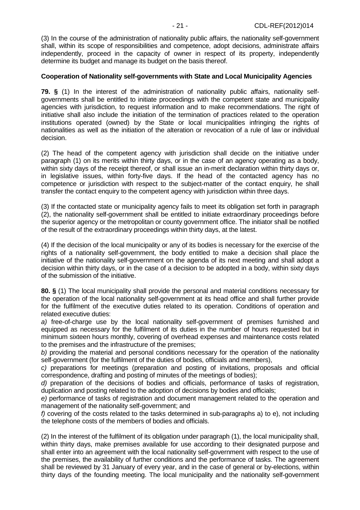(3) In the course of the administration of nationality public affairs, the nationality self-government shall, within its scope of responsibilities and competence, adopt decisions, administrate affairs independently, proceed in the capacity of owner in respect of its property, independently determine its budget and manage its budget on the basis thereof.

## **Cooperation of Nationality self-governments with State and Local Municipality Agencies**

**79. §** (1) In the interest of the administration of nationality public affairs, nationality selfgovernments shall be entitled to initiate proceedings with the competent state and municipality agencies with jurisdiction, to request information and to make recommendations. The right of initiative shall also include the initiation of the termination of practices related to the operation institutions operated (owned) by the State or local municipalities infringing the rights of nationalities as well as the initiation of the alteration or revocation of a rule of law or individual decision.

(2) The head of the competent agency with jurisdiction shall decide on the initiative under paragraph (1) on its merits within thirty days, or in the case of an agency operating as a body, within sixty days of the receipt thereof, or shall issue an in-merit declaration within thirty days or, in legislative issues, within forty-five days. If the head of the contacted agency has no competence or jurisdiction with respect to the subject-matter of the contact enquiry, he shall transfer the contact enquiry to the competent agency with jurisdiction within three days.

(3) If the contacted state or municipality agency fails to meet its obligation set forth in paragraph (2), the nationality self-government shall be entitled to initiate extraordinary proceedings before the superior agency or the metropolitan or county government office. The initiator shall be notified of the result of the extraordinary proceedings within thirty days, at the latest.

(4) If the decision of the local municipality or any of its bodies is necessary for the exercise of the rights of a nationality self-government, the body entitled to make a decision shall place the initiative of the nationality self-government on the agenda of its next meeting and shall adopt a decision within thirty days, or in the case of a decision to be adopted in a body, within sixty days of the submission of the initiative.

**80. §** (1) The local municipality shall provide the personal and material conditions necessary for the operation of the local nationality self-government at its head office and shall further provide for the fulfilment of the executive duties related to its operation. Conditions of operation and related executive duties:

a) free-of-charge use by the local nationality self-government of premises furnished and equipped as necessary for the fulfilment of its duties in the number of hours requested but in minimum sixteen hours monthly, covering of overhead expenses and maintenance costs related to the premises and the infrastructure of the premises;

b) providing the material and personal conditions necessary for the operation of the nationality self-government (for the fulfilment of the duties of bodies, officials and members),

c) preparations for meetings (preparation and posting of invitations, proposals and official correspondence, drafting and posting of minutes of the meetings of bodies);

d) preparation of the decisions of bodies and officials, performance of tasks of registration, duplication and posting related to the adoption of decisions by bodies and officials;

e) performance of tasks of registration and document management related to the operation and management of the nationality self-government; and

f) covering of the costs related to the tasks determined in sub-paragraphs a) to e), not including the telephone costs of the members of bodies and officials.

(2) In the interest of the fulfilment of its obligation under paragraph (1), the local municipality shall, within thirty days, make premises available for use according to their designated purpose and shall enter into an agreement with the local nationality self-government with respect to the use of the premises, the availability of further conditions and the performance of tasks. The agreement shall be reviewed by 31 January of every year, and in the case of general or by-elections, within thirty days of the founding meeting. The local municipality and the nationality self-government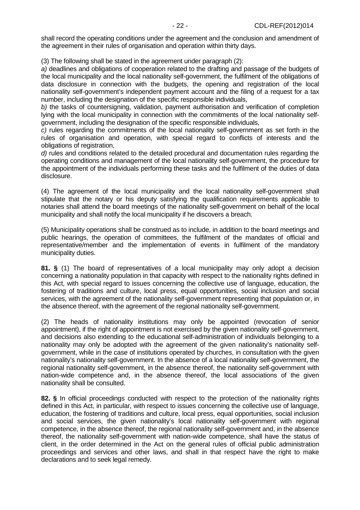shall record the operating conditions under the agreement and the conclusion and amendment of the agreement in their rules of organisation and operation within thirty days.

(3) The following shall be stated in the agreement under paragraph (2):

a) deadlines and obligations of cooperation related to the drafting and passage of the budgets of the local municipality and the local nationality self-government, the fulfilment of the obligations of data disclosure in connection with the budgets, the opening and registration of the local nationality self-government's independent payment account and the filing of a request for a tax number, including the designation of the specific responsible individuals,

b) the tasks of countersigning, validation, payment authorisation and verification of completion lying with the local municipality in connection with the commitments of the local nationality selfgovernment, including the designation of the specific responsible individuals,

c) rules regarding the commitments of the local nationality self-government as set forth in the rules of organisation and operation, with special regard to conflicts of interests and the obligations of registration,

d) rules and conditions related to the detailed procedural and documentation rules regarding the operating conditions and management of the local nationality self-government, the procedure for the appointment of the individuals performing these tasks and the fulfilment of the duties of data disclosure.

(4) The agreement of the local municipality and the local nationality self-government shall stipulate that the notary or his deputy satisfying the qualification requirements applicable to notaries shall attend the board meetings of the nationality self-government on behalf of the local municipality and shall notify the local municipality if he discovers a breach.

(5) Municipality operations shall be construed as to include, in addition to the board meetings and public hearings, the operation of committees, the fulfilment of the mandates of official and representative/member and the implementation of events in fulfilment of the mandatory municipality duties.

**81. §** (1) The board of representatives of a local municipality may only adopt a decision concerning a nationality population in that capacity with respect to the nationality rights defined in this Act, with special regard to issues concerning the collective use of language, education, the fostering of traditions and culture, local press, equal opportunities, social inclusion and social services, with the agreement of the nationality self-government representing that population or, in the absence thereof, with the agreement of the regional nationality self-government.

(2) The heads of nationality institutions may only be appointed (revocation of senior appointment), if the right of appointment is not exercised by the given nationality self-government, and decisions also extending to the educational self-administration of individuals belonging to a nationality may only be adopted with the agreement of the given nationality's nationality selfgovernment, while in the case of institutions operated by churches, in consultation with the given nationality's nationality self-government. In the absence of a local nationality self-government, the regional nationality self-government, in the absence thereof, the nationality self-government with nation-wide competence and, in the absence thereof, the local associations of the given nationality shall be consulted.

**82. §** In official proceedings conducted with respect to the protection of the nationality rights defined in this Act, in particular, with respect to issues concerning the collective use of language, education, the fostering of traditions and culture, local press, equal opportunities, social inclusion and social services, the given nationality's local nationality self-government with regional competence, in the absence thereof, the regional nationality self-government and, in the absence thereof, the nationality self-government with nation-wide competence, shall have the status of client, in the order determined in the Act on the general rules of official public administration proceedings and services and other laws, and shall in that respect have the right to make declarations and to seek legal remedy.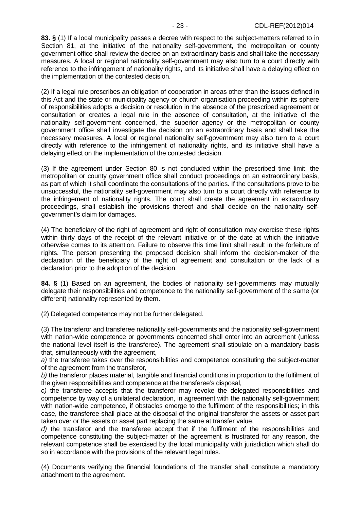**83. §** (1) If a local municipality passes a decree with respect to the subject-matters referred to in Section 81, at the initiative of the nationality self-government, the metropolitan or county government office shall review the decree on an extraordinary basis and shall take the necessary measures. A local or regional nationality self-government may also turn to a court directly with reference to the infringement of nationality rights, and its initiative shall have a delaying effect on the implementation of the contested decision.

(2) If a legal rule prescribes an obligation of cooperation in areas other than the issues defined in this Act and the state or municipality agency or church organisation proceeding within its sphere of responsibilities adopts a decision or resolution in the absence of the prescribed agreement or consultation or creates a legal rule in the absence of consultation, at the initiative of the nationality self-government concerned, the superior agency or the metropolitan or county government office shall investigate the decision on an extraordinary basis and shall take the necessary measures. A local or regional nationality self-government may also turn to a court directly with reference to the infringement of nationality rights, and its initiative shall have a delaying effect on the implementation of the contested decision.

(3) If the agreement under Section 80 is not concluded within the prescribed time limit, the metropolitan or county government office shall conduct proceedings on an extraordinary basis, as part of which it shall coordinate the consultations of the parties. If the consultations prove to be unsuccessful, the nationality self-government may also turn to a court directly with reference to the infringement of nationality rights. The court shall create the agreement in extraordinary proceedings, shall establish the provisions thereof and shall decide on the nationality selfgovernment's claim for damages.

(4) The beneficiary of the right of agreement and right of consultation may exercise these rights within thirty days of the receipt of the relevant initiative or of the date at which the initiative otherwise comes to its attention. Failure to observe this time limit shall result in the forfeiture of rights. The person presenting the proposed decision shall inform the decision-maker of the declaration of the beneficiary of the right of agreement and consultation or the lack of a declaration prior to the adoption of the decision.

**84. §** (1) Based on an agreement, the bodies of nationality self-governments may mutually delegate their responsibilities and competence to the nationality self-government of the same (or different) nationality represented by them.

(2) Delegated competence may not be further delegated.

(3) The transferor and transferee nationality self-governments and the nationality self-government with nation-wide competence or governments concerned shall enter into an agreement (unless the national level itself is the transferee). The agreement shall stipulate on a mandatory basis that, simultaneously with the agreement,

a) the transferee takes over the responsibilities and competence constituting the subject-matter of the agreement from the transferor,

b) the transferor places material, tangible and financial conditions in proportion to the fulfilment of the given responsibilities and competence at the transferee's disposal,

c) the transferee accepts that the transferor may revoke the delegated responsibilities and competence by way of a unilateral declaration, in agreement with the nationality self-government with nation-wide competence, if obstacles emerge to the fulfilment of the responsibilities; in this case, the transferee shall place at the disposal of the original transferor the assets or asset part taken over or the assets or asset part replacing the same at transfer value,

d) the transferor and the transferee accept that if the fulfilment of the responsibilities and competence constituting the subject-matter of the agreement is frustrated for any reason, the relevant competence shall be exercised by the local municipality with jurisdiction which shall do so in accordance with the provisions of the relevant legal rules.

(4) Documents verifying the financial foundations of the transfer shall constitute a mandatory attachment to the agreement.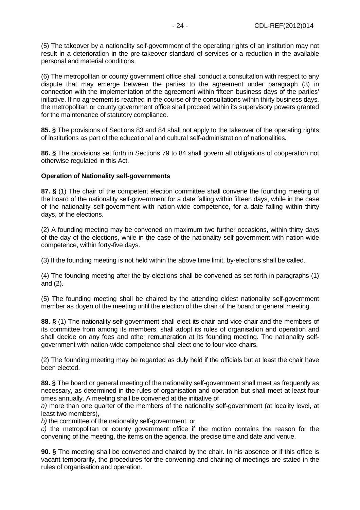(5) The takeover by a nationality self-government of the operating rights of an institution may not result in a deterioration in the pre-takeover standard of services or a reduction in the available personal and material conditions.

(6) The metropolitan or county government office shall conduct a consultation with respect to any dispute that may emerge between the parties to the agreement under paragraph (3) in connection with the implementation of the agreement within fifteen business days of the parties' initiative. If no agreement is reached in the course of the consultations within thirty business days, the metropolitan or county government office shall proceed within its supervisory powers granted for the maintenance of statutory compliance.

**85. §** The provisions of Sections 83 and 84 shall not apply to the takeover of the operating rights of institutions as part of the educational and cultural self-administration of nationalities.

**86. §** The provisions set forth in Sections 79 to 84 shall govern all obligations of cooperation not otherwise regulated in this Act.

## **Operation of Nationality self-governments**

**87. §** (1) The chair of the competent election committee shall convene the founding meeting of the board of the nationality self-government for a date falling within fifteen days, while in the case of the nationality self-government with nation-wide competence, for a date falling within thirty days, of the elections.

(2) A founding meeting may be convened on maximum two further occasions, within thirty days of the day of the elections, while in the case of the nationality self-government with nation-wide competence, within forty-five days.

(3) If the founding meeting is not held within the above time limit, by-elections shall be called.

(4) The founding meeting after the by-elections shall be convened as set forth in paragraphs (1) and (2).

(5) The founding meeting shall be chaired by the attending eldest nationality self-government member as doyen of the meeting until the election of the chair of the board or general meeting.

**88. §** (1) The nationality self-government shall elect its chair and vice-chair and the members of its committee from among its members, shall adopt its rules of organisation and operation and shall decide on any fees and other remuneration at its founding meeting. The nationality selfgovernment with nation-wide competence shall elect one to four vice-chairs.

(2) The founding meeting may be regarded as duly held if the officials but at least the chair have been elected.

**89. §** The board or general meeting of the nationality self-government shall meet as frequently as necessary, as determined in the rules of organisation and operation but shall meet at least four times annually. A meeting shall be convened at the initiative of

a) more than one quarter of the members of the nationality self-government (at locality level, at least two members),

b) the committee of the nationality self-government, or

c) the metropolitan or county government office if the motion contains the reason for the convening of the meeting, the items on the agenda, the precise time and date and venue.

**90. §** The meeting shall be convened and chaired by the chair. In his absence or if this office is vacant temporarily, the procedures for the convening and chairing of meetings are stated in the rules of organisation and operation.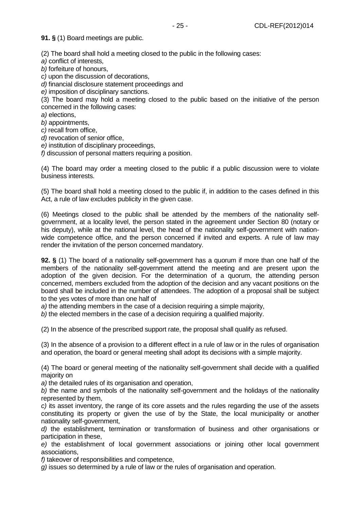**91. §** (1) Board meetings are public.

(2) The board shall hold a meeting closed to the public in the following cases:

a) conflict of interests.

b) forfeiture of honours,

c) upon the discussion of decorations,

d) financial disclosure statement proceedings and

e) imposition of disciplinary sanctions.

(3) The board may hold a meeting closed to the public based on the initiative of the person concerned in the following cases:

a) elections,

b) appointments,

c) recall from office,

d) revocation of senior office,

e) institution of disciplinary proceedings,

f) discussion of personal matters requiring a position.

(4) The board may order a meeting closed to the public if a public discussion were to violate business interests.

(5) The board shall hold a meeting closed to the public if, in addition to the cases defined in this Act, a rule of law excludes publicity in the given case.

(6) Meetings closed to the public shall be attended by the members of the nationality selfgovernment, at a locality level, the person stated in the agreement under Section 80 (notary or his deputy), while at the national level, the head of the nationality self-government with nationwide competence office, and the person concerned if invited and experts. A rule of law may render the invitation of the person concerned mandatory.

**92. §** (1) The board of a nationality self-government has a quorum if more than one half of the members of the nationality self-government attend the meeting and are present upon the adoption of the given decision. For the determination of a quorum, the attending person concerned, members excluded from the adoption of the decision and any vacant positions on the board shall be included in the number of attendees. The adoption of a proposal shall be subject to the yes votes of more than one half of

a) the attending members in the case of a decision requiring a simple majority,

b) the elected members in the case of a decision requiring a qualified majority.

(2) In the absence of the prescribed support rate, the proposal shall qualify as refused.

(3) In the absence of a provision to a different effect in a rule of law or in the rules of organisation and operation, the board or general meeting shall adopt its decisions with a simple majority.

(4) The board or general meeting of the nationality self-government shall decide with a qualified majority on

a) the detailed rules of its organisation and operation.

b) the name and symbols of the nationality self-government and the holidays of the nationality represented by them,

c) its asset inventory, the range of its core assets and the rules regarding the use of the assets constituting its property or given the use of by the State, the local municipality or another nationality self-government,

d) the establishment, termination or transformation of business and other organisations or participation in these,

e) the establishment of local government associations or joining other local government associations,

f) takeover of responsibilities and competence,

g) issues so determined by a rule of law or the rules of organisation and operation.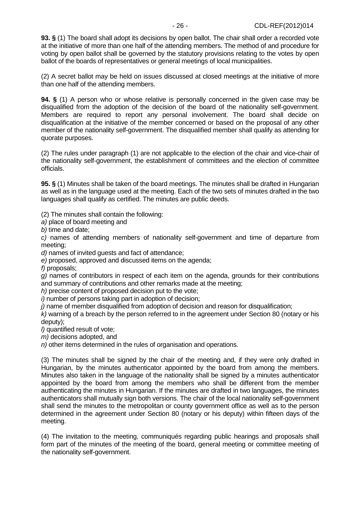**93. §** (1) The board shall adopt its decisions by open ballot. The chair shall order a recorded vote at the initiative of more than one half of the attending members. The method of and procedure for voting by open ballot shall be governed by the statutory provisions relating to the votes by open ballot of the boards of representatives or general meetings of local municipalities.

(2) A secret ballot may be held on issues discussed at closed meetings at the initiative of more than one half of the attending members.

**94. §** (1) A person who or whose relative is personally concerned in the given case may be disqualified from the adoption of the decision of the board of the nationality self-government. Members are required to report any personal involvement. The board shall decide on disqualification at the initiative of the member concerned or based on the proposal of any other member of the nationality self-government. The disqualified member shall qualify as attending for quorate purposes.

(2) The rules under paragraph (1) are not applicable to the election of the chair and vice-chair of the nationality self-government, the establishment of committees and the election of committee officials.

**95. §** (1) Minutes shall be taken of the board meetings. The minutes shall be drafted in Hungarian as well as in the language used at the meeting. Each of the two sets of minutes drafted in the two languages shall qualify as certified. The minutes are public deeds.

(2) The minutes shall contain the following:

a) place of board meeting and

b) time and date;

c) names of attending members of nationality self-government and time of departure from meeting;

d) names of invited guests and fact of attendance;

e) proposed, approved and discussed items on the agenda;

f) proposals;

g) names of contributors in respect of each item on the agenda, grounds for their contributions and summary of contributions and other remarks made at the meeting;

h) precise content of proposed decision put to the vote;

i) number of persons taking part in adoption of decision;

j) name of member disqualified from adoption of decision and reason for disqualification;

k) warning of a breach by the person referred to in the agreement under Section 80 (notary or his deputy);

l) quantified result of vote;

m) decisions adopted, and

n) other items determined in the rules of organisation and operations.

(3) The minutes shall be signed by the chair of the meeting and, if they were only drafted in Hungarian, by the minutes authenticator appointed by the board from among the members. Minutes also taken in the language of the nationality shall be signed by a minutes authenticator appointed by the board from among the members who shall be different from the member authenticating the minutes in Hungarian. If the minutes are drafted in two languages, the minutes authenticators shall mutually sign both versions. The chair of the local nationality self-government shall send the minutes to the metropolitan or county government office as well as to the person determined in the agreement under Section 80 (notary or his deputy) within fifteen days of the meeting.

(4) The invitation to the meeting, communiqués regarding public hearings and proposals shall form part of the minutes of the meeting of the board, general meeting or committee meeting of the nationality self-government.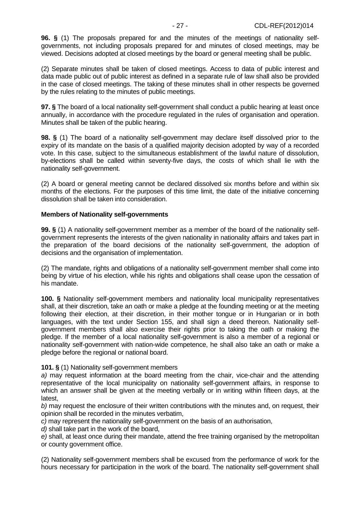**96. §** (1) The proposals prepared for and the minutes of the meetings of nationality selfgovernments, not including proposals prepared for and minutes of closed meetings, may be viewed. Decisions adopted at closed meetings by the board or general meeting shall be public.

(2) Separate minutes shall be taken of closed meetings. Access to data of public interest and data made public out of public interest as defined in a separate rule of law shall also be provided in the case of closed meetings. The taking of these minutes shall in other respects be governed by the rules relating to the minutes of public meetings.

**97. §** The board of a local nationality self-government shall conduct a public hearing at least once annually, in accordance with the procedure regulated in the rules of organisation and operation. Minutes shall be taken of the public hearing.

**98. §** (1) The board of a nationality self-government may declare itself dissolved prior to the expiry of its mandate on the basis of a qualified majority decision adopted by way of a recorded vote. In this case, subject to the simultaneous establishment of the lawful nature of dissolution, by-elections shall be called within seventy-five days, the costs of which shall lie with the nationality self-government.

(2) A board or general meeting cannot be declared dissolved six months before and within six months of the elections. For the purposes of this time limit, the date of the initiative concerning dissolution shall be taken into consideration.

#### **Members of Nationality self-governments**

**99. §** (1) A nationality self-government member as a member of the board of the nationality selfgovernment represents the interests of the given nationality in nationality affairs and takes part in the preparation of the board decisions of the nationality self-government, the adoption of decisions and the organisation of implementation.

(2) The mandate, rights and obligations of a nationality self-government member shall come into being by virtue of his election, while his rights and obligations shall cease upon the cessation of his mandate.

**100. §** Nationality self-government members and nationality local municipality representatives shall, at their discretion, take an oath or make a pledge at the founding meeting or at the meeting following their election, at their discretion, in their mother tongue or in Hungarian or in both languages, with the text under Section 155, and shall sign a deed thereon. Nationality selfgovernment members shall also exercise their rights prior to taking the oath or making the pledge. If the member of a local nationality self-government is also a member of a regional or nationality self-government with nation-wide competence, he shall also take an oath or make a pledge before the regional or national board.

# **101. §** (1) Nationality self-government members

a) may request information at the board meeting from the chair, vice-chair and the attending representative of the local municipality on nationality self-government affairs, in response to which an answer shall be given at the meeting verbally or in writing within fifteen days, at the latest,

b) may request the enclosure of their written contributions with the minutes and, on request, their opinion shall be recorded in the minutes verbatim,

c) may represent the nationality self-government on the basis of an authorisation,

d) shall take part in the work of the board,

e) shall, at least once during their mandate, attend the free training organised by the metropolitan or county government office.

(2) Nationality self-government members shall be excused from the performance of work for the hours necessary for participation in the work of the board. The nationality self-government shall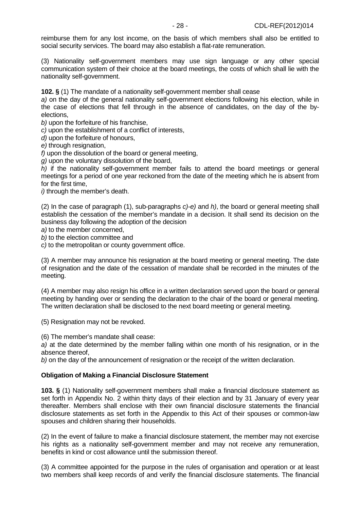reimburse them for any lost income, on the basis of which members shall also be entitled to social security services. The board may also establish a flat-rate remuneration.

(3) Nationality self-government members may use sign language or any other special communication system of their choice at the board meetings, the costs of which shall lie with the nationality self-government.

**102. §** (1) The mandate of a nationality self-government member shall cease

a) on the day of the general nationality self-government elections following his election, while in the case of elections that fell through in the absence of candidates, on the day of the byelections,

b) upon the forfeiture of his franchise,

c) upon the establishment of a conflict of interests,

d) upon the forfeiture of honours,

e) through resignation.

 $f$ ) upon the dissolution of the board or general meeting.

g) upon the voluntary dissolution of the board,

h) if the nationality self-government member fails to attend the board meetings or general meetings for a period of one year reckoned from the date of the meeting which he is absent from for the first time,

i) through the member's death.

(2) In the case of paragraph (1), sub-paragraphs  $c$ )-e) and  $h$ ), the board or general meeting shall establish the cessation of the member's mandate in a decision. It shall send its decision on the business day following the adoption of the decision

a) to the member concerned,

b) to the election committee and

c) to the metropolitan or county government office.

(3) A member may announce his resignation at the board meeting or general meeting. The date of resignation and the date of the cessation of mandate shall be recorded in the minutes of the meeting.

(4) A member may also resign his office in a written declaration served upon the board or general meeting by handing over or sending the declaration to the chair of the board or general meeting. The written declaration shall be disclosed to the next board meeting or general meeting.

(5) Resignation may not be revoked.

(6) The member's mandate shall cease:

a) at the date determined by the member falling within one month of his resignation, or in the absence thereof,

b) on the day of the announcement of resignation or the receipt of the written declaration.

#### **Obligation of Making a Financial Disclosure Statement**

**103. §** (1) Nationality self-government members shall make a financial disclosure statement as set forth in Appendix No. 2 within thirty days of their election and by 31 January of every year thereafter. Members shall enclose with their own financial disclosure statements the financial disclosure statements as set forth in the Appendix to this Act of their spouses or common-law spouses and children sharing their households.

(2) In the event of failure to make a financial disclosure statement, the member may not exercise his rights as a nationality self-government member and may not receive any remuneration, benefits in kind or cost allowance until the submission thereof.

(3) A committee appointed for the purpose in the rules of organisation and operation or at least two members shall keep records of and verify the financial disclosure statements. The financial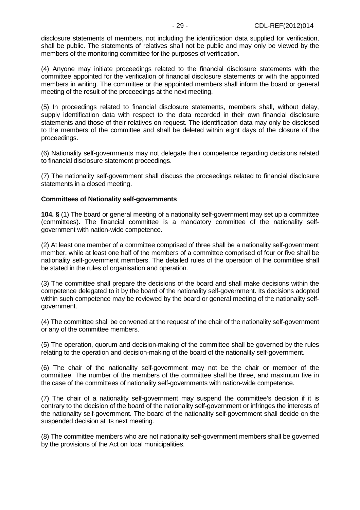disclosure statements of members, not including the identification data supplied for verification, shall be public. The statements of relatives shall not be public and may only be viewed by the members of the monitoring committee for the purposes of verification.

(4) Anyone may initiate proceedings related to the financial disclosure statements with the committee appointed for the verification of financial disclosure statements or with the appointed members in writing. The committee or the appointed members shall inform the board or general meeting of the result of the proceedings at the next meeting.

(5) In proceedings related to financial disclosure statements, members shall, without delay, supply identification data with respect to the data recorded in their own financial disclosure statements and those of their relatives on request. The identification data may only be disclosed to the members of the committee and shall be deleted within eight days of the closure of the proceedings.

(6) Nationality self-governments may not delegate their competence regarding decisions related to financial disclosure statement proceedings.

(7) The nationality self-government shall discuss the proceedings related to financial disclosure statements in a closed meeting.

## **Committees of Nationality self-governments**

**104. §** (1) The board or general meeting of a nationality self-government may set up a committee (committees). The financial committee is a mandatory committee of the nationality selfgovernment with nation-wide competence.

(2) At least one member of a committee comprised of three shall be a nationality self-government member, while at least one half of the members of a committee comprised of four or five shall be nationality self-government members. The detailed rules of the operation of the committee shall be stated in the rules of organisation and operation.

(3) The committee shall prepare the decisions of the board and shall make decisions within the competence delegated to it by the board of the nationality self-government. Its decisions adopted within such competence may be reviewed by the board or general meeting of the nationality selfgovernment.

(4) The committee shall be convened at the request of the chair of the nationality self-government or any of the committee members.

(5) The operation, quorum and decision-making of the committee shall be governed by the rules relating to the operation and decision-making of the board of the nationality self-government.

(6) The chair of the nationality self-government may not be the chair or member of the committee. The number of the members of the committee shall be three, and maximum five in the case of the committees of nationality self-governments with nation-wide competence.

(7) The chair of a nationality self-government may suspend the committee's decision if it is contrary to the decision of the board of the nationality self-government or infringes the interests of the nationality self-government. The board of the nationality self-government shall decide on the suspended decision at its next meeting.

(8) The committee members who are not nationality self-government members shall be governed by the provisions of the Act on local municipalities.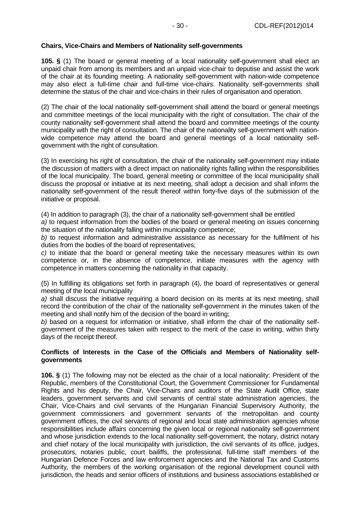# **Chairs, Vice-Chairs and Members of Nationality self-governments**

**105. §** (1) The board or general meeting of a local nationality self-government shall elect an unpaid chair from among its members and an unpaid vice-chair to deputise and assist the work of the chair at its founding meeting. A nationality self-government with nation-wide competence may also elect a full-time chair and full-time vice-chairs. Nationality self-governments shall determine the status of the chair and vice-chairs in their rules of organisation and operation.

(2) The chair of the local nationality self-government shall attend the board or general meetings and committee meetings of the local municipality with the right of consultation. The chair of the county nationality self-government shall attend the board and committee meetings of the county municipality with the right of consultation. The chair of the nationality self-government with nationwide competence may attend the board and general meetings of a local nationality selfgovernment with the right of consultation.

(3) In exercising his right of consultation, the chair of the nationality self-government may initiate the discussion of matters with a direct impact on nationality rights falling within the responsibilities of the local municipality. The board, general meeting or committee of the local municipality shall discuss the proposal or initiative at its next meeting, shall adopt a decision and shall inform the nationality self-government of the result thereof within forty-five days of the submission of the initiative or proposal.

(4) In addition to paragraph (3), the chair of a nationality self-government shall be entitled

a) to request information from the bodies of the board or general meeting on issues concerning the situation of the nationality falling within municipality competence;

b) to request information and administrative assistance as necessary for the fulfilment of his duties from the bodies of the board of representatives;

c) to initiate that the board or general meeting take the necessary measures within its own competence or, in the absence of competence, initiate measures with the agency with competence in matters concerning the nationality in that capacity.

(5) In fulfilling its obligations set forth in paragraph (4), the board of representatives or general meeting of the local municipality

a) shall discuss the initiative requiring a board decision on its merits at its next meeting, shall record the contribution of the chair of the nationality self-government in the minutes taken of the meeting and shall notify him of the decision of the board in writing;

b) based on a request for information or initiative, shall inform the chair of the nationality selfgovernment of the measures taken with respect to the merit of the case in writing, within thirty days of the receipt thereof.

## **Conflicts of Interests in the Case of the Officials and Members of Nationality selfgovernments**

**106. §** (1) The following may not be elected as the chair of a local nationality: President of the Republic, members of the Constitutional Court, the Government Commissioner for Fundamental Rights and his deputy, the Chair, Vice-Chairs and auditors of the State Audit Office, state leaders, government servants and civil servants of central state administration agencies, the Chair, Vice-Chairs and civil servants of the Hungarian Financial Supervisory Authority, the government commissioners and government servants of the metropolitan and county government offices, the civil servants of regional and local state administration agencies whose responsibilities include affairs concerning the given local or regional nationality self-government and whose jurisdiction extends to the local nationality self-government, the notary, district notary and chief notary of the local municipality with jurisdiction, the civil servants of its office, judges, prosecutors, notaries public, court bailiffs, the professional, full-time staff members of the Hungarian Defence Forces and law enforcement agencies and the National Tax and Customs Authority, the members of the working organisation of the regional development council with jurisdiction, the heads and senior officers of institutions and business associations established or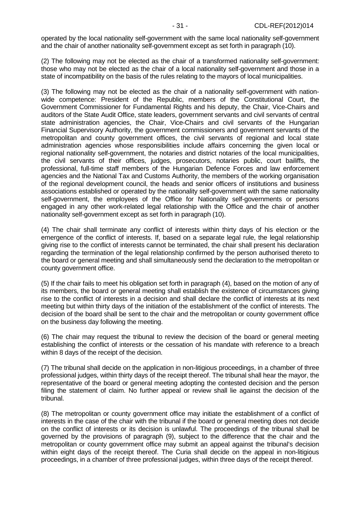operated by the local nationality self-government with the same local nationality self-government and the chair of another nationality self-government except as set forth in paragraph (10).

(2) The following may not be elected as the chair of a transformed nationality self-government: those who may not be elected as the chair of a local nationality self-government and those in a state of incompatibility on the basis of the rules relating to the mayors of local municipalities.

(3) The following may not be elected as the chair of a nationality self-government with nationwide competence: President of the Republic, members of the Constitutional Court, the Government Commissioner for Fundamental Rights and his deputy, the Chair, Vice-Chairs and auditors of the State Audit Office, state leaders, government servants and civil servants of central state administration agencies, the Chair, Vice-Chairs and civil servants of the Hungarian Financial Supervisory Authority, the government commissioners and government servants of the metropolitan and county government offices, the civil servants of regional and local state administration agencies whose responsibilities include affairs concerning the given local or regional nationality self-government, the notaries and district notaries of the local municipalities, the civil servants of their offices, judges, prosecutors, notaries public, court bailiffs, the professional, full-time staff members of the Hungarian Defence Forces and law enforcement agencies and the National Tax and Customs Authority, the members of the working organisation of the regional development council, the heads and senior officers of institutions and business associations established or operated by the nationality self-government with the same nationality self-government, the employees of the Office for Nationality self-governments or persons engaged in any other work-related legal relationship with the Office and the chair of another nationality self-government except as set forth in paragraph (10).

(4) The chair shall terminate any conflict of interests within thirty days of his election or the emergence of the conflict of interests. If, based on a separate legal rule, the legal relationship giving rise to the conflict of interests cannot be terminated, the chair shall present his declaration regarding the termination of the legal relationship confirmed by the person authorised thereto to the board or general meeting and shall simultaneously send the declaration to the metropolitan or county government office.

(5) If the chair fails to meet his obligation set forth in paragraph (4), based on the motion of any of its members, the board or general meeting shall establish the existence of circumstances giving rise to the conflict of interests in a decision and shall declare the conflict of interests at its next meeting but within thirty days of the initiation of the establishment of the conflict of interests. The decision of the board shall be sent to the chair and the metropolitan or county government office on the business day following the meeting.

(6) The chair may request the tribunal to review the decision of the board or general meeting establishing the conflict of interests or the cessation of his mandate with reference to a breach within 8 days of the receipt of the decision.

(7) The tribunal shall decide on the application in non-litigious proceedings, in a chamber of three professional judges, within thirty days of the receipt thereof. The tribunal shall hear the mayor, the representative of the board or general meeting adopting the contested decision and the person filing the statement of claim. No further appeal or review shall lie against the decision of the tribunal.

(8) The metropolitan or county government office may initiate the establishment of a conflict of interests in the case of the chair with the tribunal if the board or general meeting does not decide on the conflict of interests or its decision is unlawful. The proceedings of the tribunal shall be governed by the provisions of paragraph (9), subject to the difference that the chair and the metropolitan or county government office may submit an appeal against the tribunal's decision within eight days of the receipt thereof. The Curia shall decide on the appeal in non-litigious proceedings, in a chamber of three professional judges, within three days of the receipt thereof.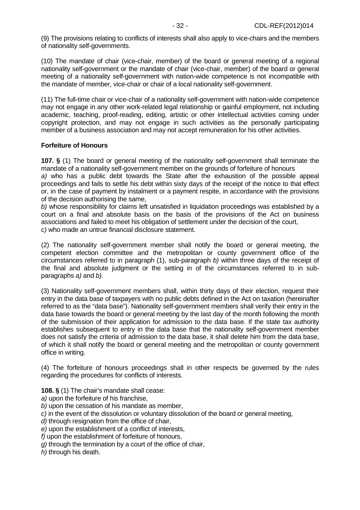(9) The provisions relating to conflicts of interests shall also apply to vice-chairs and the members of nationality self-governments.

(10) The mandate of chair (vice-chair, member) of the board or general meeting of a regional nationality self-government or the mandate of chair (vice-chair, member) of the board or general meeting of a nationality self-government with nation-wide competence is not incompatible with the mandate of member, vice-chair or chair of a local nationality self-government.

(11) The full-time chair or vice-chair of a nationality self-government with nation-wide competence may not engage in any other work-related legal relationship or gainful employment, not including academic, teaching, proof-reading, editing, artistic or other intellectual activities coming under copyright protection, and may not engage in such activities as the personally participating member of a business association and may not accept remuneration for his other activities.

# **Forfeiture of Honours**

**107. §** (1) The board or general meeting of the nationality self-government shall terminate the mandate of a nationality self-government member on the grounds of forfeiture of honours

a) who has a public debt towards the State after the exhaustion of the possible appeal proceedings and fails to settle his debt within sixty days of the receipt of the notice to that effect or, in the case of payment by instalment or a payment respite, in accordance with the provisions of the decision authorising the same,

b) whose responsibility for claims left unsatisfied in liquidation proceedings was established by a court on a final and absolute basis on the basis of the provisions of the Act on business associations and failed to meet his obligation of settlement under the decision of the court, c) who made an untrue financial disclosure statement.

(2) The nationality self-government member shall notify the board or general meeting, the competent election committee and the metropolitan or county government office of the circumstances referred to in paragraph (1), sub-paragraph b) within three days of the receipt of the final and absolute judgment or the setting in of the circumstances referred to in subparagraphs a) and b).

(3) Nationality self-government members shall, within thirty days of their election, request their entry in the data base of taxpayers with no public debts defined in the Act on taxation (hereinafter referred to as the "data base"). Nationality self-government members shall verify their entry in the data base towards the board or general meeting by the last day of the month following the month of the submission of their application for admission to the data base. If the state tax authority establishes subsequent to entry in the data base that the nationality self-government member does not satisfy the criteria of admission to the data base, it shall delete him from the data base, of which it shall notify the board or general meeting and the metropolitan or county government office in writing.

(4) The forfeiture of honours proceedings shall in other respects be governed by the rules regarding the procedures for conflicts of interests.

**108. §** (1) The chair's mandate shall cease:

a) upon the forfeiture of his franchise,

b) upon the cessation of his mandate as member,

c) in the event of the dissolution or voluntary dissolution of the board or general meeting,

d) through resignation from the office of chair.

e) upon the establishment of a conflict of interests,

f) upon the establishment of forfeiture of honours,

g) through the termination by a court of the office of chair,

h) through his death.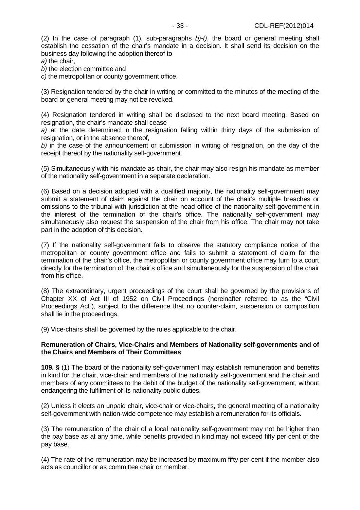(2) In the case of paragraph (1), sub-paragraphs  $(b)$ -f), the board or general meeting shall establish the cessation of the chair's mandate in a decision. It shall send its decision on the business day following the adoption thereof to a) the chair,

b) the election committee and

c) the metropolitan or county government office.

(3) Resignation tendered by the chair in writing or committed to the minutes of the meeting of the board or general meeting may not be revoked.

(4) Resignation tendered in writing shall be disclosed to the next board meeting. Based on resignation, the chair's mandate shall cease

a) at the date determined in the resignation falling within thirty days of the submission of resignation, or in the absence thereof,

b) in the case of the announcement or submission in writing of resignation, on the day of the receipt thereof by the nationality self-government.

(5) Simultaneously with his mandate as chair, the chair may also resign his mandate as member of the nationality self-government in a separate declaration.

(6) Based on a decision adopted with a qualified majority, the nationality self-government may submit a statement of claim against the chair on account of the chair's multiple breaches or omissions to the tribunal with jurisdiction at the head office of the nationality self-government in the interest of the termination of the chair's office. The nationality self-government may simultaneously also request the suspension of the chair from his office. The chair may not take part in the adoption of this decision.

(7) If the nationality self-government fails to observe the statutory compliance notice of the metropolitan or county government office and fails to submit a statement of claim for the termination of the chair's office, the metropolitan or county government office may turn to a court directly for the termination of the chair's office and simultaneously for the suspension of the chair from his office.

(8) The extraordinary, urgent proceedings of the court shall be governed by the provisions of Chapter XX of Act III of 1952 on Civil Proceedings (hereinafter referred to as the "Civil Proceedings Act"), subject to the difference that no counter-claim, suspension or composition shall lie in the proceedings.

(9) Vice-chairs shall be governed by the rules applicable to the chair.

## **Remuneration of Chairs, Vice-Chairs and Members of Nationality self-governments and of the Chairs and Members of Their Committees**

**109. §** (1) The board of the nationality self-government may establish remuneration and benefits in kind for the chair, vice-chair and members of the nationality self-government and the chair and members of any committees to the debit of the budget of the nationality self-government, without endangering the fulfilment of its nationality public duties.

(2) Unless it elects an unpaid chair, vice-chair or vice-chairs, the general meeting of a nationality self-government with nation-wide competence may establish a remuneration for its officials.

(3) The remuneration of the chair of a local nationality self-government may not be higher than the pay base as at any time, while benefits provided in kind may not exceed fifty per cent of the pay base.

(4) The rate of the remuneration may be increased by maximum fifty per cent if the member also acts as councillor or as committee chair or member.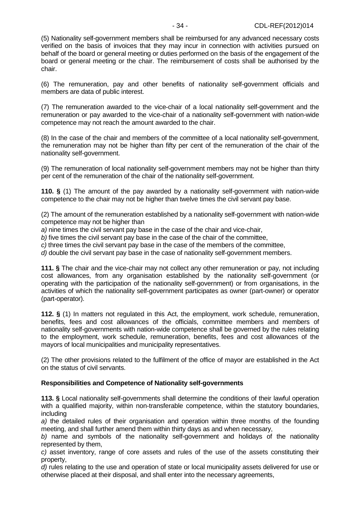(5) Nationality self-government members shall be reimbursed for any advanced necessary costs verified on the basis of invoices that they may incur in connection with activities pursued on behalf of the board or general meeting or duties performed on the basis of the engagement of the board or general meeting or the chair. The reimbursement of costs shall be authorised by the chair.

(6) The remuneration, pay and other benefits of nationality self-government officials and members are data of public interest.

(7) The remuneration awarded to the vice-chair of a local nationality self-government and the remuneration or pay awarded to the vice-chair of a nationality self-government with nation-wide competence may not reach the amount awarded to the chair.

(8) In the case of the chair and members of the committee of a local nationality self-government, the remuneration may not be higher than fifty per cent of the remuneration of the chair of the nationality self-government.

(9) The remuneration of local nationality self-government members may not be higher than thirty per cent of the remuneration of the chair of the nationality self-government.

**110. §** (1) The amount of the pay awarded by a nationality self-government with nation-wide competence to the chair may not be higher than twelve times the civil servant pay base.

(2) The amount of the remuneration established by a nationality self-government with nation-wide competence may not be higher than

a) nine times the civil servant pay base in the case of the chair and vice-chair,

b) five times the civil servant pay base in the case of the chair of the committee,

c) three times the civil servant pay base in the case of the members of the committee,

d) double the civil servant pay base in the case of nationality self-government members.

**111. §** The chair and the vice-chair may not collect any other remuneration or pay, not including cost allowances, from any organisation established by the nationality self-government (or operating with the participation of the nationality self-government) or from organisations, in the activities of which the nationality self-government participates as owner (part-owner) or operator (part-operator).

**112. §** (1) In matters not regulated in this Act, the employment, work schedule, remuneration, benefits, fees and cost allowances of the officials, committee members and members of nationality self-governments with nation-wide competence shall be governed by the rules relating to the employment, work schedule, remuneration, benefits, fees and cost allowances of the mayors of local municipalities and municipality representatives.

(2) The other provisions related to the fulfilment of the office of mayor are established in the Act on the status of civil servants.

#### **Responsibilities and Competence of Nationality self-governments**

**113. §** Local nationality self-governments shall determine the conditions of their lawful operation with a qualified majority, within non-transferable competence, within the statutory boundaries, including

a) the detailed rules of their organisation and operation within three months of the founding meeting, and shall further amend them within thirty days as and when necessary,

b) name and symbols of the nationality self-government and holidays of the nationality represented by them,

c) asset inventory, range of core assets and rules of the use of the assets constituting their property,

d) rules relating to the use and operation of state or local municipality assets delivered for use or otherwise placed at their disposal, and shall enter into the necessary agreements,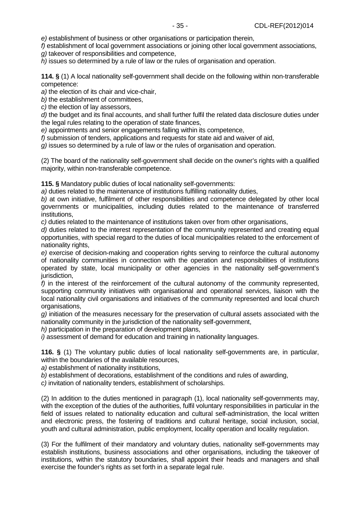e) establishment of business or other organisations or participation therein, f) establishment of local government associations or joining other local government associations,

g) takeover of responsibilities and competence,

h) issues so determined by a rule of law or the rules of organisation and operation.

**114. §** (1) A local nationality self-government shall decide on the following within non-transferable competence:

a) the election of its chair and vice-chair,

b) the establishment of committees,

c) the election of lay assessors,

d) the budget and its final accounts, and shall further fulfil the related data disclosure duties under the legal rules relating to the operation of state finances,

e) appointments and senior engagements falling within its competence,

f) submission of tenders, applications and requests for state aid and waiver of aid,

g) issues so determined by a rule of law or the rules of organisation and operation.

(2) The board of the nationality self-government shall decide on the owner's rights with a qualified majority, within non-transferable competence.

**115. §** Mandatory public duties of local nationality self-governments:

a) duties related to the maintenance of institutions fulfilling nationality duties,

b) at own initiative, fulfilment of other responsibilities and competence delegated by other local governments or municipalities, including duties related to the maintenance of transferred institutions,

c) duties related to the maintenance of institutions taken over from other organisations,

d) duties related to the interest representation of the community represented and creating equal opportunities, with special regard to the duties of local municipalities related to the enforcement of nationality rights,

e) exercise of decision-making and cooperation rights serving to reinforce the cultural autonomy of nationality communities in connection with the operation and responsibilities of institutions operated by state, local municipality or other agencies in the nationality self-government's jurisdiction.

 $f$ ) in the interest of the reinforcement of the cultural autonomy of the community represented, supporting community initiatives with organisational and operational services, liaison with the local nationality civil organisations and initiatives of the community represented and local church organisations,

g) initiation of the measures necessary for the preservation of cultural assets associated with the nationality community in the jurisdiction of the nationality self-government,

h) participation in the preparation of development plans,

i) assessment of demand for education and training in nationality languages.

**116. §** (1) The voluntary public duties of local nationality self-governments are, in particular, within the boundaries of the available resources,

a) establishment of nationality institutions,

 $b$ ) establishment of decorations, establishment of the conditions and rules of awarding.

c) invitation of nationality tenders, establishment of scholarships.

(2) In addition to the duties mentioned in paragraph (1), local nationality self-governments may, with the exception of the duties of the authorities, fulfil voluntary responsibilities in particular in the field of issues related to nationality education and cultural self-administration, the local written and electronic press, the fostering of traditions and cultural heritage, social inclusion, social, youth and cultural administration, public employment, locality operation and locality regulation.

(3) For the fulfilment of their mandatory and voluntary duties, nationality self-governments may establish institutions, business associations and other organisations, including the takeover of institutions, within the statutory boundaries, shall appoint their heads and managers and shall exercise the founder's rights as set forth in a separate legal rule.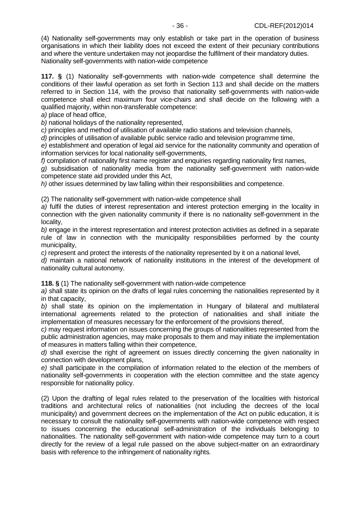(4) Nationality self-governments may only establish or take part in the operation of business organisations in which their liability does not exceed the extent of their pecuniary contributions and where the venture undertaken may not jeopardise the fulfilment of their mandatory duties. Nationality self-governments with nation-wide competence

**117. §** (1) Nationality self-governments with nation-wide competence shall determine the conditions of their lawful operation as set forth in Section 113 and shall decide on the matters referred to in Section 114, with the proviso that nationality self-governments with nation-wide competence shall elect maximum four vice-chairs and shall decide on the following with a qualified majority, within non-transferable competence:

a) place of head office,

b) national holidays of the nationality represented,

c) principles and method of utilisation of available radio stations and television channels,

d) principles of utilisation of available public service radio and television programme time,

e) establishment and operation of legal aid service for the nationality community and operation of information services for local nationality self-governments,

f) compilation of nationality first name register and enquiries regarding nationality first names,

g) subsidisation of nationality media from the nationality self-government with nation-wide competence state aid provided under this Act,

 $h$ ) other issues determined by law falling within their responsibilities and competence.

(2) The nationality self-government with nation-wide competence shall

a) fulfil the duties of interest representation and interest protection emerging in the locality in connection with the given nationality community if there is no nationality self-government in the locality,

b) engage in the interest representation and interest protection activities as defined in a separate rule of law in connection with the municipality responsibilities performed by the county municipality,

c) represent and protect the interests of the nationality represented by it on a national level,

d) maintain a national network of nationality institutions in the interest of the development of nationality cultural autonomy.

**118. §** (1) The nationality self-government with nation-wide competence

a) shall state its opinion on the drafts of legal rules concerning the nationalities represented by it in that capacity,

b) shall state its opinion on the implementation in Hungary of bilateral and multilateral international agreements related to the protection of nationalities and shall initiate the implementation of measures necessary for the enforcement of the provisions thereof,

c) may request information on issues concerning the groups of nationalities represented from the public administration agencies, may make proposals to them and may initiate the implementation of measures in matters falling within their competence,

d) shall exercise the right of agreement on issues directly concerning the given nationality in connection with development plans,

e) shall participate in the compilation of information related to the election of the members of nationality self-governments in cooperation with the election committee and the state agency responsible for nationality policy.

(2) Upon the drafting of legal rules related to the preservation of the localities with historical traditions and architectural relics of nationalities (not including the decrees of the local municipality) and government decrees on the implementation of the Act on public education, it is necessary to consult the nationality self-governments with nation-wide competence with respect to issues concerning the educational self-administration of the individuals belonging to nationalities. The nationality self-government with nation-wide competence may turn to a court directly for the review of a legal rule passed on the above subject-matter on an extraordinary basis with reference to the infringement of nationality rights.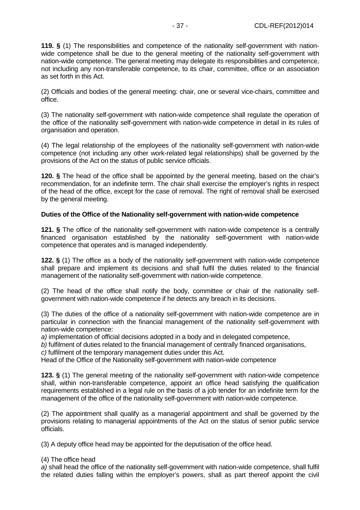**119. §** (1) The responsibilities and competence of the nationality self-government with nationwide competence shall be due to the general meeting of the nationality self-government with nation-wide competence. The general meeting may delegate its responsibilities and competence, not including any non-transferable competence, to its chair, committee, office or an association as set forth in this Act.

(2) Officials and bodies of the general meeting: chair, one or several vice-chairs, committee and office.

(3) The nationality self-government with nation-wide competence shall regulate the operation of the office of the nationality self-government with nation-wide competence in detail in its rules of organisation and operation.

(4) The legal relationship of the employees of the nationality self-government with nation-wide competence (not including any other work-related legal relationships) shall be governed by the provisions of the Act on the status of public service officials.

**120. §** The head of the office shall be appointed by the general meeting, based on the chair's recommendation, for an indefinite term. The chair shall exercise the employer's rights in respect of the head of the office, except for the case of removal. The right of removal shall be exercised by the general meeting.

## **Duties of the Office of the Nationality self-government with nation-wide competence**

**121. §** The office of the nationality self-government with nation-wide competence is a centrally financed organisation established by the nationality self-government with nation-wide competence that operates and is managed independently.

**122. §** (1) The office as a body of the nationality self-government with nation-wide competence shall prepare and implement its decisions and shall fulfil the duties related to the financial management of the nationality self-government with nation-wide competence.

(2) The head of the office shall notify the body, committee or chair of the nationality selfgovernment with nation-wide competence if he detects any breach in its decisions.

(3) The duties of the office of a nationality self-government with nation-wide competence are in particular in connection with the financial management of the nationality self-government with nation-wide competence:

a) implementation of official decisions adopted in a body and in delegated competence,

b) fulfilment of duties related to the financial management of centrally financed organisations,

c) fulfilment of the temporary management duties under this Act.

Head of the Office of the Nationality self-government with nation-wide competence

**123. §** (1) The general meeting of the nationality self-government with nation-wide competence shall, within non-transferable competence, appoint an office head satisfying the qualification requirements established in a legal rule on the basis of a job tender for an indefinite term for the management of the office of the nationality self-government with nation-wide competence.

(2) The appointment shall qualify as a managerial appointment and shall be governed by the provisions relating to managerial appointments of the Act on the status of senior public service officials.

(3) A deputy office head may be appointed for the deputisation of the office head.

## (4) The office head

a) shall head the office of the nationality self-government with nation-wide competence, shall fulfil the related duties falling within the employer's powers, shall as part thereof appoint the civil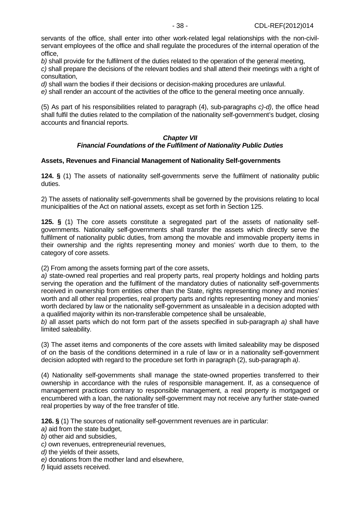servants of the office, shall enter into other work-related legal relationships with the non-civilservant employees of the office and shall regulate the procedures of the internal operation of the office,

b) shall provide for the fulfilment of the duties related to the operation of the general meeting, c) shall prepare the decisions of the relevant bodies and shall attend their meetings with a right of consultation,

d) shall warn the bodies if their decisions or decision-making procedures are unlawful.

e) shall render an account of the activities of the office to the general meeting once annually.

(5) As part of his responsibilities related to paragraph (4), sub-paragraphs c)-d), the office head shall fulfil the duties related to the compilation of the nationality self-government's budget, closing accounts and financial reports.

#### **Chapter VII Financial Foundations of the Fulfilment of Nationality Public Duties**

### **Assets, Revenues and Financial Management of Nationality Self-governments**

**124. §** (1) The assets of nationality self-governments serve the fulfilment of nationality public duties.

2) The assets of nationality self-governments shall be governed by the provisions relating to local municipalities of the Act on national assets, except as set forth in Section 125.

**125. §** (1) The core assets constitute a segregated part of the assets of nationality selfgovernments. Nationality self-governments shall transfer the assets which directly serve the fulfilment of nationality public duties, from among the movable and immovable property items in their ownership and the rights representing money and monies' worth due to them, to the category of core assets.

(2) From among the assets forming part of the core assets,

a) state-owned real properties and real property parts, real property holdings and holding parts serving the operation and the fulfilment of the mandatory duties of nationality self-governments received in ownership from entities other than the State, rights representing money and monies' worth and all other real properties, real property parts and rights representing money and monies' worth declared by law or the nationality self-government as unsaleable in a decision adopted with a qualified majority within its non-transferable competence shall be unsaleable,

b) all asset parts which do not form part of the assets specified in sub-paragraph a) shall have limited saleability.

(3) The asset items and components of the core assets with limited saleability may be disposed of on the basis of the conditions determined in a rule of law or in a nationality self-government decision adopted with regard to the procedure set forth in paragraph (2), sub-paragraph a).

(4) Nationality self-governments shall manage the state-owned properties transferred to their ownership in accordance with the rules of responsible management. If, as a consequence of management practices contrary to responsible management, a real property is mortgaged or encumbered with a loan, the nationality self-government may not receive any further state-owned real properties by way of the free transfer of title.

**126. §** (1) The sources of nationality self-government revenues are in particular:

a) aid from the state budget,

b) other aid and subsidies,

c) own revenues, entrepreneurial revenues,

d) the yields of their assets,

e) donations from the mother land and elsewhere,

f) liquid assets received.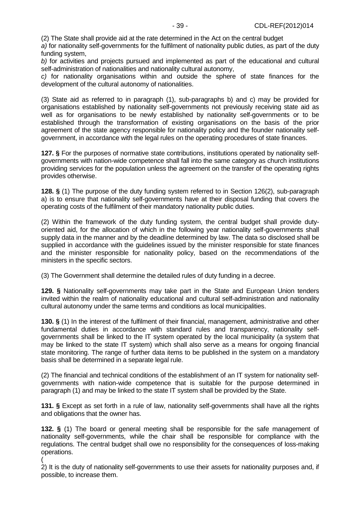(2) The State shall provide aid at the rate determined in the Act on the central budget

a) for nationality self-governments for the fulfilment of nationality public duties, as part of the duty funding system,

b) for activities and projects pursued and implemented as part of the educational and cultural self-administration of nationalities and nationality cultural autonomy,

c) for nationality organisations within and outside the sphere of state finances for the development of the cultural autonomy of nationalities.

(3) State aid as referred to in paragraph (1), sub-paragraphs b) and c) may be provided for organisations established by nationality self-governments not previously receiving state aid as well as for organisations to be newly established by nationality self-governments or to be established through the transformation of existing organisations on the basis of the prior agreement of the state agency responsible for nationality policy and the founder nationality selfgovernment, in accordance with the legal rules on the operating procedures of state finances.

**127. §** For the purposes of normative state contributions, institutions operated by nationality selfgovernments with nation-wide competence shall fall into the same category as church institutions providing services for the population unless the agreement on the transfer of the operating rights provides otherwise.

**128. §** (1) The purpose of the duty funding system referred to in Section 126(2), sub-paragraph a) is to ensure that nationality self-governments have at their disposal funding that covers the operating costs of the fulfilment of their mandatory nationality public duties.

(2) Within the framework of the duty funding system, the central budget shall provide dutyoriented aid, for the allocation of which in the following year nationality self-governments shall supply data in the manner and by the deadline determined by law. The data so disclosed shall be supplied in accordance with the guidelines issued by the minister responsible for state finances and the minister responsible for nationality policy, based on the recommendations of the ministers in the specific sectors.

(3) The Government shall determine the detailed rules of duty funding in a decree.

**129. §** Nationality self-governments may take part in the State and European Union tenders invited within the realm of nationality educational and cultural self-administration and nationality cultural autonomy under the same terms and conditions as local municipalities.

**130. §** (1) In the interest of the fulfilment of their financial, management, administrative and other fundamental duties in accordance with standard rules and transparency, nationality selfgovernments shall be linked to the IT system operated by the local municipality (a system that may be linked to the state IT system) which shall also serve as a means for ongoing financial state monitoring. The range of further data items to be published in the system on a mandatory basis shall be determined in a separate legal rule.

(2) The financial and technical conditions of the establishment of an IT system for nationality selfgovernments with nation-wide competence that is suitable for the purpose determined in paragraph (1) and may be linked to the state IT system shall be provided by the State.

**131. §** Except as set forth in a rule of law, nationality self-governments shall have all the rights and obligations that the owner has.

**132. §** (1) The board or general meeting shall be responsible for the safe management of nationality self-governments, while the chair shall be responsible for compliance with the regulations. The central budget shall owe no responsibility for the consequences of loss-making operations.

(

2) It is the duty of nationality self-governments to use their assets for nationality purposes and, if possible, to increase them.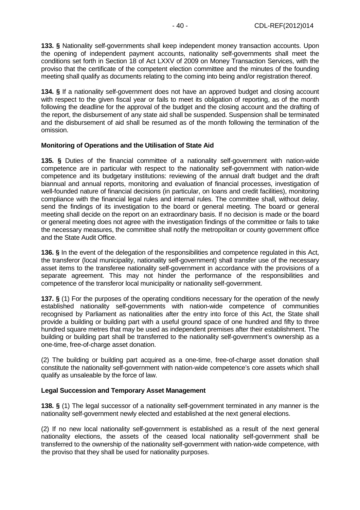**133. §** Nationality self-governments shall keep independent money transaction accounts. Upon the opening of independent payment accounts, nationality self-governments shall meet the conditions set forth in Section 18 of Act LXXV of 2009 on Money Transaction Services, with the proviso that the certificate of the competent election committee and the minutes of the founding meeting shall qualify as documents relating to the coming into being and/or registration thereof.

**134. §** If a nationality self-government does not have an approved budget and closing account with respect to the given fiscal year or fails to meet its obligation of reporting, as of the month following the deadline for the approval of the budget and the closing account and the drafting of the report, the disbursement of any state aid shall be suspended. Suspension shall be terminated and the disbursement of aid shall be resumed as of the month following the termination of the omission.

#### **Monitoring of Operations and the Utilisation of State Aid**

**135. §** Duties of the financial committee of a nationality self-government with nation-wide competence are in particular with respect to the nationality self-government with nation-wide competence and its budgetary institutions: reviewing of the annual draft budget and the draft biannual and annual reports, monitoring and evaluation of financial processes, investigation of well-founded nature of financial decisions (in particular, on loans and credit facilities), monitoring compliance with the financial legal rules and internal rules. The committee shall, without delay, send the findings of its investigation to the board or general meeting. The board or general meeting shall decide on the report on an extraordinary basis. If no decision is made or the board or general meeting does not agree with the investigation findings of the committee or fails to take the necessary measures, the committee shall notify the metropolitan or county government office and the State Audit Office.

**136. §** In the event of the delegation of the responsibilities and competence regulated in this Act, the transferor (local municipality, nationality self-government) shall transfer use of the necessary asset items to the transferee nationality self-government in accordance with the provisions of a separate agreement. This may not hinder the performance of the responsibilities and competence of the transferor local municipality or nationality self-government.

**137. §** (1) For the purposes of the operating conditions necessary for the operation of the newly established nationality self-governments with nation-wide competence of communities recognised by Parliament as nationalities after the entry into force of this Act, the State shall provide a building or building part with a useful ground space of one hundred and fifty to three hundred square metres that may be used as independent premises after their establishment. The building or building part shall be transferred to the nationality self-government's ownership as a one-time, free-of-charge asset donation.

(2) The building or building part acquired as a one-time, free-of-charge asset donation shall constitute the nationality self-government with nation-wide competence's core assets which shall qualify as unsaleable by the force of law.

## **Legal Succession and Temporary Asset Management**

**138. §** (1) The legal successor of a nationality self-government terminated in any manner is the nationality self-government newly elected and established at the next general elections.

(2) If no new local nationality self-government is established as a result of the next general nationality elections, the assets of the ceased local nationality self-government shall be transferred to the ownership of the nationality self-government with nation-wide competence, with the proviso that they shall be used for nationality purposes.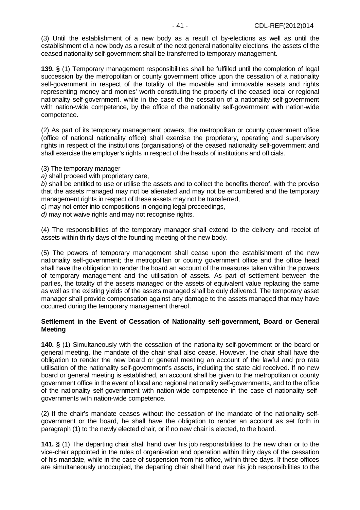(3) Until the establishment of a new body as a result of by-elections as well as until the establishment of a new body as a result of the next general nationality elections, the assets of the ceased nationality self-government shall be transferred to temporary management.

**139. §** (1) Temporary management responsibilities shall be fulfilled until the completion of legal succession by the metropolitan or county government office upon the cessation of a nationality self-government in respect of the totality of the movable and immovable assets and rights representing money and monies' worth constituting the property of the ceased local or regional nationality self-government, while in the case of the cessation of a nationality self-government with nation-wide competence, by the office of the nationality self-government with nation-wide competence.

(2) As part of its temporary management powers, the metropolitan or county government office (office of national nationality office) shall exercise the proprietary, operating and supervisory rights in respect of the institutions (organisations) of the ceased nationality self-government and shall exercise the employer's rights in respect of the heads of institutions and officials.

(3) The temporary manager

a) shall proceed with proprietary care.

b) shall be entitled to use or utilise the assets and to collect the benefits thereof, with the proviso that the assets managed may not be alienated and may not be encumbered and the temporary management rights in respect of these assets may not be transferred.

c) may not enter into compositions in ongoing legal proceedings,

d) may not waive rights and may not recognise rights.

(4) The responsibilities of the temporary manager shall extend to the delivery and receipt of assets within thirty days of the founding meeting of the new body.

(5) The powers of temporary management shall cease upon the establishment of the new nationality self-government; the metropolitan or county government office and the office head shall have the obligation to render the board an account of the measures taken within the powers of temporary management and the utilisation of assets. As part of settlement between the parties, the totality of the assets managed or the assets of equivalent value replacing the same as well as the existing yields of the assets managed shall be duly delivered. The temporary asset manager shall provide compensation against any damage to the assets managed that may have occurred during the temporary management thereof.

### **Settlement in the Event of Cessation of Nationality self-government, Board or General Meeting**

**140. §** (1) Simultaneously with the cessation of the nationality self-government or the board or general meeting, the mandate of the chair shall also cease. However, the chair shall have the obligation to render the new board or general meeting an account of the lawful and pro rata utilisation of the nationality self-government's assets, including the state aid received. If no new board or general meeting is established, an account shall be given to the metropolitan or county government office in the event of local and regional nationality self-governments, and to the office of the nationality self-government with nation-wide competence in the case of nationality selfgovernments with nation-wide competence.

(2) If the chair's mandate ceases without the cessation of the mandate of the nationality selfgovernment or the board, he shall have the obligation to render an account as set forth in paragraph (1) to the newly elected chair, or if no new chair is elected, to the board.

**141. §** (1) The departing chair shall hand over his job responsibilities to the new chair or to the vice-chair appointed in the rules of organisation and operation within thirty days of the cessation of his mandate, while in the case of suspension from his office, within three days. If these offices are simultaneously unoccupied, the departing chair shall hand over his job responsibilities to the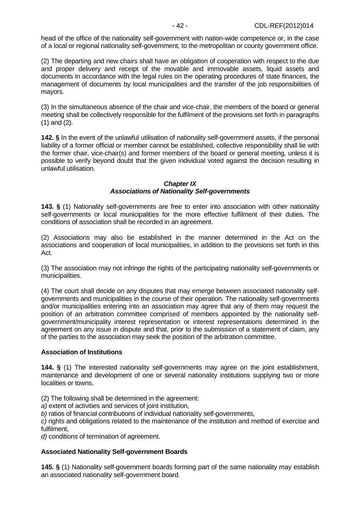head of the office of the nationality self-government with nation-wide competence or, in the case of a local or regional nationality self-government, to the metropolitan or county government office.

(2) The departing and new chairs shall have an obligation of cooperation with respect to the due and proper delivery and receipt of the movable and immovable assets, liquid assets and documents in accordance with the legal rules on the operating procedures of state finances, the management of documents by local municipalities and the transfer of the job responsibilities of mayors.

(3) In the simultaneous absence of the chair and vice-chair, the members of the board or general meeting shall be collectively responsible for the fulfilment of the provisions set forth in paragraphs (1) and (2).

**142. §** In the event of the unlawful utilisation of nationality self-government assets, if the personal liability of a former official or member cannot be established, collective responsibility shall lie with the former chair, vice-chair(s) and former members of the board or general meeting, unless it is possible to verify beyond doubt that the given individual voted against the decision resulting in unlawful utilisation.

### **Chapter IX Associations of Nationality Self-governments**

**143. §** (1) Nationality self-governments are free to enter into association with other nationality self-governments or local municipalities for the more effective fulfilment of their duties. The conditions of association shall be recorded in an agreement.

(2) Associations may also be established in the manner determined in the Act on the associations and cooperation of local municipalities, in addition to the provisions set forth in this Act.

(3) The association may not infringe the rights of the participating nationality self-governments or municipalities.

(4) The court shall decide on any disputes that may emerge between associated nationality selfgovernments and municipalities in the course of their operation. The nationality self-governments and/or municipalities entering into an association may agree that any of them may request the position of an arbitration committee comprised of members appointed by the nationality selfgovernment/municipality interest representation or interest representations determined in the agreement on any issue in dispute and that, prior to the submission of a statement of claim, any of the parties to the association may seek the position of the arbitration committee.

## **Association of Institutions**

**144. §** (1) The interested nationality self-governments may agree on the joint establishment, maintenance and development of one or several nationality institutions supplying two or more localities or towns.

(2) The following shall be determined in the agreement:

a) extent of activities and services of joint institution,

b) ratios of financial contributions of individual nationality self-governments,

c) rights and obligations related to the maintenance of the institution and method of exercise and fulfilment,

d) conditions of termination of agreement.

## **Associated Nationality Self-government Boards**

**145. §** (1) Nationality self-government boards forming part of the same nationality may establish an associated nationality self-government board.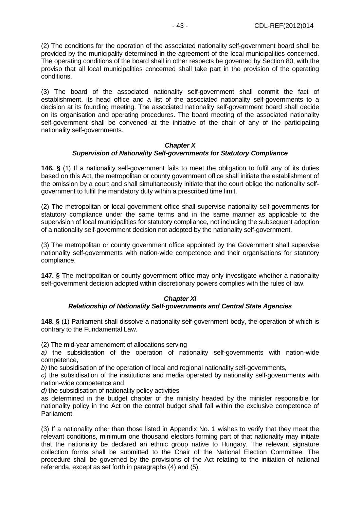(2) The conditions for the operation of the associated nationality self-government board shall be provided by the municipality determined in the agreement of the local municipalities concerned. The operating conditions of the board shall in other respects be governed by Section 80, with the proviso that all local municipalities concerned shall take part in the provision of the operating conditions.

(3) The board of the associated nationality self-government shall commit the fact of establishment, its head office and a list of the associated nationality self-governments to a decision at its founding meeting. The associated nationality self-government board shall decide on its organisation and operating procedures. The board meeting of the associated nationality self-government shall be convened at the initiative of the chair of any of the participating nationality self-governments.

### **Chapter X**

# **Supervision of Nationality Self-governments for Statutory Compliance**

**146. §** (1) If a nationality self-government fails to meet the obligation to fulfil any of its duties based on this Act, the metropolitan or county government office shall initiate the establishment of the omission by a court and shall simultaneously initiate that the court oblige the nationality selfgovernment to fulfil the mandatory duty within a prescribed time limit.

(2) The metropolitan or local government office shall supervise nationality self-governments for statutory compliance under the same terms and in the same manner as applicable to the supervision of local municipalities for statutory compliance, not including the subsequent adoption of a nationality self-government decision not adopted by the nationality self-government.

(3) The metropolitan or county government office appointed by the Government shall supervise nationality self-governments with nation-wide competence and their organisations for statutory compliance.

**147. §** The metropolitan or county government office may only investigate whether a nationality self-government decision adopted within discretionary powers complies with the rules of law.

## **Chapter XI Relationship of Nationality Self-governments and Central State Agencies**

**148. §** (1) Parliament shall dissolve a nationality self-government body, the operation of which is contrary to the Fundamental Law.

(2) The mid-year amendment of allocations serving

a) the subsidisation of the operation of nationality self-governments with nation-wide competence,

b) the subsidisation of the operation of local and regional nationality self-governments,

c) the subsidisation of the institutions and media operated by nationality self-governments with nation-wide competence and

d) the subsidisation of nationality policy activities

as determined in the budget chapter of the ministry headed by the minister responsible for nationality policy in the Act on the central budget shall fall within the exclusive competence of Parliament.

(3) If a nationality other than those listed in Appendix No. 1 wishes to verify that they meet the relevant conditions, minimum one thousand electors forming part of that nationality may initiate that the nationality be declared an ethnic group native to Hungary. The relevant signature collection forms shall be submitted to the Chair of the National Election Committee. The procedure shall be governed by the provisions of the Act relating to the initiation of national referenda, except as set forth in paragraphs (4) and (5).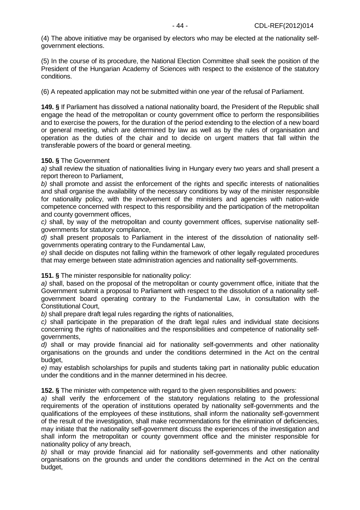(4) The above initiative may be organised by electors who may be elected at the nationality selfgovernment elections.

(5) In the course of its procedure, the National Election Committee shall seek the position of the President of the Hungarian Academy of Sciences with respect to the existence of the statutory conditions.

(6) A repeated application may not be submitted within one year of the refusal of Parliament.

**149. §** If Parliament has dissolved a national nationality board, the President of the Republic shall engage the head of the metropolitan or county government office to perform the responsibilities and to exercise the powers, for the duration of the period extending to the election of a new board or general meeting, which are determined by law as well as by the rules of organisation and operation as the duties of the chair and to decide on urgent matters that fall within the transferable powers of the board or general meeting.

## **150. §** The Government

a) shall review the situation of nationalities living in Hungary every two years and shall present a report thereon to Parliament,

b) shall promote and assist the enforcement of the rights and specific interests of nationalities and shall organise the availability of the necessary conditions by way of the minister responsible for nationality policy, with the involvement of the ministers and agencies with nation-wide competence concerned with respect to this responsibility and the participation of the metropolitan and county government offices,

c) shall, by way of the metropolitan and county government offices, supervise nationality selfgovernments for statutory compliance,

d) shall present proposals to Parliament in the interest of the dissolution of nationality selfgovernments operating contrary to the Fundamental Law,

e) shall decide on disputes not falling within the framework of other legally regulated procedures that may emerge between state administration agencies and nationality self-governments.

**151. §** The minister responsible for nationality policy:

a) shall, based on the proposal of the metropolitan or county government office, initiate that the Government submit a proposal to Parliament with respect to the dissolution of a nationality selfgovernment board operating contrary to the Fundamental Law, in consultation with the Constitutional Court,

b) shall prepare draft legal rules regarding the rights of nationalities,

c) shall participate in the preparation of the draft legal rules and individual state decisions concerning the rights of nationalities and the responsibilities and competence of nationality selfgovernments,

d) shall or may provide financial aid for nationality self-governments and other nationality organisations on the grounds and under the conditions determined in the Act on the central budget,

e) may establish scholarships for pupils and students taking part in nationality public education under the conditions and in the manner determined in his decree.

**152. §** The minister with competence with regard to the given responsibilities and powers:

a) shall verify the enforcement of the statutory regulations relating to the professional requirements of the operation of institutions operated by nationality self-governments and the qualifications of the employees of these institutions, shall inform the nationality self-government of the result of the investigation, shall make recommendations for the elimination of deficiencies, may initiate that the nationality self-government discuss the experiences of the investigation and shall inform the metropolitan or county government office and the minister responsible for nationality policy of any breach,

b) shall or may provide financial aid for nationality self-governments and other nationality organisations on the grounds and under the conditions determined in the Act on the central budget,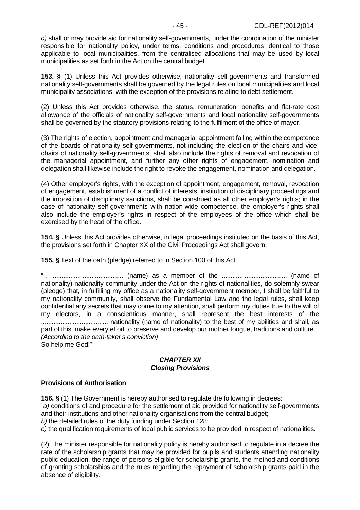c) shall or may provide aid for nationality self-governments, under the coordination of the minister responsible for nationality policy, under terms, conditions and procedures identical to those applicable to local municipalities, from the centralised allocations that may be used by local municipalities as set forth in the Act on the central budget.

**153. §** (1) Unless this Act provides otherwise, nationality self-governments and transformed nationality self-governments shall be governed by the legal rules on local municipalities and local municipality associations, with the exception of the provisions relating to debt settlement.

(2) Unless this Act provides otherwise, the status, remuneration, benefits and flat-rate cost allowance of the officials of nationality self-governments and local nationality self-governments shall be governed by the statutory provisions relating to the fulfilment of the office of mayor.

(3) The rights of election, appointment and managerial appointment falling within the competence of the boards of nationality self-governments, not including the election of the chairs and vicechairs of nationality self-governments, shall also include the rights of removal and revocation of the managerial appointment, and further any other rights of engagement, nomination and delegation shall likewise include the right to revoke the engagement, nomination and delegation.

(4) Other employer's rights, with the exception of appointment, engagement, removal, revocation of engagement, establishment of a conflict of interests, institution of disciplinary proceedings and the imposition of disciplinary sanctions, shall be construed as all other employer's rights; in the case of nationality self-governments with nation-wide competence, the employer's rights shall also include the employer's rights in respect of the employees of the office which shall be exercised by the head of the office.

**154. §** Unless this Act provides otherwise, in legal proceedings instituted on the basis of this Act, the provisions set forth in Chapter XX of the Civil Proceedings Act shall govern.

**155. §** Text of the oath (pledge) referred to in Section 100 of this Act:

"I, ......................................... (name) as a member of the ..................................... (name of nationality) nationality community under the Act on the rights of nationalities, do solemnly swear (pledge) that, in fulfilling my office as a nationality self-government member, I shall be faithful to my nationality community, shall observe the Fundamental Law and the legal rules, shall keep confidential any secrets that may come to my attention, shall perform my duties true to the will of my electors, in a conscientious manner, shall represent the best interests of the ...................................... nationality (name of nationality) to the best of my abilities and shall, as part of this, make every effort to preserve and develop our mother tongue, traditions and culture. (According to the oath-taker's conviction)

So help me God!"

# **CHAPTER XII Closing Provisions**

## **Provisions of Authorisation**

**156. §** (1) The Government is hereby authorised to regulate the following in decrees:

`a) conditions of and procedure for the settlement of aid provided for nationality self-governments and their institutions and other nationality organisations from the central budget;

b) the detailed rules of the duty funding under Section 128;

c) the qualification requirements of local public services to be provided in respect of nationalities.

(2) The minister responsible for nationality policy is hereby authorised to regulate in a decree the rate of the scholarship grants that may be provided for pupils and students attending nationality public education, the range of persons eligible for scholarship grants, the method and conditions of granting scholarships and the rules regarding the repayment of scholarship grants paid in the absence of eligibility.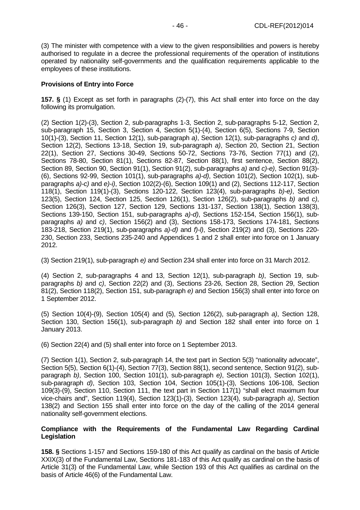(3) The minister with competence with a view to the given responsibilities and powers is hereby authorised to regulate in a decree the professional requirements of the operation of institutions operated by nationality self-governments and the qualification requirements applicable to the employees of these institutions.

### **Provisions of Entry into Force**

**157. §** (1) Except as set forth in paragraphs (2)-(7), this Act shall enter into force on the day following its promulgation.

(2) Section 1(2)-(3), Section 2, sub-paragraphs 1-3, Section 2, sub-paragraphs 5-12, Section 2, sub-paragraph 15, Section 3, Section 4, Section 5(1)-(4), Section 6(5), Sections 7-9, Section 10(1)-(3), Section 11, Section 12(1), sub-paragraph a), Section 12(1), sub-paragraphs c) and d), Section 12(2), Sections 13-18, Section 19, sub-paragraph a), Section 20, Section 21, Section 22(1), Section 27, Sections 30-49, Sections 50-72, Sections 73-76, Section 77(1) and (2), Sections 78-80, Section 81(1), Sections 82-87, Section 88(1), first sentence, Section 88(2), Section 89, Section 90, Section 91(1), Section 91(2), sub-paragraphs a) and c)-e), Section 91(3)- (6), Sections 92-99, Section 101(1), sub-paragraphs a)-d), Section 101(2), Section 102(1), subparagraphs a)-c) and e)-i), Section 102(2)-(6), Section 109(1) and (2), Sections 112-117, Section 118(1), Section 119(1)-(3), Sections 120-122, Section 123(4), sub-paragraphs b)-e), Section 123(5), Section 124, Section 125, Section 126(1), Section 126(2), sub-paragraphs b) and c), Section 126(3), Section 127, Section 129, Sections 131-137, Section 138(1), Section 138(3), Sections 139-150, Section 151, sub-paragraphs a)-d), Sections 152-154, Section 156(1), subparagraphs a) and c), Section 156(2) and (3), Sections 158-173, Sections 174-181, Sections 183-218, Section 219(1), sub-paragraphs a)-d) and f)-l), Section 219(2) and (3), Sections 220- 230, Section 233, Sections 235-240 and Appendices 1 and 2 shall enter into force on 1 January 2012.

(3) Section 219(1), sub-paragraph e) and Section 234 shall enter into force on 31 March 2012.

(4) Section 2, sub-paragraphs 4 and 13, Section 12(1), sub-paragraph b), Section 19, subparagraphs b) and c), Section 22(2) and (3), Sections 23-26, Section 28, Section 29, Section 81(2), Section 118(2), Section 151, sub-paragraph e) and Section 156(3) shall enter into force on 1 September 2012.

(5) Section 10(4)-(9), Section 105(4) and (5), Section 126(2), sub-paragraph a), Section 128, Section 130, Section 156(1), sub-paragraph b) and Section 182 shall enter into force on 1 January 2013.

(6) Section 22(4) and (5) shall enter into force on 1 September 2013.

(7) Section 1(1), Section 2, sub-paragraph 14, the text part in Section 5(3) "nationality advocate", Section 5(5), Section 6(1)-(4), Section 77(3), Section 88(1), second sentence, Section 91(2), subparagraph b), Section 100, Section 101(1), sub-paragraph e), Section 101(3), Section 102(1), sub-paragraph d), Section 103, Section 104, Section 105(1)-(3), Sections 106-108, Section 109(3)-(9), Section 110, Section 111, the text part in Section 117(1) "shall elect maximum four vice-chairs and", Section 119(4), Section 123(1)-(3), Section 123(4), sub-paragraph a), Section 138(2) and Section 155 shall enter into force on the day of the calling of the 2014 general nationality self-government elections.

### **Compliance with the Requirements of the Fundamental Law Regarding Cardinal Legislation**

**158. §** Sections 1-157 and Sections 159-180 of this Act qualify as cardinal on the basis of Article XXIX(3) of the Fundamental Law, Sections 181-183 of this Act qualify as cardinal on the basis of Article 31(3) of the Fundamental Law, while Section 193 of this Act qualifies as cardinal on the basis of Article 46(6) of the Fundamental Law.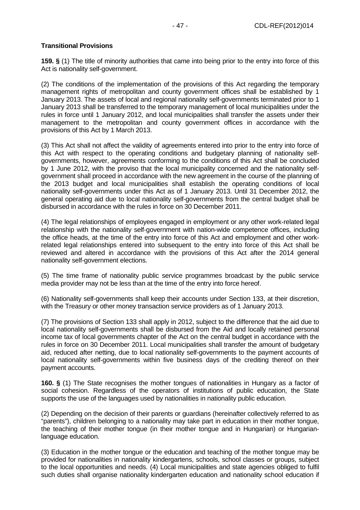## **Transitional Provisions**

**159. §** (1) The title of minority authorities that came into being prior to the entry into force of this Act is nationality self-government.

(2) The conditions of the implementation of the provisions of this Act regarding the temporary management rights of metropolitan and county government offices shall be established by 1 January 2013. The assets of local and regional nationality self-governments terminated prior to 1 January 2013 shall be transferred to the temporary management of local municipalities under the rules in force until 1 January 2012, and local municipalities shall transfer the assets under their management to the metropolitan and county government offices in accordance with the provisions of this Act by 1 March 2013.

(3) This Act shall not affect the validity of agreements entered into prior to the entry into force of this Act with respect to the operating conditions and budgetary planning of nationality selfgovernments, however, agreements conforming to the conditions of this Act shall be concluded by 1 June 2012, with the proviso that the local municipality concerned and the nationality selfgovernment shall proceed in accordance with the new agreement in the course of the planning of the 2013 budget and local municipalities shall establish the operating conditions of local nationality self-governments under this Act as of 1 January 2013. Until 31 December 2012, the general operating aid due to local nationality self-governments from the central budget shall be disbursed in accordance with the rules in force on 30 December 2011.

(4) The legal relationships of employees engaged in employment or any other work-related legal relationship with the nationality self-government with nation-wide competence offices, including the office heads, at the time of the entry into force of this Act and employment and other workrelated legal relationships entered into subsequent to the entry into force of this Act shall be reviewed and altered in accordance with the provisions of this Act after the 2014 general nationality self-government elections.

(5) The time frame of nationality public service programmes broadcast by the public service media provider may not be less than at the time of the entry into force hereof.

(6) Nationality self-governments shall keep their accounts under Section 133, at their discretion, with the Treasury or other money transaction service providers as of 1 January 2013.

(7) The provisions of Section 133 shall apply in 2012, subject to the difference that the aid due to local nationality self-governments shall be disbursed from the Aid and locally retained personal income tax of local governments chapter of the Act on the central budget in accordance with the rules in force on 30 December 2011. Local municipalities shall transfer the amount of budgetary aid, reduced after netting, due to local nationality self-governments to the payment accounts of local nationality self-governments within five business days of the crediting thereof on their payment accounts.

**160. §** (1) The State recognises the mother tongues of nationalities in Hungary as a factor of social cohesion. Regardless of the operators of institutions of public education, the State supports the use of the languages used by nationalities in nationality public education.

(2) Depending on the decision of their parents or guardians (hereinafter collectively referred to as "parents"), children belonging to a nationality may take part in education in their mother tongue, the teaching of their mother tongue (in their mother tongue and in Hungarian) or Hungarianlanguage education.

(3) Education in the mother tongue or the education and teaching of the mother tongue may be provided for nationalities in nationality kindergartens, schools, school classes or groups, subject to the local opportunities and needs. (4) Local municipalities and state agencies obliged to fulfil such duties shall organise nationality kindergarten education and nationality school education if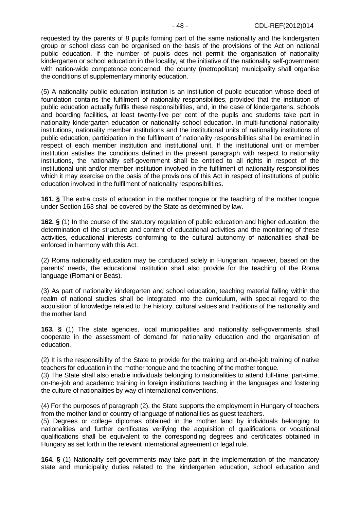requested by the parents of 8 pupils forming part of the same nationality and the kindergarten group or school class can be organised on the basis of the provisions of the Act on national public education. If the number of pupils does not permit the organisation of nationality kindergarten or school education in the locality, at the initiative of the nationality self-government with nation-wide competence concerned, the county (metropolitan) municipality shall organise the conditions of supplementary minority education.

(5) A nationality public education institution is an institution of public education whose deed of foundation contains the fulfilment of nationality responsibilities, provided that the institution of public education actually fulfils these responsibilities, and, in the case of kindergartens, schools and boarding facilities, at least twenty-five per cent of the pupils and students take part in nationality kindergarten education or nationality school education. In multi-functional nationality institutions, nationality member institutions and the institutional units of nationality institutions of public education, participation in the fulfilment of nationality responsibilities shall be examined in respect of each member institution and institutional unit. If the institutional unit or member institution satisfies the conditions defined in the present paragraph with respect to nationality institutions, the nationality self-government shall be entitled to all rights in respect of the institutional unit and/or member institution involved in the fulfilment of nationality responsibilities which it may exercise on the basis of the provisions of this Act in respect of institutions of public education involved in the fulfilment of nationality responsibilities.

**161. §** The extra costs of education in the mother tongue or the teaching of the mother tongue under Section 163 shall be covered by the State as determined by law.

**162. §** (1) In the course of the statutory regulation of public education and higher education, the determination of the structure and content of educational activities and the monitoring of these activities, educational interests conforming to the cultural autonomy of nationalities shall be enforced in harmony with this Act.

(2) Roma nationality education may be conducted solely in Hungarian, however, based on the parents' needs, the educational institution shall also provide for the teaching of the Roma language (Romani or Beás).

(3) As part of nationality kindergarten and school education, teaching material falling within the realm of national studies shall be integrated into the curriculum, with special regard to the acquisition of knowledge related to the history, cultural values and traditions of the nationality and the mother land.

**163. §** (1) The state agencies, local municipalities and nationality self-governments shall cooperate in the assessment of demand for nationality education and the organisation of education.

(2) It is the responsibility of the State to provide for the training and on-the-job training of native teachers for education in the mother tongue and the teaching of the mother tongue.

(3) The State shall also enable individuals belonging to nationalities to attend full-time, part-time, on-the-job and academic training in foreign institutions teaching in the languages and fostering the culture of nationalities by way of international conventions.

(4) For the purposes of paragraph (2), the State supports the employment in Hungary of teachers from the mother land or country of language of nationalities as guest teachers.

(5) Degrees or college diplomas obtained in the mother land by individuals belonging to nationalities and further certificates verifying the acquisition of qualifications or vocational qualifications shall be equivalent to the corresponding degrees and certificates obtained in Hungary as set forth in the relevant international agreement or legal rule.

**164. §** (1) Nationality self-governments may take part in the implementation of the mandatory state and municipality duties related to the kindergarten education, school education and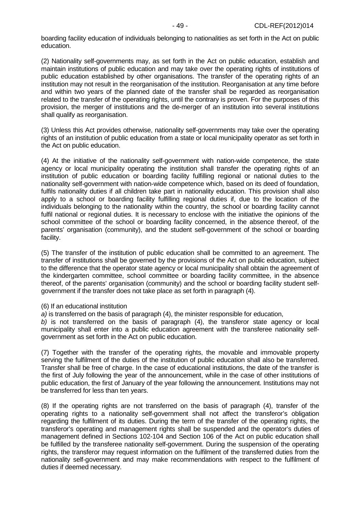boarding facility education of individuals belonging to nationalities as set forth in the Act on public education.

(2) Nationality self-governments may, as set forth in the Act on public education, establish and maintain institutions of public education and may take over the operating rights of institutions of public education established by other organisations. The transfer of the operating rights of an institution may not result in the reorganisation of the institution. Reorganisation at any time before and within two years of the planned date of the transfer shall be regarded as reorganisation related to the transfer of the operating rights, until the contrary is proven. For the purposes of this provision, the merger of institutions and the de-merger of an institution into several institutions shall qualify as reorganisation.

(3) Unless this Act provides otherwise, nationality self-governments may take over the operating rights of an institution of public education from a state or local municipality operator as set forth in the Act on public education.

(4) At the initiative of the nationality self-government with nation-wide competence, the state agency or local municipality operating the institution shall transfer the operating rights of an institution of public education or boarding facility fulfilling regional or national duties to the nationality self-government with nation-wide competence which, based on its deed of foundation, fulfils nationality duties if all children take part in nationality education. This provision shall also apply to a school or boarding facility fulfilling regional duties if, due to the location of the individuals belonging to the nationality within the country, the school or boarding facility cannot fulfil national or regional duties. It is necessary to enclose with the initiative the opinions of the school committee of the school or boarding facility concerned, in the absence thereof, of the parents' organisation (community), and the student self-government of the school or boarding facility.

(5) The transfer of the institution of public education shall be committed to an agreement. The transfer of institutions shall be governed by the provisions of the Act on public education, subject to the difference that the operator state agency or local municipality shall obtain the agreement of the kindergarten committee, school committee or boarding facility committee, in the absence thereof, of the parents' organisation (community) and the school or boarding facility student selfgovernment if the transfer does not take place as set forth in paragraph (4).

#### (6) If an educational institution

a) is transferred on the basis of paragraph (4), the minister responsible for education,

b) is not transferred on the basis of paragraph  $(4)$ , the transferor state agency or local municipality shall enter into a public education agreement with the transferee nationality selfgovernment as set forth in the Act on public education.

(7) Together with the transfer of the operating rights, the movable and immovable property serving the fulfilment of the duties of the institution of public education shall also be transferred. Transfer shall be free of charge. In the case of educational institutions, the date of the transfer is the first of July following the year of the announcement, while in the case of other institutions of public education, the first of January of the year following the announcement. Institutions may not be transferred for less than ten years.

(8) If the operating rights are not transferred on the basis of paragraph (4), transfer of the operating rights to a nationality self-government shall not affect the transferor's obligation regarding the fulfilment of its duties. During the term of the transfer of the operating rights, the transferor's operating and management rights shall be suspended and the operator's duties of management defined in Sections 102-104 and Section 106 of the Act on public education shall be fulfilled by the transferee nationality self-government. During the suspension of the operating rights, the transferor may request information on the fulfilment of the transferred duties from the nationality self-government and may make recommendations with respect to the fulfilment of duties if deemed necessary.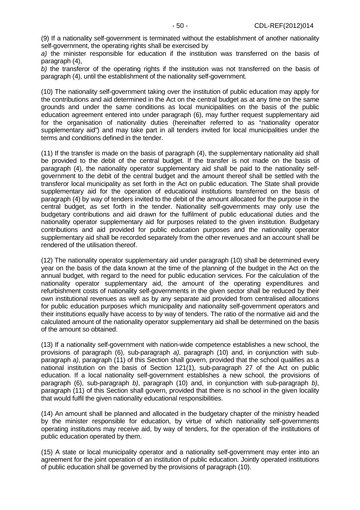(9) If a nationality self-government is terminated without the establishment of another nationality self-government, the operating rights shall be exercised by

a) the minister responsible for education if the institution was transferred on the basis of paragraph (4),

b) the transferor of the operating rights if the institution was not transferred on the basis of paragraph (4), until the establishment of the nationality self-government.

(10) The nationality self-government taking over the institution of public education may apply for the contributions and aid determined in the Act on the central budget as at any time on the same grounds and under the same conditions as local municipalities on the basis of the public education agreement entered into under paragraph (6), may further request supplementary aid for the organisation of nationality duties (hereinafter referred to as "nationality operator supplementary aid") and may take part in all tenders invited for local municipalities under the terms and conditions defined in the tender.

(11) If the transfer is made on the basis of paragraph (4), the supplementary nationality aid shall be provided to the debit of the central budget. If the transfer is not made on the basis of paragraph (4), the nationality operator supplementary aid shall be paid to the nationality selfgovernment to the debit of the central budget and the amount thereof shall be settled with the transferor local municipality as set forth in the Act on public education. The State shall provide supplementary aid for the operation of educational institutions transferred on the basis of paragraph (4) by way of tenders invited to the debit of the amount allocated for the purpose in the central budget, as set forth in the tender. Nationality self-governments may only use the budgetary contributions and aid drawn for the fulfilment of public educational duties and the nationality operator supplementary aid for purposes related to the given institution. Budgetary contributions and aid provided for public education purposes and the nationality operator supplementary aid shall be recorded separately from the other revenues and an account shall be rendered of the utilisation thereof.

(12) The nationality operator supplementary aid under paragraph (10) shall be determined every year on the basis of the data known at the time of the planning of the budget in the Act on the annual budget, with regard to the need for public education services. For the calculation of the nationality operator supplementary aid, the amount of the operating expenditures and refurbishment costs of nationality self-governments in the given sector shall be reduced by their own institutional revenues as well as by any separate aid provided from centralised allocations for public education purposes which municipality and nationality self-government operators and their institutions equally have access to by way of tenders. The ratio of the normative aid and the calculated amount of the nationality operator supplementary aid shall be determined on the basis of the amount so obtained.

(13) If a nationality self-government with nation-wide competence establishes a new school, the provisions of paragraph (6), sub-paragraph a), paragraph (10) and, in conjunction with subparagraph a), paragraph (11) of this Section shall govern, provided that the school qualifies as a national institution on the basis of Section 121(1), sub-paragraph 27 of the Act on public education. If a local nationality self-government establishes a new school, the provisions of paragraph (6), sub-paragraph b), paragraph (10) and, in conjunction with sub-paragraph b), paragraph (11) of this Section shall govern, provided that there is no school in the given locality that would fulfil the given nationality educational responsibilities.

(14) An amount shall be planned and allocated in the budgetary chapter of the ministry headed by the minister responsible for education, by virtue of which nationality self-governments operating institutions may receive aid, by way of tenders, for the operation of the institutions of public education operated by them.

(15) A state or local municipality operator and a nationality self-government may enter into an agreement for the joint operation of an institution of public education. Jointly operated institutions of public education shall be governed by the provisions of paragraph (10).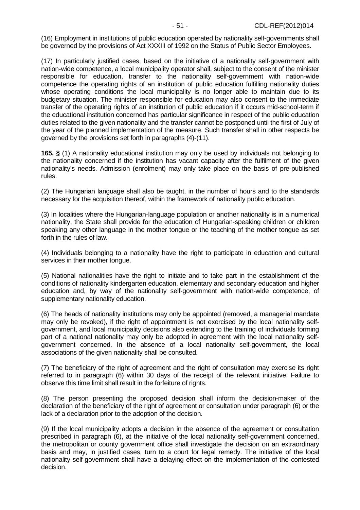(16) Employment in institutions of public education operated by nationality self-governments shall be governed by the provisions of Act XXXIII of 1992 on the Status of Public Sector Employees.

(17) In particularly justified cases, based on the initiative of a nationality self-government with nation-wide competence, a local municipality operator shall, subject to the consent of the minister responsible for education, transfer to the nationality self-government with nation-wide competence the operating rights of an institution of public education fulfilling nationality duties whose operating conditions the local municipality is no longer able to maintain due to its budgetary situation. The minister responsible for education may also consent to the immediate transfer of the operating rights of an institution of public education if it occurs mid-school-term if the educational institution concerned has particular significance in respect of the public education duties related to the given nationality and the transfer cannot be postponed until the first of July of the year of the planned implementation of the measure. Such transfer shall in other respects be governed by the provisions set forth in paragraphs (4)-(11).

**165. §** (1) A nationality educational institution may only be used by individuals not belonging to the nationality concerned if the institution has vacant capacity after the fulfilment of the given nationality's needs. Admission (enrolment) may only take place on the basis of pre-published rules.

(2) The Hungarian language shall also be taught, in the number of hours and to the standards necessary for the acquisition thereof, within the framework of nationality public education.

(3) In localities where the Hungarian-language population or another nationality is in a numerical nationality, the State shall provide for the education of Hungarian-speaking children or children speaking any other language in the mother tongue or the teaching of the mother tongue as set forth in the rules of law.

(4) Individuals belonging to a nationality have the right to participate in education and cultural services in their mother tongue.

(5) National nationalities have the right to initiate and to take part in the establishment of the conditions of nationality kindergarten education, elementary and secondary education and higher education and, by way of the nationality self-government with nation-wide competence, of supplementary nationality education.

(6) The heads of nationality institutions may only be appointed (removed, a managerial mandate may only be revoked), if the right of appointment is not exercised by the local nationality selfgovernment, and local municipality decisions also extending to the training of individuals forming part of a national nationality may only be adopted in agreement with the local nationality selfgovernment concerned. In the absence of a local nationality self-government, the local associations of the given nationality shall be consulted.

(7) The beneficiary of the right of agreement and the right of consultation may exercise its right referred to in paragraph (6) within 30 days of the receipt of the relevant initiative. Failure to observe this time limit shall result in the forfeiture of rights.

(8) The person presenting the proposed decision shall inform the decision-maker of the declaration of the beneficiary of the right of agreement or consultation under paragraph (6) or the lack of a declaration prior to the adoption of the decision.

(9) If the local municipality adopts a decision in the absence of the agreement or consultation prescribed in paragraph (6), at the initiative of the local nationality self-government concerned, the metropolitan or county government office shall investigate the decision on an extraordinary basis and may, in justified cases, turn to a court for legal remedy. The initiative of the local nationality self-government shall have a delaying effect on the implementation of the contested decision.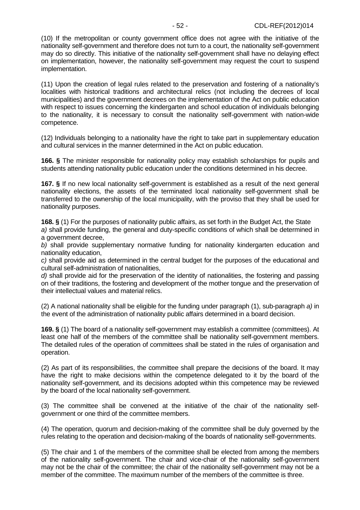(10) If the metropolitan or county government office does not agree with the initiative of the nationality self-government and therefore does not turn to a court, the nationality self-government may do so directly. This initiative of the nationality self-government shall have no delaying effect on implementation, however, the nationality self-government may request the court to suspend implementation.

(11) Upon the creation of legal rules related to the preservation and fostering of a nationality's localities with historical traditions and architectural relics (not including the decrees of local municipalities) and the government decrees on the implementation of the Act on public education with respect to issues concerning the kindergarten and school education of individuals belonging to the nationality, it is necessary to consult the nationality self-government with nation-wide competence.

(12) Individuals belonging to a nationality have the right to take part in supplementary education and cultural services in the manner determined in the Act on public education.

**166. §** The minister responsible for nationality policy may establish scholarships for pupils and students attending nationality public education under the conditions determined in his decree.

**167. §** If no new local nationality self-government is established as a result of the next general nationality elections, the assets of the terminated local nationality self-government shall be transferred to the ownership of the local municipality, with the proviso that they shall be used for nationality purposes.

**168. §** (1) For the purposes of nationality public affairs, as set forth in the Budget Act, the State a) shall provide funding, the general and duty-specific conditions of which shall be determined in a government decree,

b) shall provide supplementary normative funding for nationality kindergarten education and nationality education,

c) shall provide aid as determined in the central budget for the purposes of the educational and cultural self-administration of nationalities,

d) shall provide aid for the preservation of the identity of nationalities, the fostering and passing on of their traditions, the fostering and development of the mother tongue and the preservation of their intellectual values and material relics.

(2) A national nationality shall be eligible for the funding under paragraph (1), sub-paragraph a) in the event of the administration of nationality public affairs determined in a board decision.

**169. §** (1) The board of a nationality self-government may establish a committee (committees). At least one half of the members of the committee shall be nationality self-government members. The detailed rules of the operation of committees shall be stated in the rules of organisation and operation.

(2) As part of its responsibilities, the committee shall prepare the decisions of the board. It may have the right to make decisions within the competence delegated to it by the board of the nationality self-government, and its decisions adopted within this competence may be reviewed by the board of the local nationality self-government.

(3) The committee shall be convened at the initiative of the chair of the nationality selfgovernment or one third of the committee members.

(4) The operation, quorum and decision-making of the committee shall be duly governed by the rules relating to the operation and decision-making of the boards of nationality self-governments.

(5) The chair and 1 of the members of the committee shall be elected from among the members of the nationality self-government. The chair and vice-chair of the nationality self-government may not be the chair of the committee; the chair of the nationality self-government may not be a member of the committee. The maximum number of the members of the committee is three.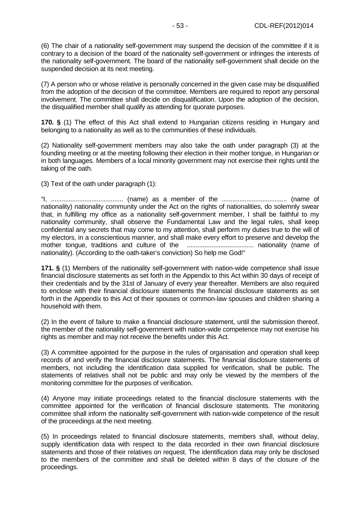(6) The chair of a nationality self-government may suspend the decision of the committee if it is contrary to a decision of the board of the nationality self-government or infringes the interests of the nationality self-government. The board of the nationality self-government shall decide on the suspended decision at its next meeting.

(7) A person who or whose relative is personally concerned in the given case may be disqualified from the adoption of the decision of the committee. Members are required to report any personal involvement. The committee shall decide on disqualification. Upon the adoption of the decision, the disqualified member shall qualify as attending for quorate purposes.

**170. §** (1) The effect of this Act shall extend to Hungarian citizens residing in Hungary and belonging to a nationality as well as to the communities of these individuals.

(2) Nationality self-government members may also take the oath under paragraph (3) at the founding meeting or at the meeting following their election in their mother tongue, in Hungarian or in both languages. Members of a local minority government may not exercise their rights until the taking of the oath.

(3) Text of the oath under paragraph (1):

"I, ......................................... (name) as a member of the ..................................... (name of nationality) nationality community under the Act on the rights of nationalities, do solemnly swear that, in fulfilling my office as a nationality self-government member, I shall be faithful to my nationality community, shall observe the Fundamental Law and the legal rules, shall keep confidential any secrets that may come to my attention, shall perform my duties true to the will of my electors, in a conscientious manner, and shall make every effort to preserve and develop the mother tongue, traditions and culture of the ...................................... nationality (name of nationality). (According to the oath-taker's conviction) So help me God!"

**171. §** (1) Members of the nationality self-government with nation-wide competence shall issue financial disclosure statements as set forth in the Appendix to this Act within 30 days of receipt of their credentials and by the 31st of January of every year thereafter. Members are also required to enclose with their financial disclosure statements the financial disclosure statements as set forth in the Appendix to this Act of their spouses or common-law spouses and children sharing a household with them.

(2) In the event of failure to make a financial disclosure statement, until the submission thereof, the member of the nationality self-government with nation-wide competence may not exercise his rights as member and may not receive the benefits under this Act.

(3) A committee appointed for the purpose in the rules of organisation and operation shall keep records of and verify the financial disclosure statements. The financial disclosure statements of members, not including the identification data supplied for verification, shall be public. The statements of relatives shall not be public and may only be viewed by the members of the monitoring committee for the purposes of verification.

(4) Anyone may initiate proceedings related to the financial disclosure statements with the committee appointed for the verification of financial disclosure statements. The monitoring committee shall inform the nationality self-government with nation-wide competence of the result of the proceedings at the next meeting.

(5) In proceedings related to financial disclosure statements, members shall, without delay, supply identification data with respect to the data recorded in their own financial disclosure statements and those of their relatives on request. The identification data may only be disclosed to the members of the committee and shall be deleted within 8 days of the closure of the proceedings.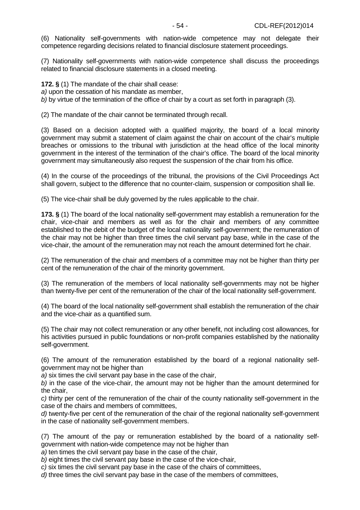(6) Nationality self-governments with nation-wide competence may not delegate their competence regarding decisions related to financial disclosure statement proceedings.

(7) Nationality self-governments with nation-wide competence shall discuss the proceedings related to financial disclosure statements in a closed meeting.

**172. §** (1) The mandate of the chair shall cease:

a) upon the cessation of his mandate as member,

b) by virtue of the termination of the office of chair by a court as set forth in paragraph (3).

(2) The mandate of the chair cannot be terminated through recall.

(3) Based on a decision adopted with a qualified majority, the board of a local minority government may submit a statement of claim against the chair on account of the chair's multiple breaches or omissions to the tribunal with jurisdiction at the head office of the local minority government in the interest of the termination of the chair's office. The board of the local minority government may simultaneously also request the suspension of the chair from his office.

(4) In the course of the proceedings of the tribunal, the provisions of the Civil Proceedings Act shall govern, subject to the difference that no counter-claim, suspension or composition shall lie.

(5) The vice-chair shall be duly governed by the rules applicable to the chair.

**173. §** (1) The board of the local nationality self-government may establish a remuneration for the chair, vice-chair and members as well as for the chair and members of any committee established to the debit of the budget of the local nationality self-government; the remuneration of the chair may not be higher than three times the civil servant pay base, while in the case of the vice-chair, the amount of the remuneration may not reach the amount determined fort he chair.

(2) The remuneration of the chair and members of a committee may not be higher than thirty per cent of the remuneration of the chair of the minority government.

(3) The remuneration of the members of local nationality self-governments may not be higher than twenty-five per cent of the remuneration of the chair of the local nationality self-government.

(4) The board of the local nationality self-government shall establish the remuneration of the chair and the vice-chair as a quantified sum.

(5) The chair may not collect remuneration or any other benefit, not including cost allowances, for his activities pursued in public foundations or non-profit companies established by the nationality self-government.

(6) The amount of the remuneration established by the board of a regional nationality selfgovernment may not be higher than

a) six times the civil servant pay base in the case of the chair,

b) in the case of the vice-chair, the amount may not be higher than the amount determined for the chair,

c) thirty per cent of the remuneration of the chair of the county nationality self-government in the case of the chairs and members of committees,

d) twenty-five per cent of the remuneration of the chair of the regional nationality self-government in the case of nationality self-government members.

(7) The amount of the pay or remuneration established by the board of a nationality selfgovernment with nation-wide competence may not be higher than

a) ten times the civil servant pay base in the case of the chair,

b) eight times the civil servant pay base in the case of the vice-chair,

c) six times the civil servant pay base in the case of the chairs of committees,

d) three times the civil servant pay base in the case of the members of committees,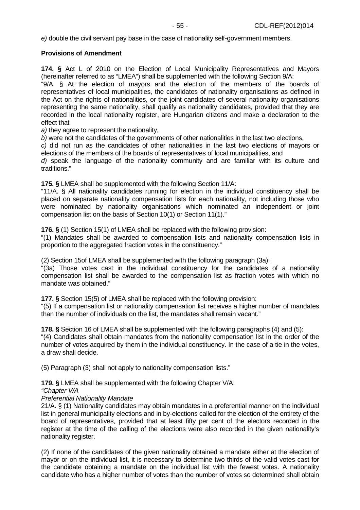e) double the civil servant pay base in the case of nationality self-government members.

### **Provisions of Amendment**

**174. §** Act L of 2010 on the Election of Local Municipality Representatives and Mayors (hereinafter referred to as "LMEA") shall be supplemented with the following Section 9/A:

"9/A. § At the election of mayors and the election of the members of the boards of representatives of local municipalities, the candidates of nationality organisations as defined in the Act on the rights of nationalities, or the joint candidates of several nationality organisations representing the same nationality, shall qualify as nationality candidates, provided that they are recorded in the local nationality register, are Hungarian citizens and make a declaration to the effect that

a) they agree to represent the nationality,

b) were not the candidates of the governments of other nationalities in the last two elections,

c) did not run as the candidates of other nationalities in the last two elections of mayors or elections of the members of the boards of representatives of local municipalities, and

d) speak the language of the nationality community and are familiar with its culture and traditions."

**175. §** LMEA shall be supplemented with the following Section 11/A:

"11/A. § All nationality candidates running for election in the individual constituency shall be placed on separate nationality compensation lists for each nationality, not including those who were nominated by nationality organisations which nominated an independent or joint compensation list on the basis of Section 10(1) or Section 11(1)."

**176. §** (1) Section 15(1) of LMEA shall be replaced with the following provision:

"(1) Mandates shall be awarded to compensation lists and nationality compensation lists in proportion to the aggregated fraction votes in the constituency."

(2) Section 15of LMEA shall be supplemented with the following paragraph (3a):

"(3a) Those votes cast in the individual constituency for the candidates of a nationality compensation list shall be awarded to the compensation list as fraction votes with which no mandate was obtained."

**177. §** Section 15(5) of LMEA shall be replaced with the following provision:

"(5) If a compensation list or nationality compensation list receives a higher number of mandates than the number of individuals on the list, the mandates shall remain vacant."

**178. §** Section 16 of LMEA shall be supplemented with the following paragraphs (4) and (5): "(4) Candidates shall obtain mandates from the nationality compensation list in the order of the number of votes acquired by them in the individual constituency. In the case of a tie in the votes, a draw shall decide.

(5) Paragraph (3) shall not apply to nationality compensation lists."

**179. §** LMEA shall be supplemented with the following Chapter V/A:

#### "Chapter V/A

## Preferential Nationality Mandate

21/A. § (1) Nationality candidates may obtain mandates in a preferential manner on the individual list in general municipality elections and in by-elections called for the election of the entirety of the board of representatives, provided that at least fifty per cent of the electors recorded in the register at the time of the calling of the elections were also recorded in the given nationality's nationality register.

(2) If none of the candidates of the given nationality obtained a mandate either at the election of mayor or on the individual list, it is necessary to determine two thirds of the valid votes cast for the candidate obtaining a mandate on the individual list with the fewest votes. A nationality candidate who has a higher number of votes than the number of votes so determined shall obtain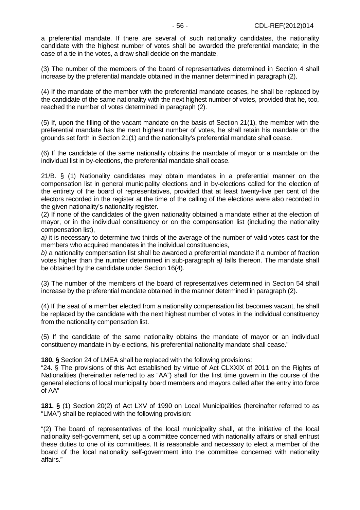a preferential mandate. If there are several of such nationality candidates, the nationality candidate with the highest number of votes shall be awarded the preferential mandate; in the case of a tie in the votes, a draw shall decide on the mandate.

(3) The number of the members of the board of representatives determined in Section 4 shall increase by the preferential mandate obtained in the manner determined in paragraph (2).

(4) If the mandate of the member with the preferential mandate ceases, he shall be replaced by the candidate of the same nationality with the next highest number of votes, provided that he, too, reached the number of votes determined in paragraph (2).

(5) If, upon the filling of the vacant mandate on the basis of Section 21(1), the member with the preferential mandate has the next highest number of votes, he shall retain his mandate on the grounds set forth in Section 21(1) and the nationality's preferential mandate shall cease.

(6) If the candidate of the same nationality obtains the mandate of mayor or a mandate on the individual list in by-elections, the preferential mandate shall cease.

21/B. § (1) Nationality candidates may obtain mandates in a preferential manner on the compensation list in general municipality elections and in by-elections called for the election of the entirety of the board of representatives, provided that at least twenty-five per cent of the electors recorded in the register at the time of the calling of the elections were also recorded in the given nationality's nationality register.

(2) If none of the candidates of the given nationality obtained a mandate either at the election of mayor, or in the individual constituency or on the compensation list (including the nationality compensation list),

a) it is necessary to determine two thirds of the average of the number of valid votes cast for the members who acquired mandates in the individual constituencies,

b) a nationality compensation list shall be awarded a preferential mandate if a number of fraction votes higher than the number determined in sub-paragraph a) falls thereon. The mandate shall be obtained by the candidate under Section 16(4).

(3) The number of the members of the board of representatives determined in Section 54 shall increase by the preferential mandate obtained in the manner determined in paragraph (2).

(4) If the seat of a member elected from a nationality compensation list becomes vacant, he shall be replaced by the candidate with the next highest number of votes in the individual constituency from the nationality compensation list.

(5) If the candidate of the same nationality obtains the mandate of mayor or an individual constituency mandate in by-elections, his preferential nationality mandate shall cease."

**180. §** Section 24 of LMEA shall be replaced with the following provisions:

"24. § The provisions of this Act established by virtue of Act CLXXIX of 2011 on the Rights of Nationalities (hereinafter referred to as "AA") shall for the first time govern in the course of the general elections of local municipality board members and mayors called after the entry into force of AA"

**181. §** (1) Section 20(2) of Act LXV of 1990 on Local Municipalities (hereinafter referred to as "LMA") shall be replaced with the following provision:

"(2) The board of representatives of the local municipality shall, at the initiative of the local nationality self-government, set up a committee concerned with nationality affairs or shall entrust these duties to one of its committees. It is reasonable and necessary to elect a member of the board of the local nationality self-government into the committee concerned with nationality affairs."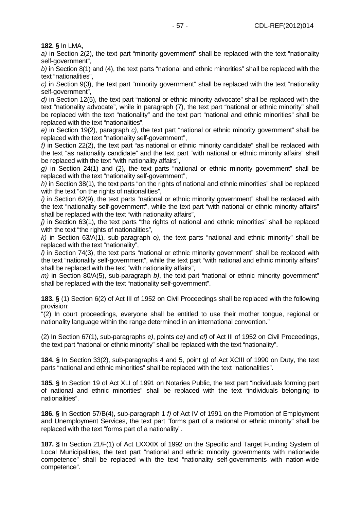a) in Section 2(2), the text part "minority government" shall be replaced with the text "nationality self-government",

b) in Section 8(1) and (4), the text parts "national and ethnic minorities" shall be replaced with the text "nationalities",

c) in Section 9(3), the text part "minority government" shall be replaced with the text "nationality self-government".

d) in Section 12(5), the text part "national or ethnic minority advocate" shall be replaced with the text "nationality advocate", while in paragraph (7), the text part "national or ethnic minority" shall be replaced with the text "nationality" and the text part "national and ethnic minorities" shall be replaced with the text "nationalities",

e) in Section 19(2), paragraph c), the text part "national or ethnic minority government" shall be replaced with the text "nationality self-government",

 $f$ ) in Section 22(2), the text part "as national or ethnic minority candidate" shall be replaced with the text "as nationality candidate" and the text part "with national or ethnic minority affairs" shall be replaced with the text "with nationality affairs",

g) in Section 24(1) and (2), the text parts "national or ethnic minority government" shall be replaced with the text "nationality self-government",

h) in Section 38(1), the text parts "on the rights of national and ethnic minorities" shall be replaced with the text "on the rights of nationalities",

 $i)$  in Section 62(9), the text parts "national or ethnic minority government" shall be replaced with the text "nationality self-government", while the text part "with national or ethnic minority affairs" shall be replaced with the text "with nationality affairs",

 $i$ ) in Section 63(1), the text parts "the rights of national and ethnic minorities" shall be replaced with the text "the rights of nationalities",

k) in Section 63/A(1), sub-paragraph o), the text parts "national and ethnic minority" shall be replaced with the text "nationality",

l) in Section 74(3), the text parts "national or ethnic minority government" shall be replaced with the text "nationality self-government", while the text part "with national and ethnic minority affairs" shall be replaced with the text "with nationality affairs",

 $m$ ) in Section 80/A(5), sub-paragraph b), the text part "national or ethnic minority government" shall be replaced with the text "nationality self-government".

**183. §** (1) Section 6(2) of Act III of 1952 on Civil Proceedings shall be replaced with the following provision:

"(2) In court proceedings, everyone shall be entitled to use their mother tongue, regional or nationality language within the range determined in an international convention."

(2) In Section 67(1), sub-paragraphs e), points ee) and ef) of Act III of 1952 on Civil Proceedings, the text part "national or ethnic minority" shall be replaced with the text "nationality".

**184. §** In Section 33(2), sub-paragraphs 4 and 5, point g) of Act XCIII of 1990 on Duty, the text parts "national and ethnic minorities" shall be replaced with the text "nationalities".

**185. §** In Section 19 of Act XLI of 1991 on Notaries Public, the text part "individuals forming part of national and ethnic minorities" shall be replaced with the text "individuals belonging to nationalities".

**186. §** In Section 57/B(4), sub-paragraph 1 f) of Act IV of 1991 on the Promotion of Employment and Unemployment Services, the text part "forms part of a national or ethnic minority" shall be replaced with the text "forms part of a nationality".

**187. §** In Section 21/F(1) of Act LXXXIX of 1992 on the Specific and Target Funding System of Local Municipalities, the text part "national and ethnic minority governments with nationwide competence" shall be replaced with the text "nationality self-governments with nation-wide competence".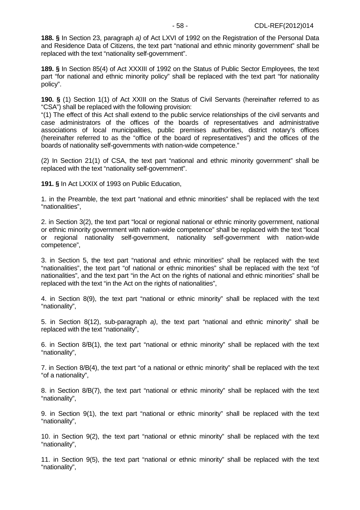**188. §** In Section 23, paragraph a) of Act LXVI of 1992 on the Registration of the Personal Data and Residence Data of Citizens, the text part "national and ethnic minority government" shall be replaced with the text "nationality self-government".

**189. §** In Section 85(4) of Act XXXIII of 1992 on the Status of Public Sector Employees, the text part "for national and ethnic minority policy" shall be replaced with the text part "for nationality policy".

**190. §** (1) Section 1(1) of Act XXIII on the Status of Civil Servants (hereinafter referred to as "CSA") shall be replaced with the following provision:

"(1) The effect of this Act shall extend to the public service relationships of the civil servants and case administrators of the offices of the boards of representatives and administrative associations of local municipalities, public premises authorities, district notary's offices (hereinafter referred to as the "office of the board of representatives") and the offices of the boards of nationality self-governments with nation-wide competence."

(2) In Section 21(1) of CSA, the text part "national and ethnic minority government" shall be replaced with the text "nationality self-government".

**191. §** In Act LXXIX of 1993 on Public Education,

1. in the Preamble, the text part "national and ethnic minorities" shall be replaced with the text "nationalities",

2. in Section 3(2), the text part "local or regional national or ethnic minority government, national or ethnic minority government with nation-wide competence" shall be replaced with the text "local or regional nationality self-government, nationality self-government with nation-wide competence",

3. in Section 5, the text part "national and ethnic minorities" shall be replaced with the text "nationalities", the text part "of national or ethnic minorities" shall be replaced with the text "of nationalities", and the text part "in the Act on the rights of national and ethnic minorities" shall be replaced with the text "in the Act on the rights of nationalities",

4. in Section 8(9), the text part "national or ethnic minority" shall be replaced with the text "nationality",

5. in Section 8(12), sub-paragraph a), the text part "national and ethnic minority" shall be replaced with the text "nationality",

6. in Section 8/B(1), the text part "national or ethnic minority" shall be replaced with the text "nationality",

7. in Section 8/B(4), the text part "of a national or ethnic minority" shall be replaced with the text "of a nationality",

8. in Section 8/B(7), the text part "national or ethnic minority" shall be replaced with the text "nationality",

9. in Section 9(1), the text part "national or ethnic minority" shall be replaced with the text "nationality",

10. in Section 9(2), the text part "national or ethnic minority" shall be replaced with the text "nationality",

11. in Section 9(5), the text part "national or ethnic minority" shall be replaced with the text "nationality",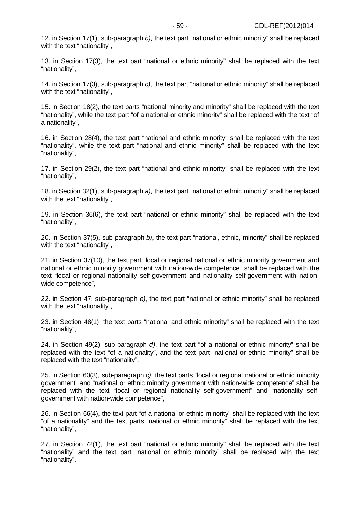12. in Section 17(1), sub-paragraph b), the text part "national or ethnic minority" shall be replaced with the text "nationality".

13. in Section 17(3), the text part "national or ethnic minority" shall be replaced with the text "nationality",

14. in Section 17(3), sub-paragraph c), the text part "national or ethnic minority" shall be replaced with the text "nationality".

15. in Section 18(2), the text parts "national minority and minority" shall be replaced with the text "nationality", while the text part "of a national or ethnic minority" shall be replaced with the text "of a nationality",

16. in Section 28(4), the text part "national and ethnic minority" shall be replaced with the text "nationality", while the text part "national and ethnic minority" shall be replaced with the text "nationality",

17. in Section 29(2), the text part "national and ethnic minority" shall be replaced with the text "nationality",

18. in Section 32(1), sub-paragraph a), the text part "national or ethnic minority" shall be replaced with the text "nationality",

19. in Section 36(6), the text part "national or ethnic minority" shall be replaced with the text "nationality",

20. in Section 37(5), sub-paragraph b), the text part "national, ethnic, minority" shall be replaced with the text "nationality",

21. in Section 37(10), the text part "local or regional national or ethnic minority government and national or ethnic minority government with nation-wide competence" shall be replaced with the text "local or regional nationality self-government and nationality self-government with nationwide competence",

22. in Section 47, sub-paragraph e), the text part "national or ethnic minority" shall be replaced with the text "nationality",

23. in Section 48(1), the text parts "national and ethnic minority" shall be replaced with the text "nationality",

24. in Section 49(2), sub-paragraph  $d$ ), the text part "of a national or ethnic minority" shall be replaced with the text "of a nationality", and the text part "national or ethnic minority" shall be replaced with the text "nationality",

25. in Section 60(3), sub-paragraph c), the text parts "local or regional national or ethnic minority government" and "national or ethnic minority government with nation-wide competence" shall be replaced with the text "local or regional nationality self-government" and "nationality selfgovernment with nation-wide competence",

26. in Section 66(4), the text part "of a national or ethnic minority" shall be replaced with the text "of a nationality" and the text parts "national or ethnic minority" shall be replaced with the text "nationality",

27. in Section 72(1), the text part "national or ethnic minority" shall be replaced with the text "nationality" and the text part "national or ethnic minority" shall be replaced with the text "nationality",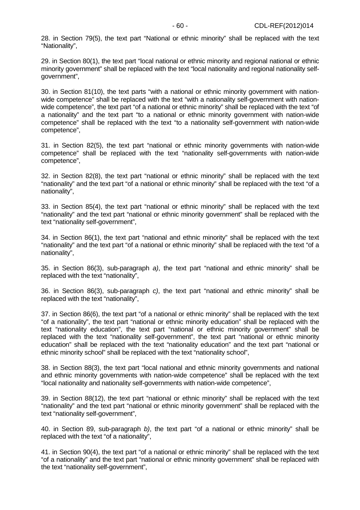28. in Section 79(5), the text part "National or ethnic minority" shall be replaced with the text "Nationality",

29. in Section 80(1), the text part "local national or ethnic minority and regional national or ethnic minority government" shall be replaced with the text "local nationality and regional nationality selfgovernment",

30. in Section 81(10), the text parts "with a national or ethnic minority government with nationwide competence" shall be replaced with the text "with a nationality self-government with nationwide competence", the text part "of a national or ethnic minority" shall be replaced with the text "of a nationality" and the text part "to a national or ethnic minority government with nation-wide competence" shall be replaced with the text "to a nationality self-government with nation-wide competence",

31. in Section 82(5), the text part "national or ethnic minority governments with nation-wide competence" shall be replaced with the text "nationality self-governments with nation-wide competence",

32. in Section 82(8), the text part "national or ethnic minority" shall be replaced with the text "nationality" and the text part "of a national or ethnic minority" shall be replaced with the text "of a nationality",

33. in Section 85(4), the text part "national or ethnic minority" shall be replaced with the text "nationality" and the text part "national or ethnic minority government" shall be replaced with the text "nationality self-government",

34. in Section 86(1), the text part "national and ethnic minority" shall be replaced with the text "nationality" and the text part "of a national or ethnic minority" shall be replaced with the text "of a nationality",

35. in Section 86(3), sub-paragraph a), the text part "national and ethnic minority" shall be replaced with the text "nationality",

36. in Section 86(3), sub-paragraph c), the text part "national and ethnic minority" shall be replaced with the text "nationality",

37. in Section 86(6), the text part "of a national or ethnic minority" shall be replaced with the text "of a nationality", the text part "national or ethnic minority education" shall be replaced with the text "nationality education", the text part "national or ethnic minority government" shall be replaced with the text "nationality self-government", the text part "national or ethnic minority education" shall be replaced with the text "nationality education" and the text part "national or ethnic minority school" shall be replaced with the text "nationality school",

38. in Section 88(3), the text part "local national and ethnic minority governments and national and ethnic minority governments with nation-wide competence" shall be replaced with the text "local nationality and nationality self-governments with nation-wide competence",

39. in Section 88(12), the text part "national or ethnic minority" shall be replaced with the text "nationality" and the text part "national or ethnic minority government" shall be replaced with the text "nationality self-government",

40. in Section 89, sub-paragraph b), the text part "of a national or ethnic minority" shall be replaced with the text "of a nationality",

41. in Section 90(4), the text part "of a national or ethnic minority" shall be replaced with the text "of a nationality" and the text part "national or ethnic minority government" shall be replaced with the text "nationality self-government",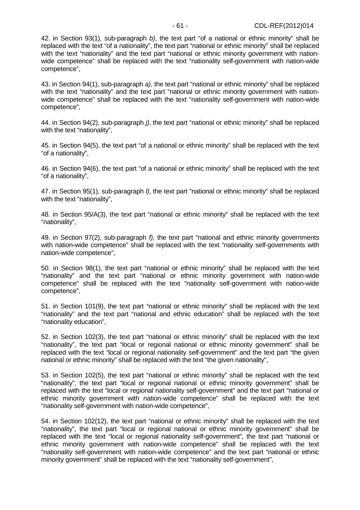42. in Section 93(1), sub-paragraph b), the text part "of a national or ethnic minority" shall be replaced with the text "of a nationality", the text part "national or ethnic minority" shall be replaced with the text "nationality" and the text part "national or ethnic minority government with nationwide competence" shall be replaced with the text "nationality self-government with nation-wide competence",

43. in Section 94(1), sub-paragraph a), the text part "national or ethnic minority" shall be replaced with the text "nationality" and the text part "national or ethnic minority government with nationwide competence" shall be replaced with the text "nationality self-government with nation-wide competence",

44. in Section 94(2), sub-paragraph j), the text part "national or ethnic minority" shall be replaced with the text "nationality",

45. in Section 94(5), the text part "of a national or ethnic minority" shall be replaced with the text "of a nationality",

46. in Section 94(6), the text part "of a national or ethnic minority" shall be replaced with the text "of a nationality",

47. in Section 95(1), sub-paragraph l), the text part "national or ethnic minority" shall be replaced with the text "nationality",

48. in Section 95/A(3), the text part "national or ethnic minority" shall be replaced with the text "nationality",

49. in Section 97(2), sub-paragraph f), the text part "national and ethnic minority governments with nation-wide competence" shall be replaced with the text "nationality self-governments with nation-wide competence",

50. in Section 98(1), the text part "national or ethnic minority" shall be replaced with the text "nationality" and the text part "national or ethnic minority government with nation-wide competence" shall be replaced with the text "nationality self-government with nation-wide competence",

51. in Section 101(9), the text part "national or ethnic minority" shall be replaced with the text "nationality" and the text part "national and ethnic education" shall be replaced with the text "nationality education",

52. in Section 102(3), the text part "national or ethnic minority" shall be replaced with the text "nationality", the text part "local or regional national or ethnic minority government" shall be replaced with the text "local or regional nationality self-government" and the text part "the given national or ethnic minority" shall be replaced with the text "the given nationality",

53. in Section 102(5), the text part "national or ethnic minority" shall be replaced with the text "nationality", the text part "local or regional national or ethnic minority government" shall be replaced with the text "local or regional nationality self-government" and the text part "national or ethnic minority government with nation-wide competence" shall be replaced with the text "nationality self-government with nation-wide competence",

54. in Section 102(12), the text part "national or ethnic minority" shall be replaced with the text "nationality", the text part "local or regional national or ethnic minority government" shall be replaced with the text "local or regional nationality self-government", the text part "national or ethnic minority government with nation-wide competence" shall be replaced with the text "nationality self-government with nation-wide competence" and the text part "national or ethnic minority government" shall be replaced with the text "nationality self-government",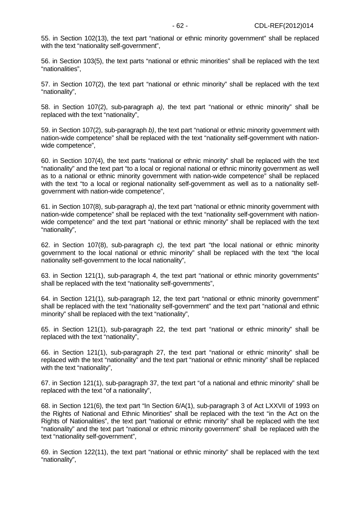55. in Section 102(13), the text part "national or ethnic minority government" shall be replaced with the text "nationality self-government",

56. in Section 103(5), the text parts "national or ethnic minorities" shall be replaced with the text "nationalities",

57. in Section 107(2), the text part "national or ethnic minority" shall be replaced with the text "nationality",

58. in Section 107(2), sub-paragraph a), the text part "national or ethnic minority" shall be replaced with the text "nationality",

59. in Section 107(2), sub-paragraph b), the text part "national or ethnic minority government with nation-wide competence" shall be replaced with the text "nationality self-government with nationwide competence",

60. in Section 107(4), the text parts "national or ethnic minority" shall be replaced with the text "nationality" and the text part "to a local or regional national or ethnic minority government as well as to a national or ethnic minority government with nation-wide competence" shall be replaced with the text "to a local or regional nationality self-government as well as to a nationality selfgovernment with nation-wide competence",

61. in Section 107(8), sub-paragraph a), the text part "national or ethnic minority government with nation-wide competence" shall be replaced with the text "nationality self-government with nationwide competence" and the text part "national or ethnic minority" shall be replaced with the text "nationality",

62. in Section 107(8), sub-paragraph c), the text part "the local national or ethnic minority government to the local national or ethnic minority" shall be replaced with the text "the local nationality self-government to the local nationality",

63. in Section 121(1), sub-paragraph 4, the text part "national or ethnic minority governments" shall be replaced with the text "nationality self-governments",

64. in Section 121(1), sub-paragraph 12, the text part "national or ethnic minority government" shall be replaced with the text "nationality self-government" and the text part "national and ethnic minority" shall be replaced with the text "nationality",

65. in Section 121(1), sub-paragraph 22, the text part "national or ethnic minority" shall be replaced with the text "nationality",

66. in Section 121(1), sub-paragraph 27, the text part "national or ethnic minority" shall be replaced with the text "nationality" and the text part "national or ethnic minority" shall be replaced with the text "nationality",

67. in Section 121(1), sub-paragraph 37, the text part "of a national and ethnic minority" shall be replaced with the text "of a nationality",

68. in Section 121(6), the text part "In Section 6/A(1), sub-paragraph 3 of Act LXXVII of 1993 on the Rights of National and Ethnic Minorities" shall be replaced with the text "in the Act on the Rights of Nationalities", the text part "national or ethnic minority" shall be replaced with the text "nationality" and the text part "national or ethnic minority government" shall be replaced with the text "nationality self-government",

69. in Section 122(11), the text part "national or ethnic minority" shall be replaced with the text "nationality",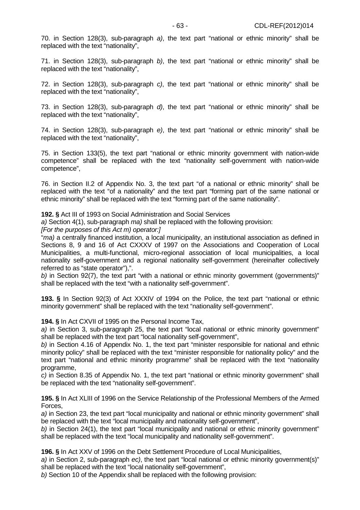70. in Section 128(3), sub-paragraph a), the text part "national or ethnic minority" shall be replaced with the text "nationality",

71. in Section 128(3), sub-paragraph b), the text part "national or ethnic minority" shall be replaced with the text "nationality",

72. in Section 128(3), sub-paragraph c), the text part "national or ethnic minority" shall be replaced with the text "nationality",

73. in Section 128(3), sub-paragraph d), the text part "national or ethnic minority" shall be replaced with the text "nationality",

74. in Section 128(3), sub-paragraph e), the text part "national or ethnic minority" shall be replaced with the text "nationality",

75. in Section 133(5), the text part "national or ethnic minority government with nation-wide competence" shall be replaced with the text "nationality self-government with nation-wide competence",

76. in Section II.2 of Appendix No. 3, the text part "of a national or ethnic minority" shall be replaced with the text "of a nationality" and the text part "forming part of the same national or ethnic minority" shall be replaced with the text "forming part of the same nationality".

**192. §** Act III of 1993 on Social Administration and Social Services

a) Section 4(1), sub-paragraph ma) shall be replaced with the following provision:

[For the purposes of this Act m) operator:]

"ma) a centrally financed institution, a local municipality, an institutional association as defined in Sections 8, 9 and 16 of Act CXXXV of 1997 on the Associations and Cooperation of Local Municipalities, a multi-functional, micro-regional association of local municipalities, a local nationality self-government and a regional nationality self-government (hereinafter collectively referred to as "state operator"),".

b) in Section 92(7), the text part "with a national or ethnic minority government (governments)" shall be replaced with the text "with a nationality self-government".

**193. §** In Section 92(3) of Act XXXIV of 1994 on the Police, the text part "national or ethnic minority government" shall be replaced with the text "nationality self-government".

**194. §** In Act CXVII of 1995 on the Personal Income Tax,

a) in Section 3, sub-paragraph 25, the text part "local national or ethnic minority government" shall be replaced with the text part "local nationality self-government",

b) in Section 4.16 of Appendix No. 1, the text part "minister responsible for national and ethnic minority policy" shall be replaced with the text "minister responsible for nationality policy" and the text part "national and ethnic minority programme" shall be replaced with the text "nationality programme,

c) in Section 8.35 of Appendix No. 1, the text part "national or ethnic minority government" shall be replaced with the text "nationality self-government".

**195. §** In Act XLIII of 1996 on the Service Relationship of the Professional Members of the Armed Forces,

a) in Section 23, the text part "local municipality and national or ethnic minority government" shall be replaced with the text "local municipality and nationality self-government",

b) in Section 24(1), the text part "local municipality and national or ethnic minority government" shall be replaced with the text "local municipality and nationality self-government".

**196. §** In Act XXV of 1996 on the Debt Settlement Procedure of Local Municipalities,

a) in Section 2, sub-paragraph ec), the text part "local national or ethnic minority government(s)" shall be replaced with the text "local nationality self-government",

b) Section 10 of the Appendix shall be replaced with the following provision: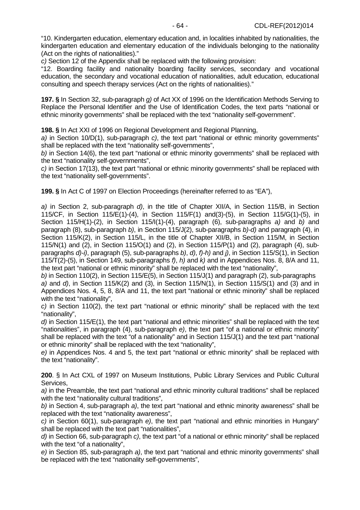"10. Kindergarten education, elementary education and, in localities inhabited by nationalities, the kindergarten education and elementary education of the individuals belonging to the nationality (Act on the rights of nationalities)."

c) Section 12 of the Appendix shall be replaced with the following provision:

"12. Boarding facility and nationality boarding facility services, secondary and vocational education, the secondary and vocational education of nationalities, adult education, educational consulting and speech therapy services (Act on the rights of nationalities)."

**197. §** In Section 32, sub-paragraph g) of Act XX of 1996 on the Identification Methods Serving to Replace the Personal Identifier and the Use of Identification Codes, the text parts "national or ethnic minority governments" shall be replaced with the text "nationality self-government".

**198. §** In Act XXI of 1996 on Regional Development and Regional Planning,

a) in Section 10/D(1), sub-paragraph c), the text part "national or ethnic minority governments" shall be replaced with the text "nationality self-governments",

b) in Section 14(6), the text part "national or ethnic minority governments" shall be replaced with the text "nationality self-governments",

c) in Section 17(13), the text part "national or ethnic minority governments" shall be replaced with the text "nationality self-governments".

**199. §** In Act C of 1997 on Election Proceedings (hereinafter referred to as "EA"),

a) in Section 2, sub-paragraph d), in the title of Chapter XII/A, in Section 115/B, in Section 115/CF, in Section 115/E(1)-(4), in Section 115/F(1) and(3)-(5), in Section 115/G(1)-(5), in Section 115/H(1)-(2), in Section 115/I(1)-(4), paragraph (6), sub-paragraphs a) and b) and paragraph (8), sub-paragraph b), in Section 115/J(2), sub-paragraphs b)-d) and paragraph (4), in Section 115/K(2), in Section 115/L, in the title of Chapter XII/B, in Section 115/M, in Section 115/N(1) and (2), in Section 115/O(1) and (2), in Section 115/P(1) and (2), paragraph (4), subparagraphs d)-i), paragraph (5), sub-paragraphs b), d), f)-h) and j), in Section 115/S(1), in Section 115/T(2)-(5), in Section 149, sub-paragraphs f), h) and  $k$ ) and in Appendices Nos. 8, 8/A and 11, the text part "national or ethnic minority" shall be replaced with the text "nationality",

b) in Section 110(2), in Section 115/E(5), in Section 115/J(1) and paragraph (2), sub-paragraphs a) and  $d$ ), in Section 115/K(2) and (3), in Section 115/N(1), in Section 115/S(1) and (3) and in Appendices Nos. 4, 5, 8, 8/A and 11, the text part "national or ethnic minority" shall be replaced with the text "nationality",

c) in Section 110(2), the text part "national or ethnic minority" shall be replaced with the text "nationality",

d) in Section 115/E(1), the text part "national and ethnic minorities" shall be replaced with the text "nationalities", in paragraph (4), sub-paragraph e), the text part "of a national or ethnic minority" shall be replaced with the text "of a nationality" and in Section 115/J(1) and the text part "national or ethnic minority" shall be replaced with the text "nationality",

e) in Appendices Nos. 4 and 5, the text part "national or ethnic minority" shall be replaced with the text "nationality".

**200**. § In Act CXL of 1997 on Museum Institutions, Public Library Services and Public Cultural Services,

a) in the Preamble, the text part "national and ethnic minority cultural traditions" shall be replaced with the text "nationality cultural traditions",

b) in Section 4, sub-paragraph a), the text part "national and ethnic minority awareness" shall be replaced with the text "nationality awareness",

c) in Section 60(1), sub-paragraph  $e$ ), the text part "national and ethnic minorities in Hungary" shall be replaced with the text part "nationalities",

d) in Section 66, sub-paragraph c), the text part "of a national or ethnic minority" shall be replaced with the text "of a nationality",

e) in Section 85, sub-paragraph a), the text part "national and ethnic minority governments" shall be replaced with the text "nationality self-governments",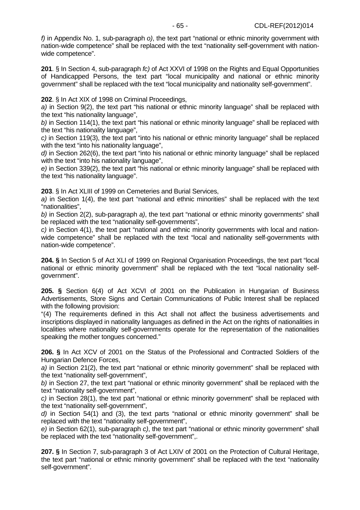f) in Appendix No. 1, sub-paragraph o), the text part "national or ethnic minority government with nation-wide competence" shall be replaced with the text "nationality self-government with nationwide competence".

**201**. § In Section 4, sub-paragraph fc) of Act XXVI of 1998 on the Rights and Equal Opportunities of Handicapped Persons, the text part "local municipality and national or ethnic minority government" shall be replaced with the text "local municipality and nationality self-government".

**202**. § In Act XIX of 1998 on Criminal Proceedings,

a) in Section 9(2), the text part "his national or ethnic minority language" shall be replaced with the text "his nationality language",

b) in Section 114(1), the text part "his national or ethnic minority language" shall be replaced with the text "his nationality language",

c) in Section 119(3), the text part "into his national or ethnic minority language" shall be replaced with the text "into his nationality language",

d) in Section 262(6), the text part "into his national or ethnic minority language" shall be replaced with the text "into his nationality language",

e) in Section 339(2), the text part "his national or ethnic minority language" shall be replaced with the text "his nationality language".

**203**. § In Act XLIII of 1999 on Cemeteries and Burial Services,

a) in Section 1(4), the text part "national and ethnic minorities" shall be replaced with the text "nationalities",

b) in Section 2(2), sub-paragraph a), the text part "national or ethnic minority governments" shall be replaced with the text "nationality self-governments",

c) in Section 4(1), the text part "national and ethnic minority governments with local and nationwide competence" shall be replaced with the text "local and nationality self-governments with nation-wide competence".

**204. §** In Section 5 of Act XLI of 1999 on Regional Organisation Proceedings, the text part "local national or ethnic minority government" shall be replaced with the text "local nationality selfgovernment".

**205. §** Section 6(4) of Act XCVI of 2001 on the Publication in Hungarian of Business Advertisements, Store Signs and Certain Communications of Public Interest shall be replaced with the following provision:

"(4) The requirements defined in this Act shall not affect the business advertisements and inscriptions displayed in nationality languages as defined in the Act on the rights of nationalities in localities where nationality self-governments operate for the representation of the nationalities speaking the mother tongues concerned."

**206. §** In Act XCV of 2001 on the Status of the Professional and Contracted Soldiers of the Hungarian Defence Forces,

a) in Section 21(2), the text part "national or ethnic minority government" shall be replaced with the text "nationality self-government",

b) in Section 27, the text part "national or ethnic minority government" shall be replaced with the text "nationality self-government",

c) in Section 28(1), the text part "national or ethnic minority government" shall be replaced with the text "nationality self-government",

d) in Section 54(1) and (3), the text parts "national or ethnic minority government" shall be replaced with the text "nationality self-government",

e) in Section 62(1), sub-paragraph c), the text part "national or ethnic minority government" shall be replaced with the text "nationality self-government",.

**207. §** In Section 7, sub-paragraph 3 of Act LXIV of 2001 on the Protection of Cultural Heritage, the text part "national or ethnic minority government" shall be replaced with the text "nationality self-government".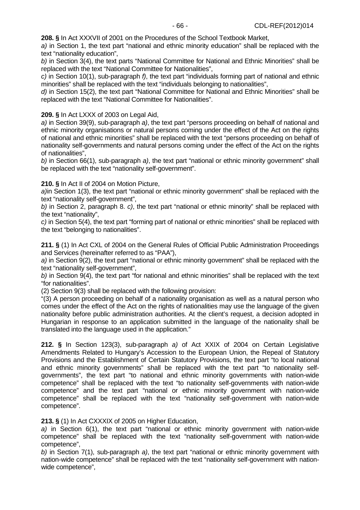**208. §** In Act XXXVII of 2001 on the Procedures of the School Textbook Market,

a) in Section 1, the text part "national and ethnic minority education" shall be replaced with the text "nationality education",

b) in Section 3(4), the text parts "National Committee for National and Ethnic Minorities" shall be replaced with the text "National Committee for Nationalities",

c) in Section 10(1), sub-paragraph f), the text part "individuals forming part of national and ethnic minorities" shall be replaced with the text "individuals belonging to nationalities",

d) in Section 15(2), the text part "National Committee for National and Ethnic Minorities" shall be replaced with the text "National Committee for Nationalities".

#### **209. §** In Act LXXX of 2003 on Legal Aid,

a) in Section 39(9), sub-paragraph a), the text part "persons proceeding on behalf of national and ethnic minority organisations or natural persons coming under the effect of the Act on the rights of national and ethnic minorities" shall be replaced with the text "persons proceeding on behalf of nationality self-governments and natural persons coming under the effect of the Act on the rights of nationalities",

b) in Section 66(1), sub-paragraph a), the text part "national or ethnic minority government" shall be replaced with the text "nationality self-government".

**210. §** In Act II of 2004 on Motion Picture,

a)in Section 1(3), the text part "national or ethnic minority government" shall be replaced with the text "nationality self-government",

b) in Section 2, paragraph 8. c), the text part "national or ethnic minority" shall be replaced with the text "nationality",

c) in Section 5(4), the text part "forming part of national or ethnic minorities" shall be replaced with the text "belonging to nationalities".

**211. §** (1) In Act CXL of 2004 on the General Rules of Official Public Administration Proceedings and Services (hereinafter referred to as "PAA"),

a) in Section 9(2), the text part "national or ethnic minority government" shall be replaced with the text "nationality self-government",

b) in Section 9(4), the text part "for national and ethnic minorities" shall be replaced with the text "for nationalities".

(2) Section 9(3) shall be replaced with the following provision:

"(3) A person proceeding on behalf of a nationality organisation as well as a natural person who comes under the effect of the Act on the rights of nationalities may use the language of the given nationality before public administration authorities. At the client's request, a decision adopted in Hungarian in response to an application submitted in the language of the nationality shall be translated into the language used in the application."

**212. §** In Section 123(3), sub-paragraph a) of Act XXIX of 2004 on Certain Legislative Amendments Related to Hungary's Accession to the European Union, the Repeal of Statutory Provisions and the Establishment of Certain Statutory Provisions, the text part "to local national and ethnic minority governments" shall be replaced with the text part "to nationality selfgovernments", the text part "to national and ethnic minority governments with nation-wide competence" shall be replaced with the text "to nationality self-governments with nation-wide competence" and the text part "national or ethnic minority government with nation-wide competence" shall be replaced with the text "nationality self-government with nation-wide competence".

**213. §** (1) In Act CXXXIX of 2005 on Higher Education,

a) in Section 6(1), the text part "national or ethnic minority government with nation-wide competence" shall be replaced with the text "nationality self-government with nation-wide competence",

b) in Section  $7(1)$ , sub-paragraph a), the text part "national or ethnic minority government with nation-wide competence" shall be replaced with the text "nationality self-government with nationwide competence",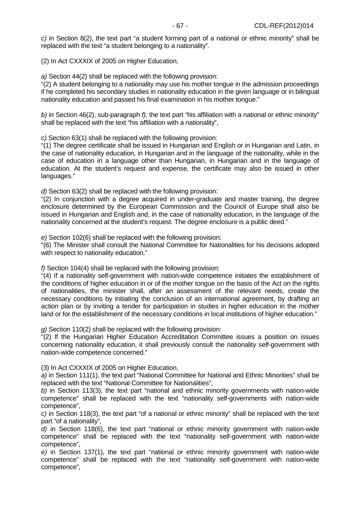c) in Section 8(2), the text part "a student forming part of a national or ethnic minority" shall be replaced with the text "a student belonging to a nationality".

(2) In Act CXXXIX of 2005 on Higher Education,

a) Section 44(2) shall be replaced with the following provision:

"(2) A student belonging to a nationality may use his mother tongue in the admission proceedings if he completed his secondary studies in nationality education in the given language or in bilingual nationality education and passed his final examination in his mother tongue."

b) in Section 46(2), sub-paragraph f), the text part "his affiliation with a national or ethnic minority" shall be replaced with the text "his affiliation with a nationality",

c) Section 63(1) shall be replaced with the following provision:

"(1) The degree certificate shall be issued in Hungarian and English or in Hungarian and Latin, in the case of nationality education, in Hungarian and in the language of the nationality, while in the case of education in a language other than Hungarian, in Hungarian and in the language of education. At the student's request and expense, the certificate may also be issued in other languages."

d) Section 63(2) shall be replaced with the following provision:

"(2) In conjunction with a degree acquired in under-graduate and master training, the degree enclosure determined by the European Commission and the Council of Europe shall also be issued in Hungarian and English and, in the case of nationality education, in the language of the nationality concerned at the student's request. The degree enclosure is a public deed."

e) Section 102(6) shall be replaced with the following provision:

"(6) The Minister shall consult the National Committee for Nationalities for his decisions adopted with respect to nationality education."

f) Section 104(4) shall be replaced with the following provision:

"(4) If a nationality self-government with nation-wide competence initiates the establishment of the conditions of higher education in or of the mother tongue on the basis of the Act on the rights of nationalities, the minister shall, after an assessment of the relevant needs, create the necessary conditions by initiating the conclusion of an international agreement, by drafting an action plan or by inviting a tender for participation in studies in higher education in the mother land or for the establishment of the necessary conditions in local institutions of higher education."

g) Section 110(2) shall be replaced with the following provision:

"(2) If the Hungarian Higher Education Accreditation Committee issues a position on issues concerning nationality education, it shall previously consult the nationality self-government with nation-wide competence concerned."

(3) In Act CXXXIX of 2005 on Higher Education,

a) in Section 111(1), the text part "National Committee for National and Ethnic Minorities" shall be replaced with the text "National Committee for Nationalities",

b) in Section 113(3), the text part "national and ethnic minority governments with nation-wide competence" shall be replaced with the text "nationality self-governments with nation-wide competence",

c) in Section 118(3), the text part "of a national or ethnic minority" shall be replaced with the text part "of a nationality",

d) in Section 118(6), the text part "national or ethnic minority government with nation-wide competence" shall be replaced with the text "nationality self-government with nation-wide competence",

e) in Section 137(1), the text part "national or ethnic minority government with nation-wide competence" shall be replaced with the text "nationality self-government with nation-wide competence",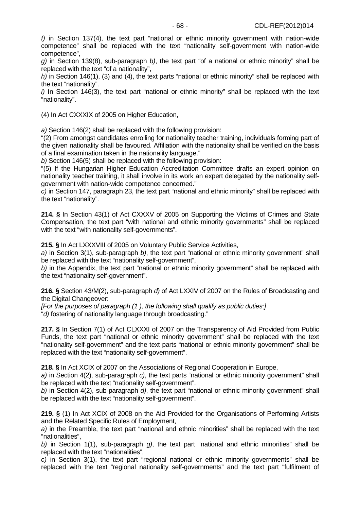f) in Section 137(4), the text part "national or ethnic minority government with nation-wide competence" shall be replaced with the text "nationality self-government with nation-wide competence",

g) in Section 139(8), sub-paragraph b), the text part "of a national or ethnic minority" shall be replaced with the text "of a nationality",

h) in Section 146(1), (3) and (4), the text parts "national or ethnic minority" shall be replaced with the text "nationality".

 $i)$  In Section 146(3), the text part "national or ethnic minority" shall be replaced with the text "nationality".

(4) In Act CXXXIX of 2005 on Higher Education,

a) Section 146(2) shall be replaced with the following provision:

"(2) From amongst candidates enrolling for nationality teacher training, individuals forming part of the given nationality shall be favoured. Affiliation with the nationality shall be verified on the basis of a final examination taken in the nationality language."

b) Section 146(5) shall be replaced with the following provision:

"(5) If the Hungarian Higher Education Accreditation Committee drafts an expert opinion on nationality teacher training, it shall involve in its work an expert delegated by the nationality selfgovernment with nation-wide competence concerned."

c) in Section 147, paragraph 23, the text part "national and ethnic minority" shall be replaced with the text "nationality".

**214. §** In Section 43(1) of Act CXXXV of 2005 on Supporting the Victims of Crimes and State Compensation, the text part "with national and ethnic minority governments" shall be replaced with the text "with nationality self-governments".

**215. §** In Act LXXXVIII of 2005 on Voluntary Public Service Activities,

a) in Section 3(1), sub-paragraph  $b$ ), the text part "national or ethnic minority government" shall be replaced with the text "nationality self-government",

b) in the Appendix, the text part "national or ethnic minority government" shall be replaced with the text "nationality self-government".

**216. §** Section 43/M(2), sub-paragraph d) of Act LXXIV of 2007 on the Rules of Broadcasting and the Digital Changeover:

[For the purposes of paragraph (1 ), the following shall qualify as public duties:] "d) fostering of nationality language through broadcasting."

**217. §** In Section 7(1) of Act CLXXXI of 2007 on the Transparency of Aid Provided from Public Funds, the text part "national or ethnic minority government" shall be replaced with the text "nationality self-government" and the text parts "national or ethnic minority government" shall be replaced with the text "nationality self-government".

**218. §** In Act XCIX of 2007 on the Associations of Regional Cooperation in Europe,

a) in Section 4(2), sub-paragraph c), the text parts "national or ethnic minority government" shall be replaced with the text "nationality self-government".

b) in Section 4(2), sub-paragraph  $d$ ), the text part "national or ethnic minority government" shall be replaced with the text "nationality self-government".

**219. §** (1) In Act XCIX of 2008 on the Aid Provided for the Organisations of Performing Artists and the Related Specific Rules of Employment,

a) in the Preamble, the text part "national and ethnic minorities" shall be replaced with the text "nationalities",

b) in Section 1(1), sub-paragraph  $q$ ), the text part "national and ethnic minorities" shall be replaced with the text "nationalities",

c) in Section 3(1), the text part "regional national or ethnic minority governments" shall be replaced with the text "regional nationality self-governments" and the text part "fulfilment of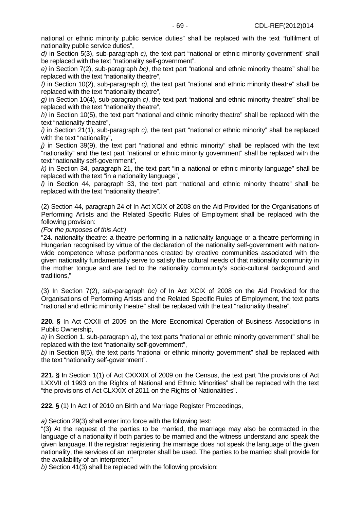national or ethnic minority public service duties" shall be replaced with the text "fulfilment of nationality public service duties",

d) in Section 5(3), sub-paragraph c), the text part "national or ethnic minority government" shall be replaced with the text "nationality self-government".

e) in Section 7(2), sub-paragraph bc), the text part "national and ethnic minority theatre" shall be replaced with the text "nationality theatre",

f) in Section 10(2), sub-paragraph  $c$ ), the text part "national and ethnic minority theatre" shall be replaced with the text "nationality theatre",

g) in Section 10(4), sub-paragraph c), the text part "national and ethnic minority theatre" shall be replaced with the text "nationality theatre",

h) in Section 10(5), the text part "national and ethnic minority theatre" shall be replaced with the text "nationality theatre",

 $i$ ) in Section 21(1), sub-paragraph c), the text part "national or ethnic minority" shall be replaced with the text "nationality",

 $j$ ) in Section 39(9), the text part "national and ethnic minority" shall be replaced with the text "nationality" and the text part "national or ethnic minority government" shall be replaced with the text "nationality self-government",

 $k$ ) in Section 34, paragraph 21, the text part "in a national or ethnic minority language" shall be replaced with the text "in a nationality language",

l) in Section 44, paragraph 33, the text part "national and ethnic minority theatre" shall be replaced with the text "nationality theatre".

(2) Section 44, paragraph 24 of In Act XCIX of 2008 on the Aid Provided for the Organisations of Performing Artists and the Related Specific Rules of Employment shall be replaced with the following provision:

(For the purposes of this Act:)

"24. nationality theatre: a theatre performing in a nationality language or a theatre performing in Hungarian recognised by virtue of the declaration of the nationality self-government with nationwide competence whose performances created by creative communities associated with the given nationality fundamentally serve to satisfy the cultural needs of that nationality community in the mother tongue and are tied to the nationality community's socio-cultural background and traditions,"

(3) In Section 7(2), sub-paragraph bc) of In Act XCIX of 2008 on the Aid Provided for the Organisations of Performing Artists and the Related Specific Rules of Employment, the text parts "national and ethnic minority theatre" shall be replaced with the text "nationality theatre".

**220. §** In Act CXXII of 2009 on the More Economical Operation of Business Associations in Public Ownership,

a) in Section 1, sub-paragraph a), the text parts "national or ethnic minority government" shall be replaced with the text "nationality self-government",

b) in Section 8(5), the text parts "national or ethnic minority government" shall be replaced with the text "nationality self-government".

**221. §** In Section 1(1) of Act CXXXIX of 2009 on the Census, the text part "the provisions of Act LXXVII of 1993 on the Rights of National and Ethnic Minorities" shall be replaced with the text "the provisions of Act CLXXIX of 2011 on the Rights of Nationalities".

**222. §** (1) In Act I of 2010 on Birth and Marriage Register Proceedings,

a) Section 29(3) shall enter into force with the following text:

"(3) At the request of the parties to be married, the marriage may also be contracted in the language of a nationality if both parties to be married and the witness understand and speak the given language. If the registrar registering the marriage does not speak the language of the given nationality, the services of an interpreter shall be used. The parties to be married shall provide for the availability of an interpreter."

b) Section 41(3) shall be replaced with the following provision: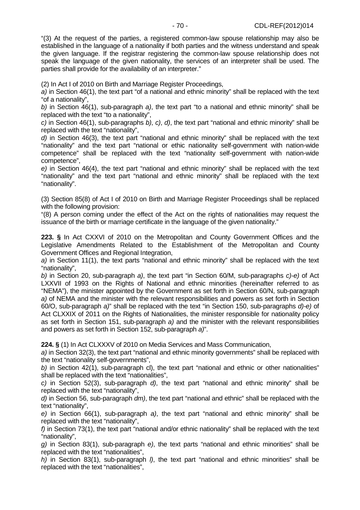"(3) At the request of the parties, a registered common-law spouse relationship may also be established in the language of a nationality if both parties and the witness understand and speak the given language. If the registrar registering the common-law spouse relationship does not speak the language of the given nationality, the services of an interpreter shall be used. The parties shall provide for the availability of an interpreter."

(2) In Act I of 2010 on Birth and Marriage Register Proceedings,

a) in Section 46(1), the text part "of a national and ethnic minority" shall be replaced with the text "of a nationality",

b) in Section 46(1), sub-paragraph a), the text part "to a national and ethnic minority" shall be replaced with the text "to a nationality",

c) in Section 46(1), sub-paragraphs b), c), d), the text part "national and ethnic minority" shall be replaced with the text "nationality",

d) in Section 46(3), the text part "national and ethnic minority" shall be replaced with the text "nationality" and the text part "national or ethic nationality self-government with nation-wide competence" shall be replaced with the text "nationality self-government with nation-wide competence",

e) in Section 46(4), the text part "national and ethnic minority" shall be replaced with the text "nationality" and the text part "national and ethnic minority" shall be replaced with the text "nationality".

(3) Section 85(8) of Act I of 2010 on Birth and Marriage Register Proceedings shall be replaced with the following provision:

"(8) A person coming under the effect of the Act on the rights of nationalities may request the issuance of the birth or marriage certificate in the language of the given nationality."

**223. §** In Act CXXVI of 2010 on the Metropolitan and County Government Offices and the Legislative Amendments Related to the Establishment of the Metropolitan and County Government Offices and Regional Integration,

a) in Section 11(1), the text parts "national and ethnic minority" shall be replaced with the text "nationality",

b) in Section 20, sub-paragraph a), the text part "in Section 60/M, sub-paragraphs c)-e) of Act LXXVII of 1993 on the Rights of National and ethnic minorities (hereinafter referred to as "NEMA"), the minister appointed by the Government as set forth in Section 60/N, sub-paragraph a) of NEMA and the minister with the relevant responsibilities and powers as set forth in Section 60/O, sub-paragraph a)" shall be replaced with the text "in Section 150, sub-paragraphs d)-e) of Act CLXXIX of 2011 on the Rights of Nationalities, the minister responsible for nationality policy as set forth in Section 151, sub-paragraph a) and the minister with the relevant responsibilities and powers as set forth in Section 152, sub-paragraph a)".

**224. §** (1) In Act CLXXXV of 2010 on Media Services and Mass Communication,

a) in Section 32(3), the text part "national and ethnic minority governments" shall be replaced with the text "nationality self-governments",

b) in Section 42(1), sub-paragraph cl), the text part "national and ethnic or other nationalities" shall be replaced with the text "nationalities",

c) in Section 52(3), sub-paragraph  $d$ ), the text part "national and ethnic minority" shall be replaced with the text "nationality",

 $d$ ) in Section 56, sub-paragraph  $dm$ ), the text part "national and ethnic" shall be replaced with the text "nationality",

e) in Section 66(1), sub-paragraph a), the text part "national and ethnic minority" shall be replaced with the text "nationality",

f) in Section 73(1), the text part "national and/or ethnic nationality" shall be replaced with the text "nationality",

g) in Section 83(1), sub-paragraph e), the text parts "national and ethnic minorities" shall be replaced with the text "nationalities",

h) in Section 83(1), sub-paragraph *I*), the text part "national and ethnic minorities" shall be replaced with the text "nationalities",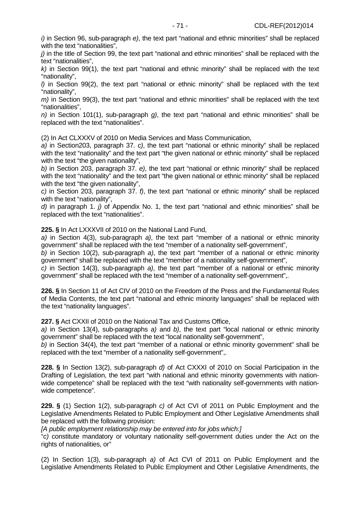$i$ ) in Section 96, sub-paragraph  $e$ ), the text part "national and ethnic minorities" shall be replaced with the text "nationalities".

j) in the title of Section 99, the text part "national and ethnic minorities" shall be replaced with the text "nationalities",

 $k$ ) in Section 99(1), the text part "national and ethnic minority" shall be replaced with the text "nationality",

l) in Section 99(2), the text part "national or ethnic minority" shall be replaced with the text "nationality",

 $m$ ) in Section 99(3), the text part "national and ethnic minorities" shall be replaced with the text "nationalities",

 $n$ ) in Section 101(1), sub-paragraph g), the text part "national and ethnic minorities" shall be replaced with the text "nationalities".

(2) In Act CLXXXV of 2010 on Media Services and Mass Communication,

a) in Section203, paragraph 37. c), the text part "national or ethnic minority" shall be replaced with the text "nationality" and the text part "the given national or ethnic minority" shall be replaced with the text "the given nationality",

b) in Section 203, paragraph 37. e), the text part "national or ethnic minority" shall be replaced with the text "nationality" and the text part "the given national or ethnic minority" shall be replaced with the text "the given nationality",

c) in Section 203, paragraph 37. f), the text part "national or ethnic minority" shall be replaced with the text "nationality".

 $d$ ) in paragraph 1. *j*) of Appendix No. 1, the text part "national and ethnic minorities" shall be replaced with the text "nationalities".

**225. §** In Act LXXXVII of 2010 on the National Land Fund,

a) in Section 4(3), sub-paragraph a), the text part "member of a national or ethnic minority government" shall be replaced with the text "member of a nationality self-government",

b) in Section 10(2), sub-paragraph  $a$ ), the text part "member of a national or ethnic minority government" shall be replaced with the text "member of a nationality self-government",

c) in Section 14(3), sub-paragraph a), the text part "member of a national or ethnic minority government" shall be replaced with the text "member of a nationality self-government",.

**226. §** In Section 11 of Act CIV of 2010 on the Freedom of the Press and the Fundamental Rules of Media Contents, the text part "national and ethnic minority languages" shall be replaced with the text "nationality languages".

**227. §** Act CXXII of 2010 on the National Tax and Customs Office,

a) in Section 13(4), sub-paragraphs a) and b), the text part "local national or ethnic minority government" shall be replaced with the text "local nationality self-government",

b) in Section 34(4), the text part "member of a national or ethnic minority government" shall be replaced with the text "member of a nationality self-government",.

**228. §** In Section 13(2), sub-paragraph d) of Act CXXXI of 2010 on Social Participation in the Drafting of Legislation, the text part "with national and ethnic minority governments with nationwide competence" shall be replaced with the text "with nationality self-governments with nationwide competence".

**229. §** (1) Section 1(2), sub-paragraph c) of Act CVI of 2011 on Public Employment and the Legislative Amendments Related to Public Employment and Other Legislative Amendments shall be replaced with the following provision:

[A public employment relationship may be entered into for jobs which:]

"c) constitute mandatory or voluntary nationality self-government duties under the Act on the rights of nationalities, or"

(2) In Section 1(3), sub-paragraph a) of Act CVI of 2011 on Public Employment and the Legislative Amendments Related to Public Employment and Other Legislative Amendments, the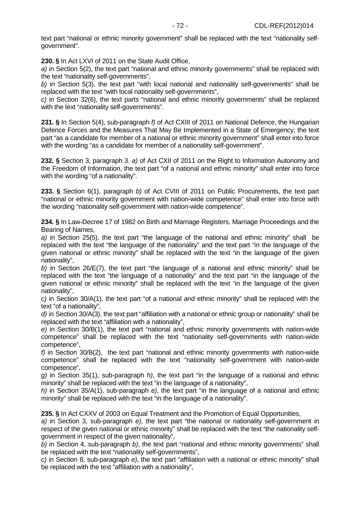text part "national or ethnic minority government" shall be replaced with the text "nationality selfgovernment".

**230. §** In Act LXVI of 2011 on the State Audit Office,

a) in Section 5(2), the text part "national and ethnic minority governments" shall be replaced with the text "nationality self-governments",

b) in Section 5(3), the text part "with local national and nationality self-governments" shall be replaced with the text "with local nationality self-governments",

c) in Section 32(6), the text parts "national and ethnic minority governments" shall be replaced with the text "nationality self-governments".

**231. §** In Section 5(4), sub-paragraph f) of Act CXIII of 2011 on National Defence, the Hungarian Defence Forces and the Measures That May Be Implemented in a State of Emergency, the text part "as a candidate for member of a national or ethnic minority government" shall enter into force with the wording "as a candidate for member of a nationality self-government".

**232. §** Section 3, paragraph 3. a) of Act CXII of 2011 on the Right to Information Autonomy and the Freedom of Information, the text part "of a national and ethnic minority" shall enter into force with the wording "of a nationality".

**233. §** Section 6(1), paragraph b) of Act CVIII of 2011 on Public Procurements, the text part "national or ethnic minority government with nation-wide competence" shall enter into force with the wording "nationality self-government with nation-wide competence".

**234. §** In Law-Decree 17 of 1982 on Birth and Marriage Registers, Marriage Proceedings and the Bearing of Names,

a) in Section 25(5), the text part "the language of the national and ethnic minority" shall be replaced with the text "the language of the nationality" and the text part "in the language of the given national or ethnic minority" shall be replaced with the text "in the language of the given nationality",

b) in Section 26/E(7), the text part "the language of a national and ethnic minority" shall be replaced with the text "the language of a nationality" and the text part "in the language of the given national or ethnic minority" shall be replaced with the text "in the language of the given nationality",

c) in Section 30/A(1), the text part "of a national and ethnic minority" shall be replaced with the text "of a nationality",

d) in Section 30/A(3), the text part "affiliation with a national or ethnic group or nationality" shall be replaced with the text "affiliation with a nationality",

e) in Section 30/B(1), the text part "national and ethnic minority governments with nation-wide competence" shall be replaced with the text "nationality self-governments with nation-wide competence",

f) in Section 30/B(2), the text part "national and ethnic minority governments with nation-wide competence" shall be replaced with the text "nationality self-government with nation-wide competence",

g) in Section 35(1), sub-paragraph h), the text part "in the language of a national and ethnic minority" shall be replaced with the text "in the language of a nationality",

h) in Section 35/A(1), sub-paragraph  $e$ ), the text part "in the language of a national and ethnic minority" shall be replaced with the text "in the language of a nationality".

**235. §** In Act CXXV of 2003 on Equal Treatment and the Promotion of Equal Opportunities,

a) in Section 3, sub-paragraph e), the text part "the national or nationality self-government in respect of the given national or ethnic minority" shall be replaced with the text "the nationality selfgovernment in respect of the given nationality",

b) in Section 4, sub-paragraph b), the text part "national and ethnic minority governments" shall be replaced with the text "nationality self-governments",

c) in Section 8, sub-paragraph e), the text part "affiliation with a national or ethnic minority" shall be replaced with the text "affiliation with a nationality",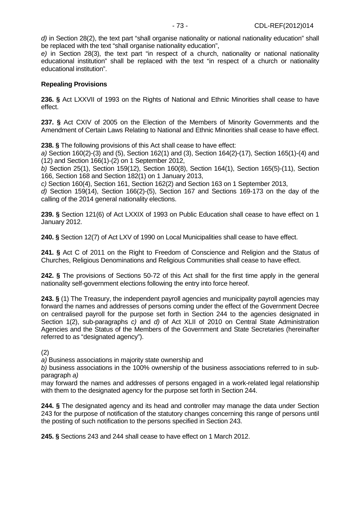e) in Section 28(3), the text part "in respect of a church, nationality or national nationality educational institution" shall be replaced with the text "in respect of a church or nationality educational institution".

## **Repealing Provisions**

**236. §** Act LXXVII of 1993 on the Rights of National and Ethnic Minorities shall cease to have effect.

**237. §** Act CXIV of 2005 on the Election of the Members of Minority Governments and the Amendment of Certain Laws Relating to National and Ethnic Minorities shall cease to have effect.

**238. §** The following provisions of this Act shall cease to have effect:

a) Section 160(2)-(3) and (5), Section 162(1) and (3), Section 164(2)-(17), Section 165(1)-(4) and (12) and Section 166(1)-(2) on 1 September 2012,

b) Section 25(1), Section 159(12), Section 160(8), Section 164(1), Section 165(5)-(11), Section 166, Section 168 and Section 182(1) on 1 January 2013,

c) Section 160(4), Section 161, Section 162(2) and Section 163 on 1 September 2013,

d) Section 159(14), Section 166(2)-(5), Section 167 and Sections 169-173 on the day of the calling of the 2014 general nationality elections.

**239. §** Section 121(6) of Act LXXIX of 1993 on Public Education shall cease to have effect on 1 January 2012.

**240. §** Section 12(7) of Act LXV of 1990 on Local Municipalities shall cease to have effect.

**241. §** Act C of 2011 on the Right to Freedom of Conscience and Religion and the Status of Churches, Religious Denominations and Religious Communities shall cease to have effect.

**242. §** The provisions of Sections 50-72 of this Act shall for the first time apply in the general nationality self-government elections following the entry into force hereof.

**243. §** (1) The Treasury, the independent payroll agencies and municipality payroll agencies may forward the names and addresses of persons coming under the effect of the Government Decree on centralised payroll for the purpose set forth in Section 244 to the agencies designated in Section 1(2), sub-paragraphs c) and d) of Act XLII of 2010 on Central State Administration Agencies and the Status of the Members of the Government and State Secretaries (hereinafter referred to as "designated agency").

(2)

a) Business associations in majority state ownership and

b) business associations in the 100% ownership of the business associations referred to in subparagraph a)

may forward the names and addresses of persons engaged in a work-related legal relationship with them to the designated agency for the purpose set forth in Section 244.

**244. §** The designated agency and its head and controller may manage the data under Section 243 for the purpose of notification of the statutory changes concerning this range of persons until the posting of such notification to the persons specified in Section 243.

**245. §** Sections 243 and 244 shall cease to have effect on 1 March 2012.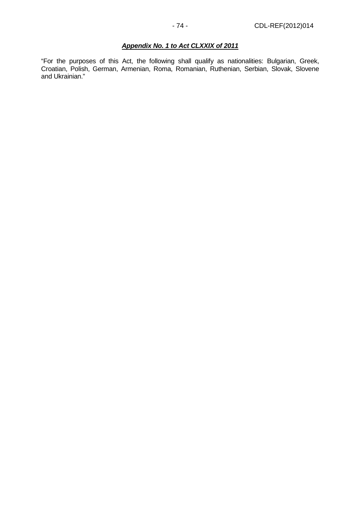# **Appendix No. 1 to Act CLXXIX of 2011**

"For the purposes of this Act, the following shall qualify as nationalities: Bulgarian, Greek, Croatian, Polish, German, Armenian, Roma, Romanian, Ruthenian, Serbian, Slovak, Slovene and Ukrainian."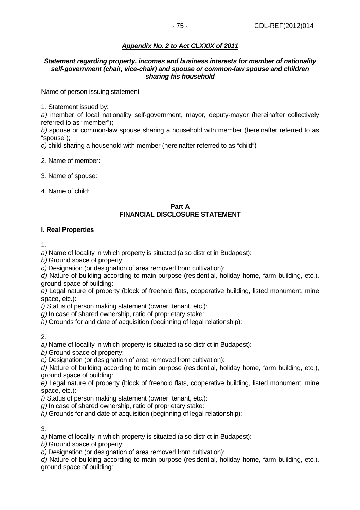# **Appendix No. 2 to Act CLXXIX of 2011**

#### **Statement regarding property, incomes and business interests for member of nationality self-government (chair, vice-chair) and spouse or common-law spouse and children sharing his household**

Name of person issuing statement

1. Statement issued by:

a) member of local nationality self-government, mayor, deputy-mayor (hereinafter collectively referred to as "member");

b) spouse or common-law spouse sharing a household with member (hereinafter referred to as "spouse");

c) child sharing a household with member (hereinafter referred to as "child")

2. Name of member:

3. Name of spouse:

4. Name of child:

#### **Part A FINANCIAL DISCLOSURE STATEMENT**

#### **I. Real Properties**

1.

a) Name of locality in which property is situated (also district in Budapest):

b) Ground space of property:

c) Designation (or designation of area removed from cultivation):

d) Nature of building according to main purpose (residential, holiday home, farm building, etc.), ground space of building:

e) Legal nature of property (block of freehold flats, cooperative building, listed monument, mine space, etc.):

f) Status of person making statement (owner, tenant, etc.):

g) In case of shared ownership, ratio of proprietary stake:

 $h$ ) Grounds for and date of acquisition (beginning of legal relationship):

2.

a) Name of locality in which property is situated (also district in Budapest):

b) Ground space of property:

c) Designation (or designation of area removed from cultivation):

d) Nature of building according to main purpose (residential, holiday home, farm building, etc.), ground space of building:

e) Legal nature of property (block of freehold flats, cooperative building, listed monument, mine space, etc.):

f) Status of person making statement (owner, tenant, etc.):

g) In case of shared ownership, ratio of proprietary stake:

h) Grounds for and date of acquisition (beginning of legal relationship):

3.

a) Name of locality in which property is situated (also district in Budapest):

b) Ground space of property:

c) Designation (or designation of area removed from cultivation):

d) Nature of building according to main purpose (residential, holiday home, farm building, etc.), ground space of building: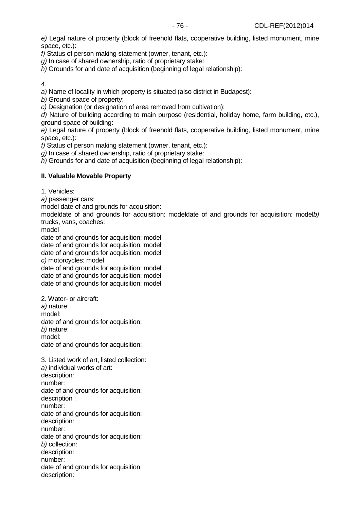f) Status of person making statement (owner, tenant, etc.):

g) In case of shared ownership, ratio of proprietary stake:

h) Grounds for and date of acquisition (beginning of legal relationship):

4.

a) Name of locality in which property is situated (also district in Budapest):

b) Ground space of property:

c) Designation (or designation of area removed from cultivation):

d) Nature of building according to main purpose (residential, holiday home, farm building, etc.), ground space of building:

e) Legal nature of property (block of freehold flats, cooperative building, listed monument, mine space, etc.):

f) Status of person making statement (owner, tenant, etc.):

g) In case of shared ownership, ratio of proprietary stake:

h) Grounds for and date of acquisition (beginning of legal relationship):

### **II. Valuable Movable Property**

1. Vehicles:

a) passenger cars:

model date of and grounds for acquisition:

modeldate of and grounds for acquisition: modeldate of and grounds for acquisition: modelb) trucks, vans, coaches:

model

date of and grounds for acquisition: model date of and grounds for acquisition: model date of and grounds for acquisition: model c) motorcycles: model

date of and grounds for acquisition: model date of and grounds for acquisition: model date of and grounds for acquisition: model

2. Water- or aircraft: a) nature: model: date of and grounds for acquisition: b) nature: model: date of and grounds for acquisition:

3. Listed work of art, listed collection: a) individual works of art: description: number: date of and grounds for acquisition: description : number: date of and grounds for acquisition: description: number: date of and grounds for acquisition: b) collection: description: number: date of and grounds for acquisition: description: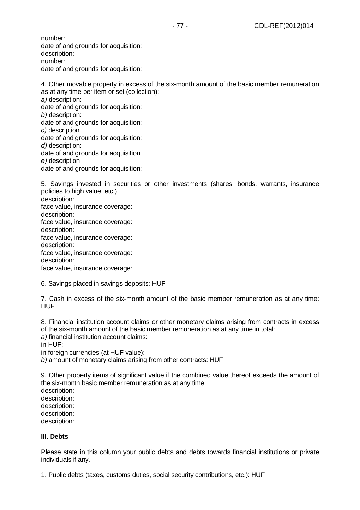number: date of and grounds for acquisition: description: number: date of and grounds for acquisition:

4. Other movable property in excess of the six-month amount of the basic member remuneration as at any time per item or set (collection): a) description: date of and grounds for acquisition: b) description: date of and grounds for acquisition: c) description date of and grounds for acquisition: d) description: date of and grounds for acquisition e) description date of and grounds for acquisition:

5. Savings invested in securities or other investments (shares, bonds, warrants, insurance policies to high value, etc.): description: face value, insurance coverage: description: face value, insurance coverage: description: face value, insurance coverage: description: face value, insurance coverage: description: face value, insurance coverage:

6. Savings placed in savings deposits: HUF

7. Cash in excess of the six-month amount of the basic member remuneration as at any time: HUF

8. Financial institution account claims or other monetary claims arising from contracts in excess of the six-month amount of the basic member remuneration as at any time in total:

a) financial institution account claims:

in HUF:

in foreign currencies (at HUF value):

b) amount of monetary claims arising from other contracts: HUF

9. Other property items of significant value if the combined value thereof exceeds the amount of the six-month basic member remuneration as at any time:

description: description: description: description:

description:

### **III. Debts**

Please state in this column your public debts and debts towards financial institutions or private individuals if any.

1. Public debts (taxes, customs duties, social security contributions, etc.): HUF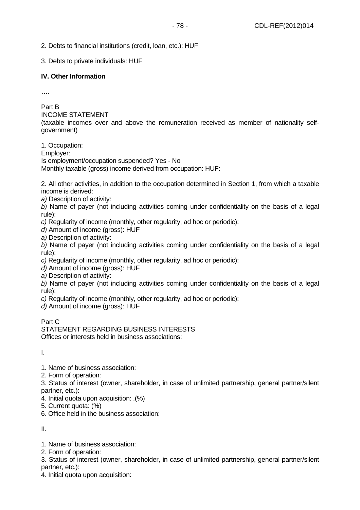2. Debts to financial institutions (credit, loan, etc.): HUF

3. Debts to private individuals: HUF

## **IV. Other Information**

….

Part B

INCOME STATEMENT

(taxable incomes over and above the remuneration received as member of nationality selfgovernment)

1. Occupation: Employer: Is employment/occupation suspended? Yes - No Monthly taxable (gross) income derived from occupation: HUF:

2. All other activities, in addition to the occupation determined in Section 1, from which a taxable income is derived:

a) Description of activity:

b) Name of payer (not including activities coming under confidentiality on the basis of a legal rule):

c) Regularity of income (monthly, other regularity, ad hoc or periodic):

d) Amount of income (gross): HUF

a) Description of activity:

b) Name of payer (not including activities coming under confidentiality on the basis of a legal rule):

c) Regularity of income (monthly, other regularity, ad hoc or periodic):

d) Amount of income (gross): HUF

a) Description of activity:

b) Name of payer (not including activities coming under confidentiality on the basis of a legal rule):

c) Regularity of income (monthly, other regularity, ad hoc or periodic):

d) Amount of income (gross): HUF

Part C

STATEMENT REGARDING BUSINESS INTERESTS Offices or interests held in business associations:

I.

1. Name of business association:

2. Form of operation:

3. Status of interest (owner, shareholder, in case of unlimited partnership, general partner/silent partner, etc.):

4. Initial quota upon acquisition: .(%)

5. Current quota: (%)

6. Office held in the business association:

II.

1. Name of business association:

2. Form of operation:

3. Status of interest (owner, shareholder, in case of unlimited partnership, general partner/silent partner, etc.):

4. Initial quota upon acquisition: